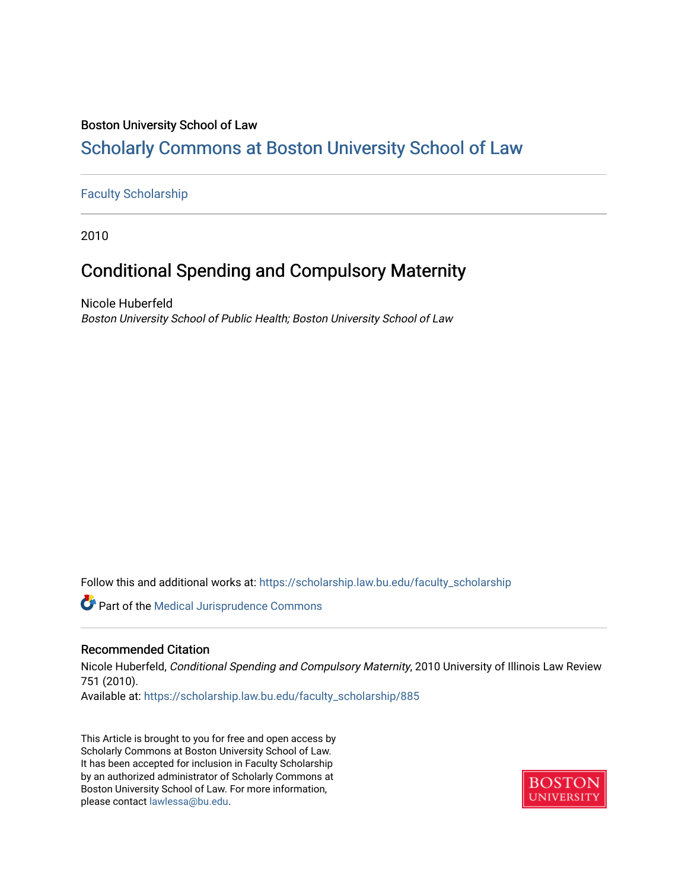# Boston University School of Law

# [Scholarly Commons at Boston University School of Law](https://scholarship.law.bu.edu/)

# [Faculty Scholarship](https://scholarship.law.bu.edu/faculty_scholarship)

2010

# Conditional Spending and Compulsory Maternity

Nicole Huberfeld Boston University School of Public Health; Boston University School of Law

Follow this and additional works at: [https://scholarship.law.bu.edu/faculty\\_scholarship](https://scholarship.law.bu.edu/faculty_scholarship?utm_source=scholarship.law.bu.edu%2Ffaculty_scholarship%2F885&utm_medium=PDF&utm_campaign=PDFCoverPages)

Part of the [Medical Jurisprudence Commons](http://network.bepress.com/hgg/discipline/860?utm_source=scholarship.law.bu.edu%2Ffaculty_scholarship%2F885&utm_medium=PDF&utm_campaign=PDFCoverPages) 

# Recommended Citation

Nicole Huberfeld, Conditional Spending and Compulsory Maternity, 2010 University of Illinois Law Review 751 (2010).

Available at: [https://scholarship.law.bu.edu/faculty\\_scholarship/885](https://scholarship.law.bu.edu/faculty_scholarship/885?utm_source=scholarship.law.bu.edu%2Ffaculty_scholarship%2F885&utm_medium=PDF&utm_campaign=PDFCoverPages) 

This Article is brought to you for free and open access by Scholarly Commons at Boston University School of Law. It has been accepted for inclusion in Faculty Scholarship by an authorized administrator of Scholarly Commons at Boston University School of Law. For more information, please contact [lawlessa@bu.edu](mailto:lawlessa@bu.edu).

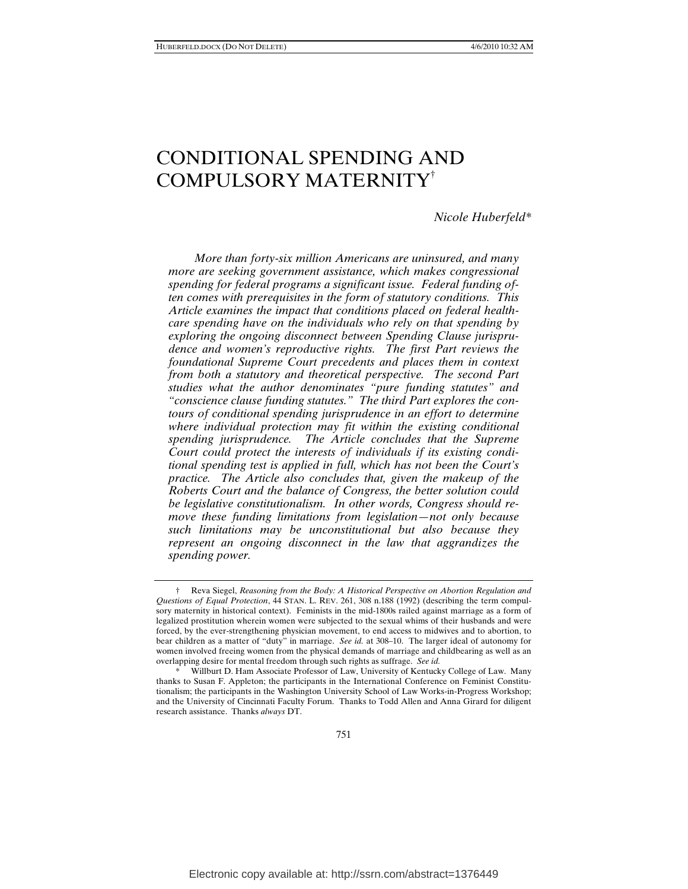# CONDITIONAL SPENDING AND COMPULSORY MATERNITY†

*Nicole Huberfeld\** 

*More than forty-six million Americans are uninsured, and many more are seeking government assistance, which makes congressional spending for federal programs a significant issue. Federal funding often comes with prerequisites in the form of statutory conditions. This Article examines the impact that conditions placed on federal healthcare spending have on the individuals who rely on that spending by exploring the ongoing disconnect between Spending Clause jurisprudence and women's reproductive rights. The first Part reviews the foundational Supreme Court precedents and places them in context from both a statutory and theoretical perspective. The second Part studies what the author denominates "pure funding statutes" and "conscience clause funding statutes." The third Part explores the contours of conditional spending jurisprudence in an effort to determine where individual protection may fit within the existing conditional spending jurisprudence. The Article concludes that the Supreme Court could protect the interests of individuals if its existing conditional spending test is applied in full, which has not been the Court's practice. The Article also concludes that, given the makeup of the Roberts Court and the balance of Congress, the better solution could be legislative constitutionalism. In other words, Congress should remove these funding limitations from legislation—not only because such limitations may be unconstitutional but also because they represent an ongoing disconnect in the law that aggrandizes the spending power.* 

 <sup>†</sup> Reva Siegel, *Reasoning from the Body: A Historical Perspective on Abortion Regulation and Questions of Equal Protection*, 44 STAN. L. REV. 261, 308 n.188 (1992) (describing the term compulsory maternity in historical context). Feminists in the mid-1800s railed against marriage as a form of legalized prostitution wherein women were subjected to the sexual whims of their husbands and were forced, by the ever-strengthening physician movement, to end access to midwives and to abortion, to bear children as a matter of "duty" in marriage. *See id.* at 308–10. The larger ideal of autonomy for women involved freeing women from the physical demands of marriage and childbearing as well as an overlapping desire for mental freedom through such rights as suffrage. *See id.*

Willburt D. Ham Associate Professor of Law, University of Kentucky College of Law. Many thanks to Susan F. Appleton; the participants in the International Conference on Feminist Constitutionalism; the participants in the Washington University School of Law Works-in-Progress Workshop; and the University of Cincinnati Faculty Forum. Thanks to Todd Allen and Anna Girard for diligent research assistance. Thanks *always* DT.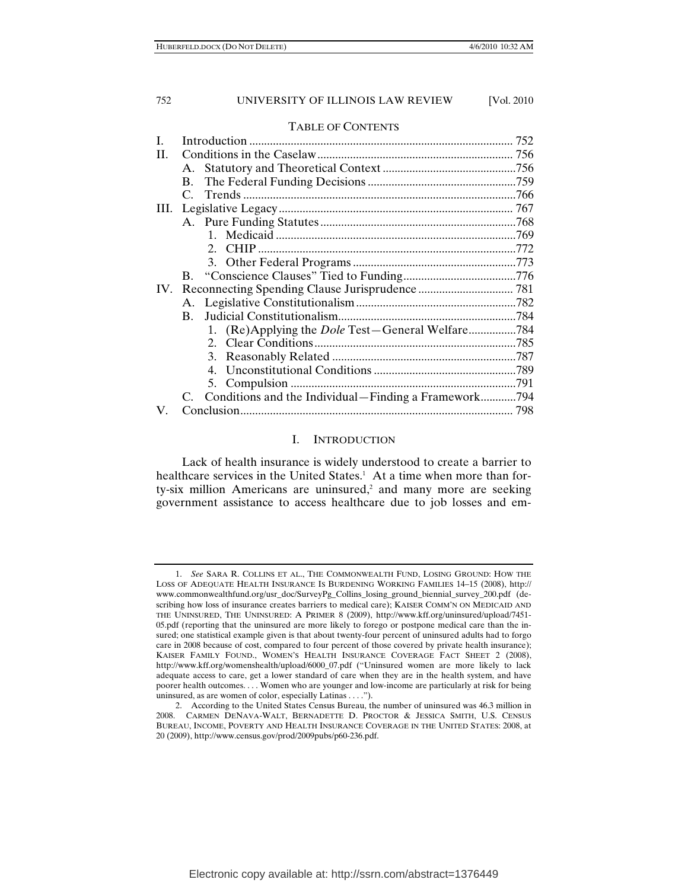#### TABLE OF CONTENTS

| H.  |                |                                                      |  |
|-----|----------------|------------------------------------------------------|--|
|     |                |                                                      |  |
|     | <b>B.</b>      |                                                      |  |
|     |                |                                                      |  |
|     |                |                                                      |  |
|     |                |                                                      |  |
|     |                |                                                      |  |
|     |                | $2_{1}$                                              |  |
|     |                |                                                      |  |
|     |                |                                                      |  |
| IV. |                |                                                      |  |
|     |                |                                                      |  |
|     | $\mathbf{B}$ . |                                                      |  |
|     |                |                                                      |  |
|     |                |                                                      |  |
|     |                |                                                      |  |
|     |                |                                                      |  |
|     |                |                                                      |  |
|     |                | Conditions and the Individual-Finding a Framework794 |  |
| V.  |                |                                                      |  |
|     |                |                                                      |  |

# I. INTRODUCTION

Lack of health insurance is widely understood to create a barrier to healthcare services in the United States.<sup>1</sup> At a time when more than forty-six million Americans are uninsured,<sup>2</sup> and many more are seeking government assistance to access healthcare due to job losses and em-

 <sup>1.</sup> *See* SARA R. COLLINS ET AL., THE COMMONWEALTH FUND, LOSING GROUND: HOW THE LOSS OF ADEQUATE HEALTH INSURANCE IS BURDENING WORKING FAMILIES 14–15 (2008), http:// www.commonwealthfund.org/usr\_doc/SurveyPg\_Collins\_losing\_ground\_biennial\_survey\_200.pdf (describing how loss of insurance creates barriers to medical care); KAISER COMM'N ON MEDICAID AND THE UNINSURED, THE UNINSURED: A PRIMER 8 (2009), http://www.kff.org/uninsured/upload/7451- 05.pdf (reporting that the uninsured are more likely to forego or postpone medical care than the insured; one statistical example given is that about twenty-four percent of uninsured adults had to forgo care in 2008 because of cost, compared to four percent of those covered by private health insurance); KAISER FAMILY FOUND., WOMEN'S HEALTH INSURANCE COVERAGE FACT SHEET 2 (2008), http://www.kff.org/womenshealth/upload/6000\_07.pdf ("Uninsured women are more likely to lack adequate access to care, get a lower standard of care when they are in the health system, and have poorer health outcomes. . . . Women who are younger and low-income are particularly at risk for being uninsured, as are women of color, especially Latinas . . . .").

 <sup>2.</sup> According to the United States Census Bureau, the number of uninsured was 46.3 million in 2008. CARMEN DENAVA-WALT, BERNADETTE D. PROCTOR & JESSICA SMITH, U.S. CENSUS BUREAU, INCOME, POVERTY AND HEALTH INSURANCE COVERAGE IN THE UNITED STATES: 2008, at 20 (2009), http://www.census.gov/prod/2009pubs/p60-236.pdf.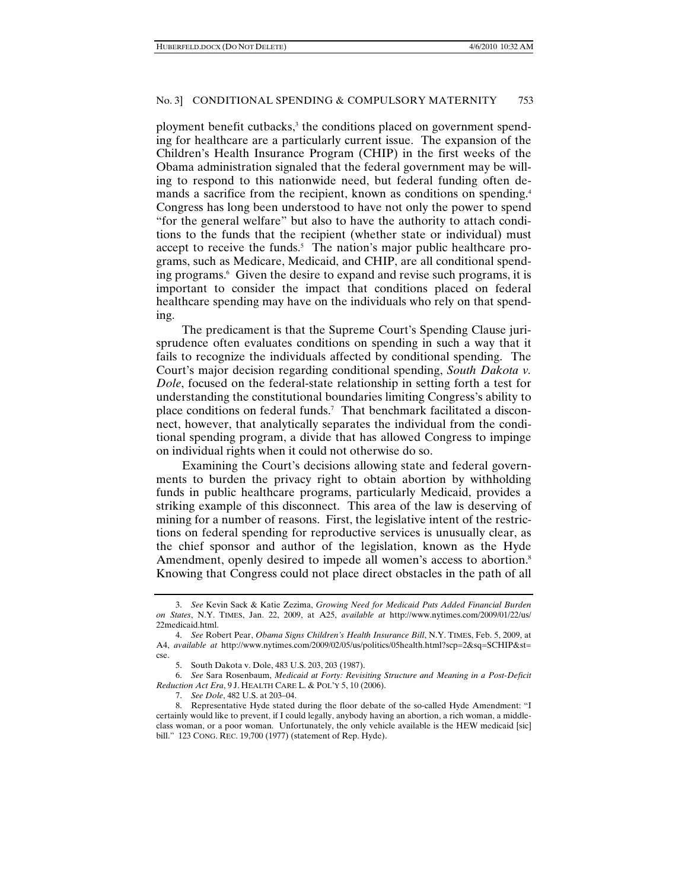ployment benefit cutbacks,<sup>3</sup> the conditions placed on government spending for healthcare are a particularly current issue. The expansion of the Children's Health Insurance Program (CHIP) in the first weeks of the Obama administration signaled that the federal government may be willing to respond to this nationwide need, but federal funding often demands a sacrifice from the recipient, known as conditions on spending.<sup>4</sup> Congress has long been understood to have not only the power to spend "for the general welfare" but also to have the authority to attach conditions to the funds that the recipient (whether state or individual) must accept to receive the funds.<sup>5</sup> The nation's major public healthcare programs, such as Medicare, Medicaid, and CHIP, are all conditional spending programs.6 Given the desire to expand and revise such programs, it is important to consider the impact that conditions placed on federal healthcare spending may have on the individuals who rely on that spending.

The predicament is that the Supreme Court's Spending Clause jurisprudence often evaluates conditions on spending in such a way that it fails to recognize the individuals affected by conditional spending. The Court's major decision regarding conditional spending, *South Dakota v. Dole*, focused on the federal-state relationship in setting forth a test for understanding the constitutional boundaries limiting Congress's ability to place conditions on federal funds.7 That benchmark facilitated a disconnect, however, that analytically separates the individual from the conditional spending program, a divide that has allowed Congress to impinge on individual rights when it could not otherwise do so.

Examining the Court's decisions allowing state and federal governments to burden the privacy right to obtain abortion by withholding funds in public healthcare programs, particularly Medicaid, provides a striking example of this disconnect. This area of the law is deserving of mining for a number of reasons. First, the legislative intent of the restrictions on federal spending for reproductive services is unusually clear, as the chief sponsor and author of the legislation, known as the Hyde Amendment, openly desired to impede all women's access to abortion.<sup>8</sup> Knowing that Congress could not place direct obstacles in the path of all

 6. *See* Sara Rosenbaum, *Medicaid at Forty: Revisiting Structure and Meaning in a Post-Deficit Reduction Act Era*, 9 J. HEALTH CARE L. & POL'Y 5, 10 (2006).

 <sup>3.</sup> *See* Kevin Sack & Katie Zezima, *Growing Need for Medicaid Puts Added Financial Burden on States*, N.Y. TIMES, Jan. 22, 2009, at A25, *available at* http://www.nytimes.com/2009/01/22/us/ 22medicaid.html.

 <sup>4.</sup> *See* Robert Pear, *Obama Signs Children's Health Insurance Bill*, N.Y. TIMES, Feb. 5, 2009, at A4, *available at* http://www.nytimes.com/2009/02/05/us/politics/05health.html?scp=2&sq=SCHIP&st= cse.

 <sup>5.</sup> South Dakota v. Dole, 483 U.S. 203, 203 (1987).

 <sup>7.</sup> *See Dole*, 482 U.S. at 203–04.

 <sup>8.</sup> Representative Hyde stated during the floor debate of the so-called Hyde Amendment: "I certainly would like to prevent, if I could legally, anybody having an abortion, a rich woman, a middleclass woman, or a poor woman. Unfortunately, the only vehicle available is the HEW medicaid [sic] bill." 123 CONG. REC. 19,700 (1977) (statement of Rep. Hyde).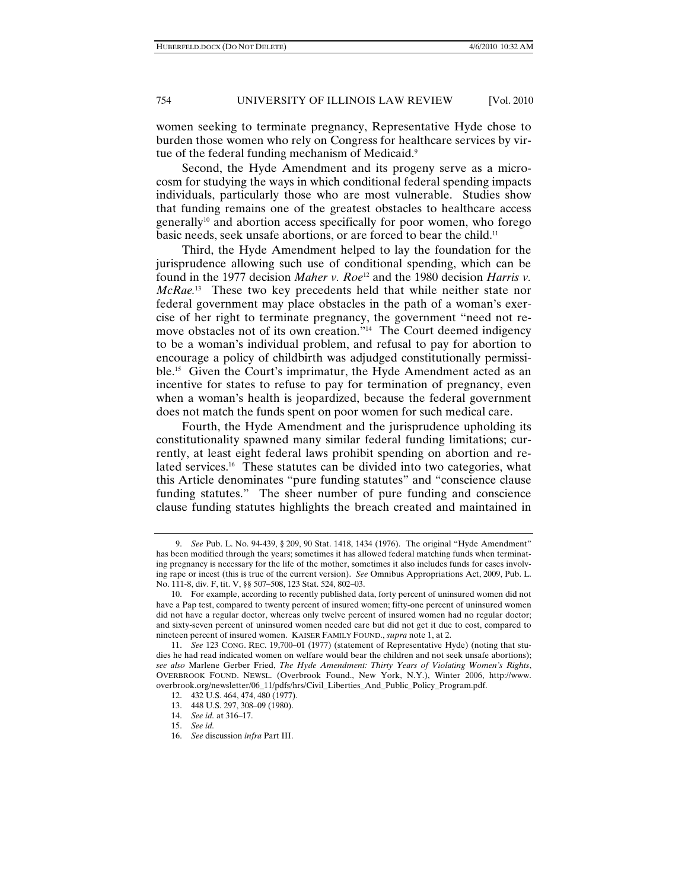women seeking to terminate pregnancy, Representative Hyde chose to burden those women who rely on Congress for healthcare services by virtue of the federal funding mechanism of Medicaid.<sup>9</sup>

Second, the Hyde Amendment and its progeny serve as a microcosm for studying the ways in which conditional federal spending impacts individuals, particularly those who are most vulnerable. Studies show that funding remains one of the greatest obstacles to healthcare access generally<sup>10</sup> and abortion access specifically for poor women, who forego basic needs, seek unsafe abortions, or are forced to bear the child.<sup>11</sup>

Third, the Hyde Amendment helped to lay the foundation for the jurisprudence allowing such use of conditional spending, which can be found in the 1977 decision *Maher v. Roe*<sup>12</sup> and the 1980 decision *Harris v. McRae.*13 These two key precedents held that while neither state nor federal government may place obstacles in the path of a woman's exercise of her right to terminate pregnancy, the government "need not remove obstacles not of its own creation."<sup>14</sup> The Court deemed indigency to be a woman's individual problem, and refusal to pay for abortion to encourage a policy of childbirth was adjudged constitutionally permissible.15 Given the Court's imprimatur, the Hyde Amendment acted as an incentive for states to refuse to pay for termination of pregnancy, even when a woman's health is jeopardized, because the federal government does not match the funds spent on poor women for such medical care.

Fourth, the Hyde Amendment and the jurisprudence upholding its constitutionality spawned many similar federal funding limitations; currently, at least eight federal laws prohibit spending on abortion and related services.<sup>16</sup> These statutes can be divided into two categories, what this Article denominates "pure funding statutes" and "conscience clause funding statutes." The sheer number of pure funding and conscience clause funding statutes highlights the breach created and maintained in

 <sup>9.</sup> *See* Pub. L. No. 94-439, § 209, 90 Stat. 1418, 1434 (1976). The original "Hyde Amendment" has been modified through the years; sometimes it has allowed federal matching funds when terminating pregnancy is necessary for the life of the mother, sometimes it also includes funds for cases involving rape or incest (this is true of the current version). *See* Omnibus Appropriations Act, 2009, Pub. L. No. 111-8, div. F, tit. V, §§ 507–508, 123 Stat. 524, 802–03.

 <sup>10.</sup> For example, according to recently published data, forty percent of uninsured women did not have a Pap test, compared to twenty percent of insured women; fifty-one percent of uninsured women did not have a regular doctor, whereas only twelve percent of insured women had no regular doctor; and sixty-seven percent of uninsured women needed care but did not get it due to cost, compared to nineteen percent of insured women. KAISER FAMILY FOUND., *supra* note 1, at 2.

 <sup>11.</sup> *See* 123 CONG. REC. 19,700–01 (1977) (statement of Representative Hyde) (noting that studies he had read indicated women on welfare would bear the children and not seek unsafe abortions); *see also* Marlene Gerber Fried, *The Hyde Amendment: Thirty Years of Violating Women's Rights*, OVERBROOK FOUND. NEWSL. (Overbrook Found., New York, N.Y.), Winter 2006, http://www. overbrook.org/newsletter/06\_11/pdfs/hrs/Civil\_Liberties\_And\_Public\_Policy\_Program.pdf.

 <sup>12. 432</sup> U.S. 464, 474, 480 (1977).

 <sup>13. 448</sup> U.S. 297, 308–09 (1980).

 <sup>14.</sup> *See id.* at 316–17.

 <sup>15.</sup> *See id.*

 <sup>16.</sup> *See* discussion *infra* Part III.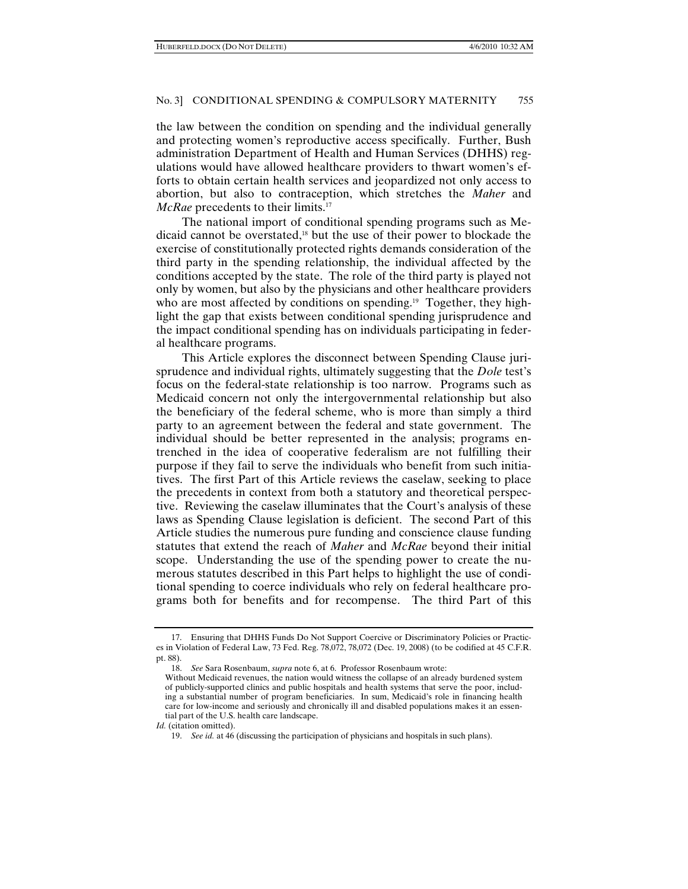the law between the condition on spending and the individual generally and protecting women's reproductive access specifically. Further, Bush administration Department of Health and Human Services (DHHS) regulations would have allowed healthcare providers to thwart women's efforts to obtain certain health services and jeopardized not only access to abortion, but also to contraception, which stretches the *Maher* and *McRae* precedents to their limits.<sup>17</sup>

The national import of conditional spending programs such as Medicaid cannot be overstated,18 but the use of their power to blockade the exercise of constitutionally protected rights demands consideration of the third party in the spending relationship, the individual affected by the conditions accepted by the state. The role of the third party is played not only by women, but also by the physicians and other healthcare providers who are most affected by conditions on spending.<sup>19</sup> Together, they highlight the gap that exists between conditional spending jurisprudence and the impact conditional spending has on individuals participating in federal healthcare programs.

This Article explores the disconnect between Spending Clause jurisprudence and individual rights, ultimately suggesting that the *Dole* test's focus on the federal-state relationship is too narrow. Programs such as Medicaid concern not only the intergovernmental relationship but also the beneficiary of the federal scheme, who is more than simply a third party to an agreement between the federal and state government. The individual should be better represented in the analysis; programs entrenched in the idea of cooperative federalism are not fulfilling their purpose if they fail to serve the individuals who benefit from such initiatives. The first Part of this Article reviews the caselaw, seeking to place the precedents in context from both a statutory and theoretical perspective. Reviewing the caselaw illuminates that the Court's analysis of these laws as Spending Clause legislation is deficient. The second Part of this Article studies the numerous pure funding and conscience clause funding statutes that extend the reach of *Maher* and *McRae* beyond their initial scope. Understanding the use of the spending power to create the numerous statutes described in this Part helps to highlight the use of conditional spending to coerce individuals who rely on federal healthcare programs both for benefits and for recompense. The third Part of this

18. *See* Sara Rosenbaum, *supra* note 6, at 6. Professor Rosenbaum wrote:

 <sup>17.</sup> Ensuring that DHHS Funds Do Not Support Coercive or Discriminatory Policies or Practices in Violation of Federal Law, 73 Fed. Reg. 78,072, 78,072 (Dec. 19, 2008) (to be codified at 45 C.F.R. pt. 88).

Without Medicaid revenues, the nation would witness the collapse of an already burdened system of publicly-supported clinics and public hospitals and health systems that serve the poor, including a substantial number of program beneficiaries. In sum, Medicaid's role in financing health care for low-income and seriously and chronically ill and disabled populations makes it an essential part of the U.S. health care landscape.

*Id.* (citation omitted).

 <sup>19.</sup> *See id.* at 46 (discussing the participation of physicians and hospitals in such plans).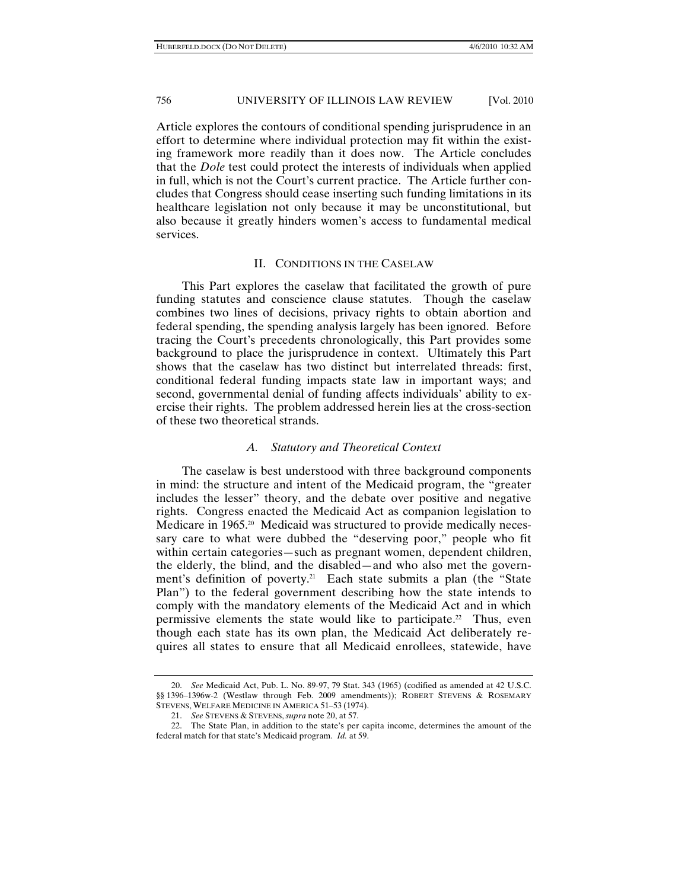Article explores the contours of conditional spending jurisprudence in an effort to determine where individual protection may fit within the existing framework more readily than it does now. The Article concludes that the *Dole* test could protect the interests of individuals when applied in full, which is not the Court's current practice. The Article further concludes that Congress should cease inserting such funding limitations in its healthcare legislation not only because it may be unconstitutional, but also because it greatly hinders women's access to fundamental medical services.

# II. CONDITIONS IN THE CASELAW

This Part explores the caselaw that facilitated the growth of pure funding statutes and conscience clause statutes. Though the caselaw combines two lines of decisions, privacy rights to obtain abortion and federal spending, the spending analysis largely has been ignored. Before tracing the Court's precedents chronologically, this Part provides some background to place the jurisprudence in context. Ultimately this Part shows that the caselaw has two distinct but interrelated threads: first, conditional federal funding impacts state law in important ways; and second, governmental denial of funding affects individuals' ability to exercise their rights. The problem addressed herein lies at the cross-section of these two theoretical strands.

#### *A. Statutory and Theoretical Context*

The caselaw is best understood with three background components in mind: the structure and intent of the Medicaid program, the "greater includes the lesser" theory, and the debate over positive and negative rights. Congress enacted the Medicaid Act as companion legislation to Medicare in 1965.<sup>20</sup> Medicaid was structured to provide medically necessary care to what were dubbed the "deserving poor," people who fit within certain categories—such as pregnant women, dependent children, the elderly, the blind, and the disabled—and who also met the government's definition of poverty.<sup>21</sup> Each state submits a plan (the "State Plan") to the federal government describing how the state intends to comply with the mandatory elements of the Medicaid Act and in which permissive elements the state would like to participate.<sup>22</sup> Thus, even though each state has its own plan, the Medicaid Act deliberately requires all states to ensure that all Medicaid enrollees, statewide, have

 <sup>20.</sup> *See* Medicaid Act, Pub. L. No. 89-97, 79 Stat. 343 (1965) (codified as amended at 42 U.S.C. §§ 1396–1396w-2 (Westlaw through Feb. 2009 amendments)); ROBERT STEVENS & ROSEMARY STEVENS, WELFARE MEDICINE IN AMERICA 51–53 (1974).

 <sup>21.</sup> *See* STEVENS & STEVENS, *supra* note 20, at 57.

 <sup>22.</sup> The State Plan, in addition to the state's per capita income, determines the amount of the federal match for that state's Medicaid program. *Id.* at 59.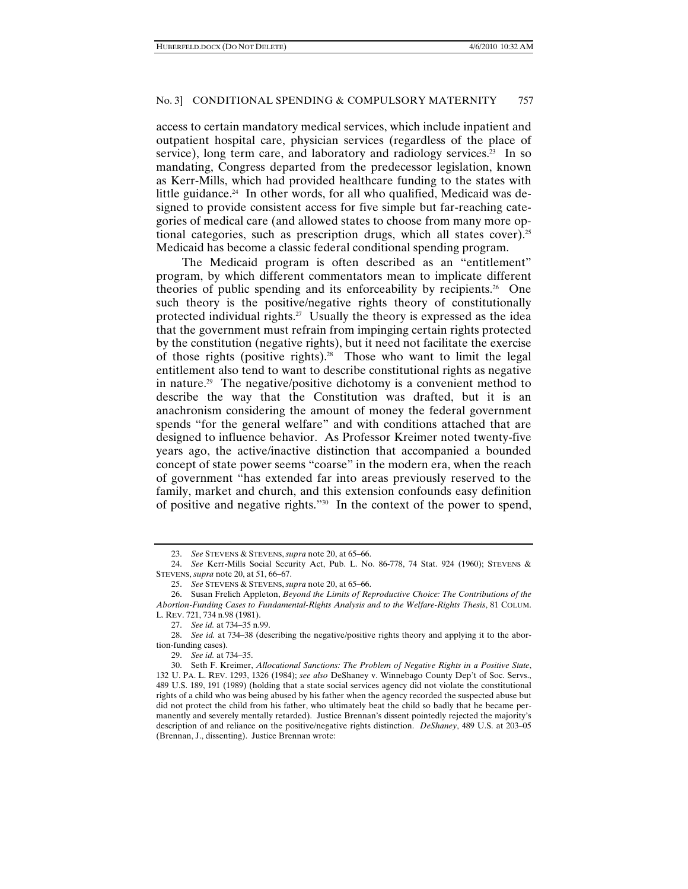access to certain mandatory medical services, which include inpatient and outpatient hospital care, physician services (regardless of the place of service), long term care, and laboratory and radiology services.<sup>23</sup> In so mandating, Congress departed from the predecessor legislation, known as Kerr-Mills, which had provided healthcare funding to the states with little guidance.<sup>24</sup> In other words, for all who qualified, Medicaid was designed to provide consistent access for five simple but far-reaching categories of medical care (and allowed states to choose from many more optional categories, such as prescription drugs, which all states cover).25 Medicaid has become a classic federal conditional spending program.

The Medicaid program is often described as an "entitlement" program, by which different commentators mean to implicate different theories of public spending and its enforceability by recipients.<sup>26</sup> One such theory is the positive/negative rights theory of constitutionally protected individual rights.<sup>27</sup> Usually the theory is expressed as the idea that the government must refrain from impinging certain rights protected by the constitution (negative rights), but it need not facilitate the exercise of those rights (positive rights).<sup>28</sup> Those who want to limit the legal entitlement also tend to want to describe constitutional rights as negative in nature.29 The negative/positive dichotomy is a convenient method to describe the way that the Constitution was drafted, but it is an anachronism considering the amount of money the federal government spends "for the general welfare" and with conditions attached that are designed to influence behavior. As Professor Kreimer noted twenty-five years ago, the active/inactive distinction that accompanied a bounded concept of state power seems "coarse" in the modern era, when the reach of government "has extended far into areas previously reserved to the family, market and church, and this extension confounds easy definition of positive and negative rights."30 In the context of the power to spend,

 <sup>23.</sup> *See* STEVENS & STEVENS, *supra* note 20, at 65–66.

 <sup>24.</sup> *See* Kerr-Mills Social Security Act, Pub. L. No. 86-778, 74 Stat. 924 (1960); STEVENS & STEVENS, *supra* note 20, at 51, 66–67.

 <sup>25.</sup> *See* STEVENS & STEVENS, *supra* note 20, at 65–66.

 <sup>26.</sup> Susan Frelich Appleton, *Beyond the Limits of Reproductive Choice: The Contributions of the Abortion-Funding Cases to Fundamental-Rights Analysis and to the Welfare-Rights Thesis*, 81 COLUM. L. REV. 721, 734 n.98 (1981).

 <sup>27.</sup> *See id.* at 734–35 n.99.

 <sup>28.</sup> *See id.* at 734–38 (describing the negative/positive rights theory and applying it to the abortion-funding cases).

 <sup>29.</sup> *See id.* at 734–35.

 <sup>30.</sup> Seth F. Kreimer, *Allocational Sanctions: The Problem of Negative Rights in a Positive State*, 132 U. PA. L. REV. 1293, 1326 (1984); *see also* DeShaney v. Winnebago County Dep't of Soc. Servs., 489 U.S. 189, 191 (1989) (holding that a state social services agency did not violate the constitutional rights of a child who was being abused by his father when the agency recorded the suspected abuse but did not protect the child from his father, who ultimately beat the child so badly that he became permanently and severely mentally retarded). Justice Brennan's dissent pointedly rejected the majority's description of and reliance on the positive/negative rights distinction. *DeShaney*, 489 U.S. at 203–05 (Brennan, J., dissenting). Justice Brennan wrote: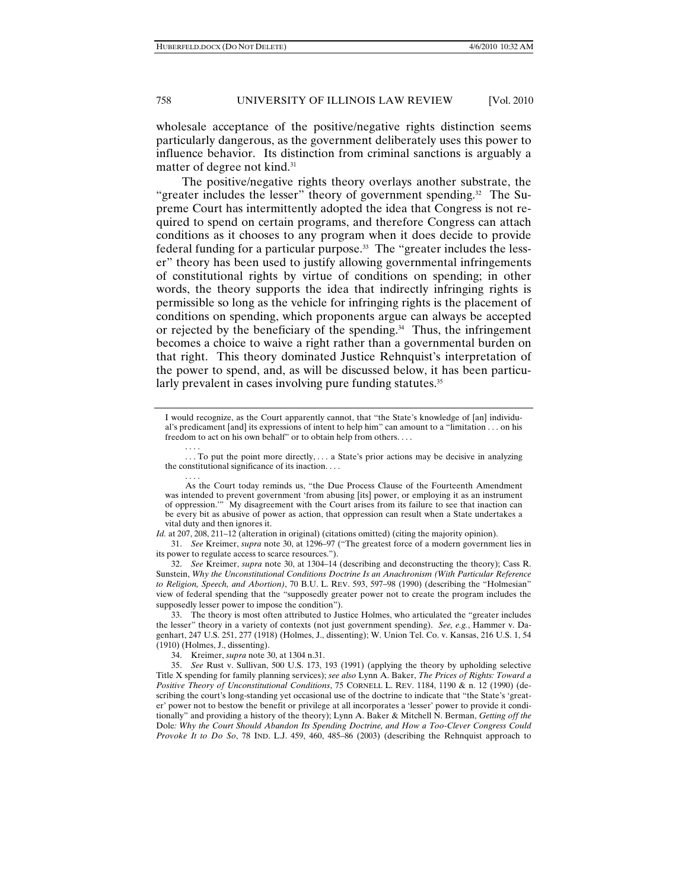wholesale acceptance of the positive/negative rights distinction seems particularly dangerous, as the government deliberately uses this power to influence behavior. Its distinction from criminal sanctions is arguably a matter of degree not kind.31

The positive/negative rights theory overlays another substrate, the "greater includes the lesser" theory of government spending.<sup>32</sup> The Supreme Court has intermittently adopted the idea that Congress is not required to spend on certain programs, and therefore Congress can attach conditions as it chooses to any program when it does decide to provide federal funding for a particular purpose.33 The "greater includes the lesser" theory has been used to justify allowing governmental infringements of constitutional rights by virtue of conditions on spending; in other words, the theory supports the idea that indirectly infringing rights is permissible so long as the vehicle for infringing rights is the placement of conditions on spending, which proponents argue can always be accepted or rejected by the beneficiary of the spending.34 Thus, the infringement becomes a choice to waive a right rather than a governmental burden on that right. This theory dominated Justice Rehnquist's interpretation of the power to spend, and, as will be discussed below, it has been particularly prevalent in cases involving pure funding statutes.<sup>35</sup>

. . . .

I would recognize, as the Court apparently cannot, that "the State's knowledge of [an] individual's predicament [and] its expressions of intent to help him" can amount to a "limitation . . . on his freedom to act on his own behalf" or to obtain help from others. . . .

<sup>.</sup> . . To put the point more directly, . . . a State's prior actions may be decisive in analyzing the constitutional significance of its inaction. . . .

<sup>. . . .</sup>  As the Court today reminds us, "the Due Process Clause of the Fourteenth Amendment was intended to prevent government 'from abusing [its] power, or employing it as an instrument of oppression.'" My disagreement with the Court arises from its failure to see that inaction can be every bit as abusive of power as action, that oppression can result when a State undertakes a vital duty and then ignores it.

*Id.* at 207, 208, 211–12 (alteration in original) (citations omitted) (citing the majority opinion).

 <sup>31.</sup> *See* Kreimer, *supra* note 30, at 1296–97 ("The greatest force of a modern government lies in its power to regulate access to scarce resources.").

 <sup>32.</sup> *See* Kreimer, *supra* note 30, at 1304–14 (describing and deconstructing the theory); Cass R. Sunstein, *Why the Unconstitutional Conditions Doctrine Is an Anachronism (With Particular Reference to Religion, Speech, and Abortion)*, 70 B.U. L. REV. 593, 597–98 (1990) (describing the "Holmesian" view of federal spending that the "supposedly greater power not to create the program includes the supposedly lesser power to impose the condition").

 <sup>33.</sup> The theory is most often attributed to Justice Holmes, who articulated the "greater includes the lesser" theory in a variety of contexts (not just government spending). *See, e.g.*, Hammer v. Dagenhart, 247 U.S. 251, 277 (1918) (Holmes, J., dissenting); W. Union Tel. Co. v. Kansas, 216 U.S. 1, 54 (1910) (Holmes, J., dissenting).

 <sup>34.</sup> Kreimer, *supra* note 30, at 1304 n.31.

 <sup>35.</sup> *See* Rust v. Sullivan, 500 U.S. 173, 193 (1991) (applying the theory by upholding selective Title X spending for family planning services); *see also* Lynn A. Baker, *The Prices of Rights: Toward a Positive Theory of Unconstitutional Conditions*, 75 CORNELL L. REV. 1184, 1190 & n. 12 (1990) (describing the court's long-standing yet occasional use of the doctrine to indicate that "the State's 'greater' power not to bestow the benefit or privilege at all incorporates a 'lesser' power to provide it conditionally" and providing a history of the theory); Lynn A. Baker & Mitchell N. Berman, *Getting off the*  Dole*: Why the Court Should Abandon Its Spending Doctrine, and How a Too-Clever Congress Could Provoke It to Do So*, 78 IND. L.J. 459, 460, 485–86 (2003) (describing the Rehnquist approach to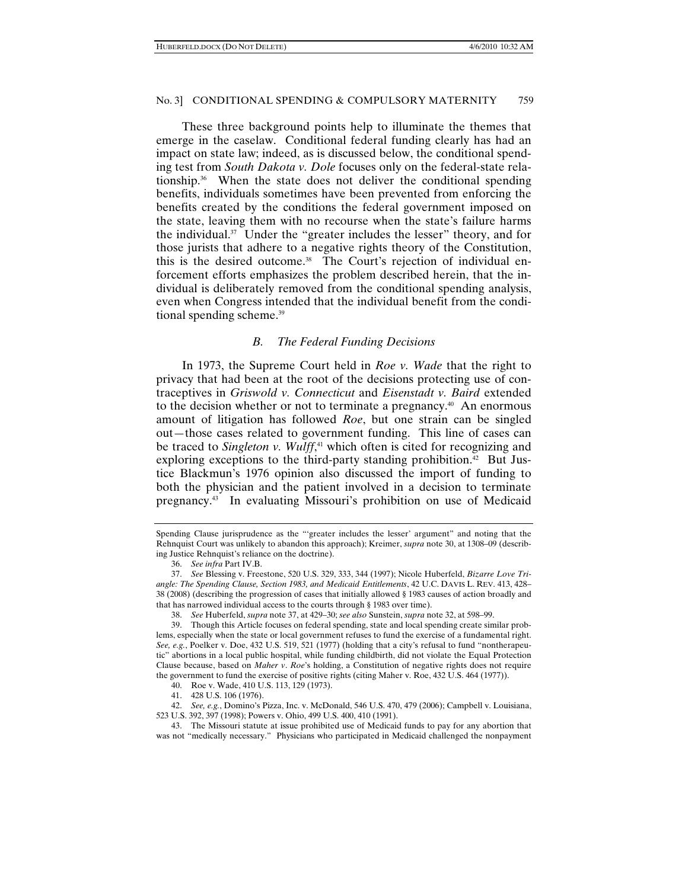These three background points help to illuminate the themes that emerge in the caselaw. Conditional federal funding clearly has had an impact on state law; indeed, as is discussed below, the conditional spending test from *South Dakota v. Dole* focuses only on the federal-state relationship. $36$  When the state does not deliver the conditional spending benefits, individuals sometimes have been prevented from enforcing the benefits created by the conditions the federal government imposed on the state, leaving them with no recourse when the state's failure harms the individual. $37$  Under the "greater includes the lesser" theory, and for those jurists that adhere to a negative rights theory of the Constitution, this is the desired outcome.<sup>38</sup> The Court's rejection of individual enforcement efforts emphasizes the problem described herein, that the individual is deliberately removed from the conditional spending analysis, even when Congress intended that the individual benefit from the conditional spending scheme.<sup>39</sup>

#### *B. The Federal Funding Decisions*

In 1973, the Supreme Court held in *Roe v. Wade* that the right to privacy that had been at the root of the decisions protecting use of contraceptives in *Griswold v. Connecticut* and *Eisenstadt v. Baird* extended to the decision whether or not to terminate a pregnancy.<sup>40</sup> An enormous amount of litigation has followed *Roe*, but one strain can be singled out—those cases related to government funding. This line of cases can be traced to *Singleton v. Wulff*, 41 which often is cited for recognizing and exploring exceptions to the third-party standing prohibition.<sup>42</sup> But Justice Blackmun's 1976 opinion also discussed the import of funding to both the physician and the patient involved in a decision to terminate pregnancy.43 In evaluating Missouri's prohibition on use of Medicaid

Spending Clause jurisprudence as the "'greater includes the lesser' argument" and noting that the Rehnquist Court was unlikely to abandon this approach); Kreimer, *supra* note 30, at 1308–09 (describing Justice Rehnquist's reliance on the doctrine).

 <sup>36.</sup> *See infra* Part IV.B.

 <sup>37.</sup> *See* Blessing v. Freestone, 520 U.S. 329, 333, 344 (1997); Nicole Huberfeld, *Bizarre Love Triangle: The Spending Clause, Section 1983, and Medicaid Entitlements*, 42 U.C. DAVIS L. REV. 413, 428– 38 (2008) (describing the progression of cases that initially allowed § 1983 causes of action broadly and that has narrowed individual access to the courts through § 1983 over time).

 <sup>38.</sup> *See* Huberfeld, *supra* note 37, at 429–30; *see also* Sunstein, *supra* note 32, at 598–99.

 <sup>39.</sup> Though this Article focuses on federal spending, state and local spending create similar problems, especially when the state or local government refuses to fund the exercise of a fundamental right. *See, e.g.*, Poelker v. Doe, 432 U.S. 519, 521 (1977) (holding that a city's refusal to fund "nontherapeutic" abortions in a local public hospital, while funding childbirth, did not violate the Equal Protection Clause because, based on *Maher v*. *Roe*'s holding, a Constitution of negative rights does not require the government to fund the exercise of positive rights (citing Maher v. Roe, 432 U.S. 464 (1977)).

 <sup>40.</sup> Roe v. Wade, 410 U.S. 113, 129 (1973).

 <sup>41. 428</sup> U.S. 106 (1976).

 <sup>42.</sup> *See, e.g.*, Domino's Pizza, Inc. v. McDonald, 546 U.S. 470, 479 (2006); Campbell v. Louisiana, 523 U.S. 392, 397 (1998); Powers v. Ohio, 499 U.S. 400, 410 (1991).

 <sup>43.</sup> The Missouri statute at issue prohibited use of Medicaid funds to pay for any abortion that was not "medically necessary." Physicians who participated in Medicaid challenged the nonpayment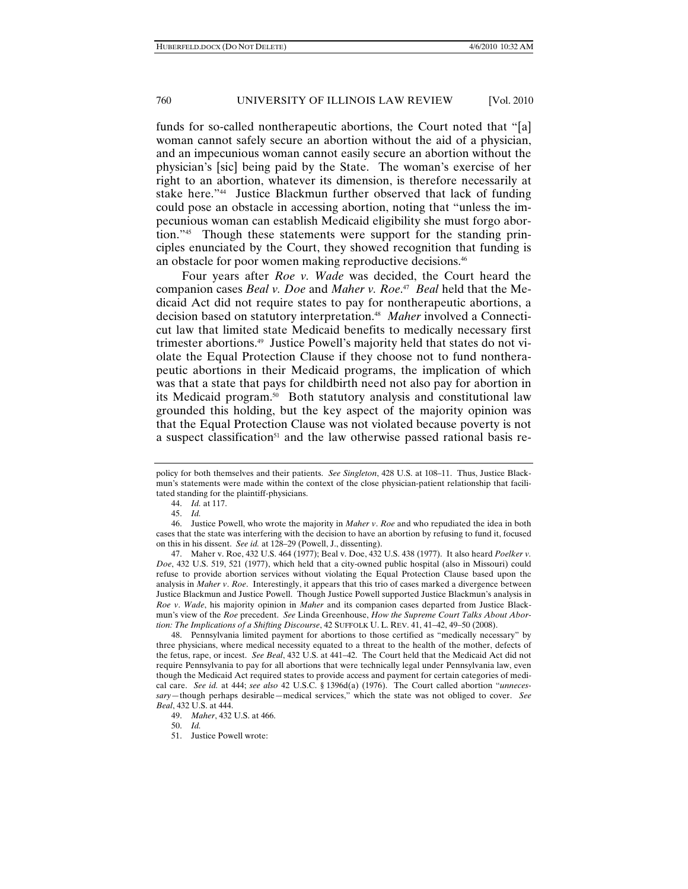funds for so-called nontherapeutic abortions, the Court noted that "[a] woman cannot safely secure an abortion without the aid of a physician, and an impecunious woman cannot easily secure an abortion without the physician's [sic] being paid by the State. The woman's exercise of her right to an abortion, whatever its dimension, is therefore necessarily at stake here."44 Justice Blackmun further observed that lack of funding could pose an obstacle in accessing abortion, noting that "unless the impecunious woman can establish Medicaid eligibility she must forgo abortion."45 Though these statements were support for the standing principles enunciated by the Court, they showed recognition that funding is an obstacle for poor women making reproductive decisions.<sup>46</sup>

Four years after *Roe v. Wade* was decided, the Court heard the companion cases *Beal v. Doe* and *Maher v. Roe*. 47 *Beal* held that the Medicaid Act did not require states to pay for nontherapeutic abortions, a decision based on statutory interpretation.48 *Maher* involved a Connecticut law that limited state Medicaid benefits to medically necessary first trimester abortions.49 Justice Powell's majority held that states do not violate the Equal Protection Clause if they choose not to fund nontherapeutic abortions in their Medicaid programs, the implication of which was that a state that pays for childbirth need not also pay for abortion in its Medicaid program.<sup>50</sup> Both statutory analysis and constitutional law grounded this holding, but the key aspect of the majority opinion was that the Equal Protection Clause was not violated because poverty is not a suspect classification<sup>51</sup> and the law otherwise passed rational basis re-

44. *Id.* at 117.

 47. Maher v. Roe, 432 U.S. 464 (1977); Beal v. Doe, 432 U.S. 438 (1977). It also heard *Poelker v. Doe*, 432 U.S. 519, 521 (1977), which held that a city-owned public hospital (also in Missouri) could refuse to provide abortion services without violating the Equal Protection Clause based upon the analysis in *Maher v*. *Roe*. Interestingly, it appears that this trio of cases marked a divergence between Justice Blackmun and Justice Powell. Though Justice Powell supported Justice Blackmun's analysis in *Roe v*. *Wade*, his majority opinion in *Maher* and its companion cases departed from Justice Blackmun's view of the *Roe* precedent. *See* Linda Greenhouse, *How the Supreme Court Talks About Abortion: The Implications of a Shifting Discourse*, 42 SUFFOLK U. L. REV. 41, 41–42, 49–50 (2008).

 48. Pennsylvania limited payment for abortions to those certified as "medically necessary" by three physicians, where medical necessity equated to a threat to the health of the mother, defects of the fetus, rape, or incest. *See Beal*, 432 U.S. at 441–42. The Court held that the Medicaid Act did not require Pennsylvania to pay for all abortions that were technically legal under Pennsylvania law, even though the Medicaid Act required states to provide access and payment for certain categories of medical care. *See id.* at 444; *see also* 42 U.S.C. § 1396d(a) (1976). The Court called abortion "*unnecessary*—though perhaps desirable—medical services," which the state was not obliged to cover. *See Beal*, 432 U.S. at 444.

50. *Id.*

policy for both themselves and their patients. *See Singleton*, 428 U.S. at 108–11. Thus, Justice Blackmun's statements were made within the context of the close physician-patient relationship that facilitated standing for the plaintiff-physicians.

 <sup>45.</sup> *Id.*

 <sup>46.</sup> Justice Powell, who wrote the majority in *Maher v*. *Roe* and who repudiated the idea in both cases that the state was interfering with the decision to have an abortion by refusing to fund it, focused on this in his dissent. *See id.* at 128–29 (Powell, J., dissenting).

 <sup>49.</sup> *Maher*, 432 U.S. at 466.

 <sup>51.</sup> Justice Powell wrote: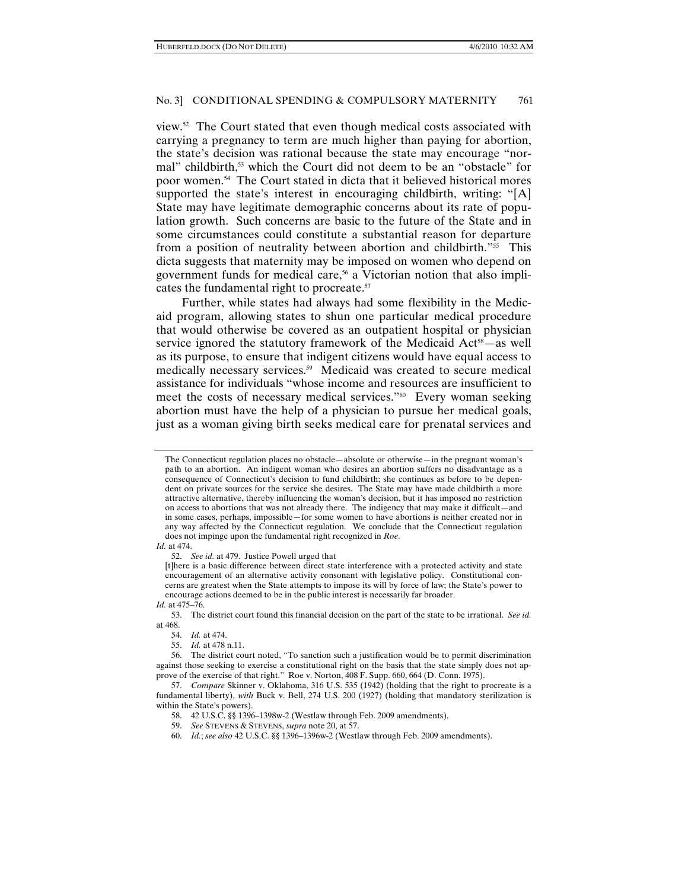view.52 The Court stated that even though medical costs associated with carrying a pregnancy to term are much higher than paying for abortion, the state's decision was rational because the state may encourage "normal" childbirth,<sup>53</sup> which the Court did not deem to be an "obstacle" for poor women.54 The Court stated in dicta that it believed historical mores supported the state's interest in encouraging childbirth, writing: "[A] State may have legitimate demographic concerns about its rate of population growth. Such concerns are basic to the future of the State and in some circumstances could constitute a substantial reason for departure from a position of neutrality between abortion and childbirth."55 This dicta suggests that maternity may be imposed on women who depend on government funds for medical care,<sup>56</sup> a Victorian notion that also implicates the fundamental right to procreate.57

Further, while states had always had some flexibility in the Medicaid program, allowing states to shun one particular medical procedure that would otherwise be covered as an outpatient hospital or physician service ignored the statutory framework of the Medicaid  $Act^{58}$ —as well as its purpose, to ensure that indigent citizens would have equal access to medically necessary services.59 Medicaid was created to secure medical assistance for individuals "whose income and resources are insufficient to meet the costs of necessary medical services."60 Every woman seeking abortion must have the help of a physician to pursue her medical goals, just as a woman giving birth seeks medical care for prenatal services and

*Id.* at 474.

52. *See id.* at 479. Justice Powell urged that

[t]here is a basic difference between direct state interference with a protected activity and state encouragement of an alternative activity consonant with legislative policy. Constitutional concerns are greatest when the State attempts to impose its will by force of law; the State's power to encourage actions deemed to be in the public interest is necessarily far broader.

 53. The district court found this financial decision on the part of the state to be irrational. *See id.* at 468.

The Connecticut regulation places no obstacle—absolute or otherwise—in the pregnant woman's path to an abortion. An indigent woman who desires an abortion suffers no disadvantage as a consequence of Connecticut's decision to fund childbirth; she continues as before to be dependent on private sources for the service she desires. The State may have made childbirth a more attractive alternative, thereby influencing the woman's decision, but it has imposed no restriction on access to abortions that was not already there. The indigency that may make it difficult—and in some cases, perhaps, impossible—for some women to have abortions is neither created nor in any way affected by the Connecticut regulation. We conclude that the Connecticut regulation does not impinge upon the fundamental right recognized in *Roe*.

*Id.* at 475–76.

 <sup>54.</sup> *Id.* at 474.

 <sup>55.</sup> *Id.* at 478 n.11.

 <sup>56.</sup> The district court noted, "To sanction such a justification would be to permit discrimination against those seeking to exercise a constitutional right on the basis that the state simply does not approve of the exercise of that right." Roe v. Norton, 408 F. Supp. 660, 664 (D. Conn. 1975).

 <sup>57.</sup> *Compare* Skinner v. Oklahoma, 316 U.S. 535 (1942) (holding that the right to procreate is a fundamental liberty), *with* Buck v. Bell, 274 U.S. 200 (1927) (holding that mandatory sterilization is within the State's powers).

 <sup>58. 42</sup> U.S.C. §§ 1396–1398w-2 (Westlaw through Feb. 2009 amendments).

 <sup>59.</sup> *See* STEVENS & STEVENS, *supra* note 20, at 57.

 <sup>60.</sup> *Id.*; *see also* 42 U.S.C. §§ 1396–1396w-2 (Westlaw through Feb. 2009 amendments).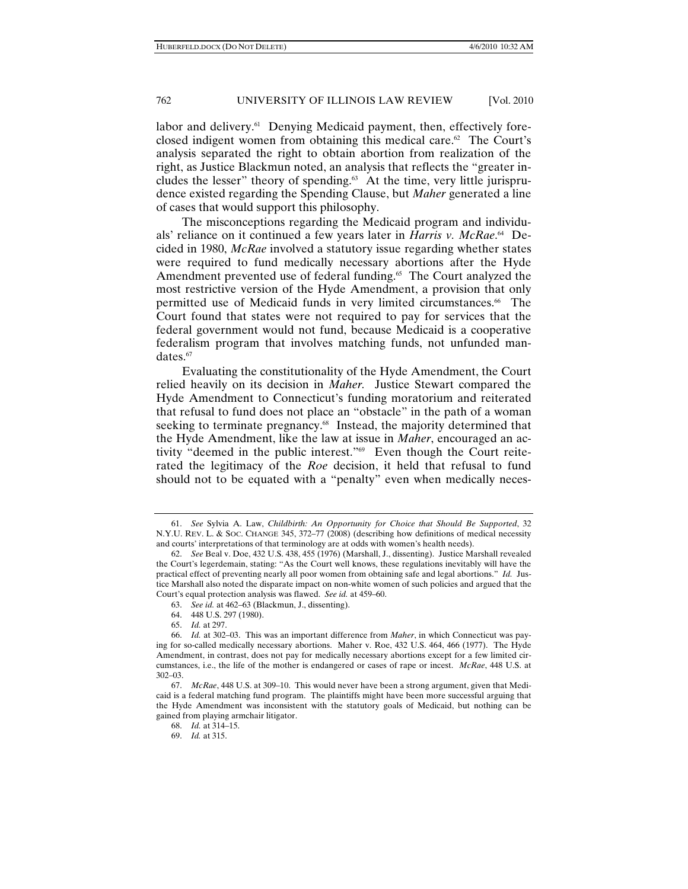labor and delivery.<sup>61</sup> Denying Medicaid payment, then, effectively foreclosed indigent women from obtaining this medical care.<sup>62</sup> The Court's analysis separated the right to obtain abortion from realization of the right, as Justice Blackmun noted, an analysis that reflects the "greater includes the lesser" theory of spending.<sup>63</sup> At the time, very little jurisprudence existed regarding the Spending Clause, but *Maher* generated a line of cases that would support this philosophy.

The misconceptions regarding the Medicaid program and individuals' reliance on it continued a few years later in *Harris v. McRae*. 64 Decided in 1980, *McRae* involved a statutory issue regarding whether states were required to fund medically necessary abortions after the Hyde Amendment prevented use of federal funding.<sup>65</sup> The Court analyzed the most restrictive version of the Hyde Amendment, a provision that only permitted use of Medicaid funds in very limited circumstances.<sup>66</sup> The Court found that states were not required to pay for services that the federal government would not fund, because Medicaid is a cooperative federalism program that involves matching funds, not unfunded mandates.<sup>67</sup>

Evaluating the constitutionality of the Hyde Amendment, the Court relied heavily on its decision in *Maher.* Justice Stewart compared the Hyde Amendment to Connecticut's funding moratorium and reiterated that refusal to fund does not place an "obstacle" in the path of a woman seeking to terminate pregnancy.<sup>68</sup> Instead, the majority determined that the Hyde Amendment, like the law at issue in *Maher*, encouraged an activity "deemed in the public interest."69 Even though the Court reiterated the legitimacy of the *Roe* decision, it held that refusal to fund should not to be equated with a "penalty" even when medically neces-

 <sup>61.</sup> *See* Sylvia A. Law, *Childbirth: An Opportunity for Choice that Should Be Supported*, 32 N.Y.U. REV. L. & SOC. CHANGE 345, 372–77 (2008) (describing how definitions of medical necessity and courts' interpretations of that terminology are at odds with women's health needs).

 <sup>62.</sup> *See* Beal v. Doe, 432 U.S. 438, 455 (1976) (Marshall, J., dissenting). Justice Marshall revealed the Court's legerdemain, stating: "As the Court well knows, these regulations inevitably will have the practical effect of preventing nearly all poor women from obtaining safe and legal abortions." *Id.* Justice Marshall also noted the disparate impact on non-white women of such policies and argued that the Court's equal protection analysis was flawed. *See id.* at 459–60.

 <sup>63.</sup> *See id.* at 462–63 (Blackmun, J., dissenting).

 <sup>64. 448</sup> U.S. 297 (1980).

 <sup>65.</sup> *Id.* at 297.

 <sup>66.</sup> *Id.* at 302–03. This was an important difference from *Maher*, in which Connecticut was paying for so-called medically necessary abortions. Maher v. Roe, 432 U.S. 464, 466 (1977). The Hyde Amendment, in contrast, does not pay for medically necessary abortions except for a few limited circumstances, i.e., the life of the mother is endangered or cases of rape or incest. *McRae*, 448 U.S. at 302–03.

 <sup>67.</sup> *McRae*, 448 U.S. at 309–10. This would never have been a strong argument, given that Medicaid is a federal matching fund program. The plaintiffs might have been more successful arguing that the Hyde Amendment was inconsistent with the statutory goals of Medicaid, but nothing can be gained from playing armchair litigator.

 <sup>68.</sup> *Id.* at 314–15.

 <sup>69.</sup> *Id.* at 315.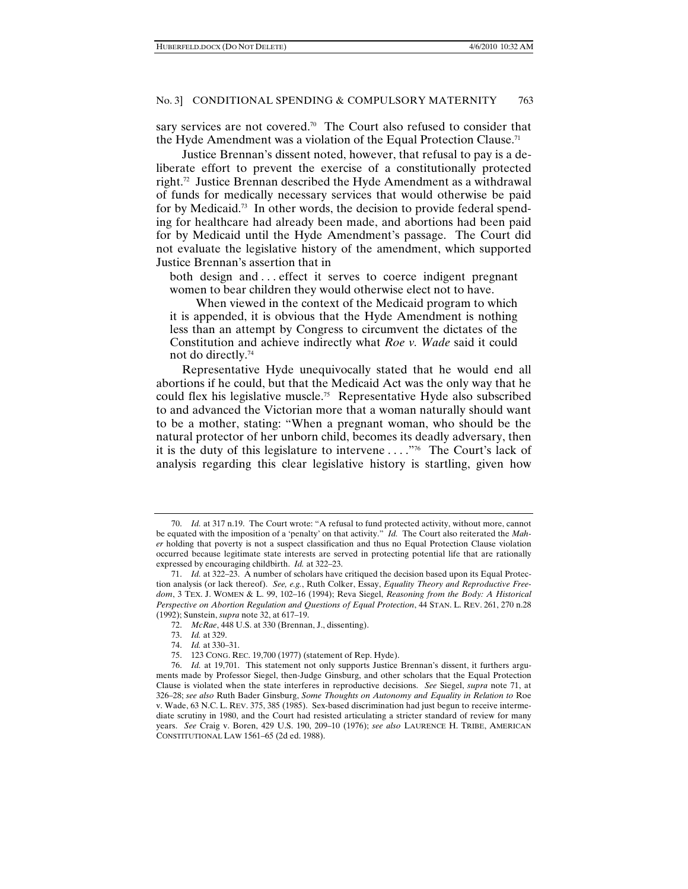sary services are not covered.<sup>70</sup> The Court also refused to consider that the Hyde Amendment was a violation of the Equal Protection Clause.<sup>71</sup>

Justice Brennan's dissent noted, however, that refusal to pay is a deliberate effort to prevent the exercise of a constitutionally protected right.72 Justice Brennan described the Hyde Amendment as a withdrawal of funds for medically necessary services that would otherwise be paid for by Medicaid.<sup>73</sup> In other words, the decision to provide federal spending for healthcare had already been made, and abortions had been paid for by Medicaid until the Hyde Amendment's passage. The Court did not evaluate the legislative history of the amendment, which supported Justice Brennan's assertion that in

both design and ... effect it serves to coerce indigent pregnant women to bear children they would otherwise elect not to have.

When viewed in the context of the Medicaid program to which it is appended, it is obvious that the Hyde Amendment is nothing less than an attempt by Congress to circumvent the dictates of the Constitution and achieve indirectly what *Roe v. Wade* said it could not do directly.74

Representative Hyde unequivocally stated that he would end all abortions if he could, but that the Medicaid Act was the only way that he could flex his legislative muscle.75 Representative Hyde also subscribed to and advanced the Victorian more that a woman naturally should want to be a mother, stating: "When a pregnant woman, who should be the natural protector of her unborn child, becomes its deadly adversary, then it is the duty of this legislature to intervene . . . ."76 The Court's lack of analysis regarding this clear legislative history is startling, given how

 <sup>70.</sup> *Id.* at 317 n.19. The Court wrote: "A refusal to fund protected activity, without more, cannot be equated with the imposition of a 'penalty' on that activity." *Id.* The Court also reiterated the *Maher* holding that poverty is not a suspect classification and thus no Equal Protection Clause violation occurred because legitimate state interests are served in protecting potential life that are rationally expressed by encouraging childbirth. *Id.* at 322–23.

 <sup>71.</sup> *Id.* at 322–23. A number of scholars have critiqued the decision based upon its Equal Protection analysis (or lack thereof). *See, e.g.*, Ruth Colker, Essay, *Equality Theory and Reproductive Freedom*, 3 TEX. J. WOMEN & L. 99, 102–16 (1994); Reva Siegel, *Reasoning from the Body: A Historical Perspective on Abortion Regulation and Questions of Equal Protection*, 44 STAN. L. REV. 261, 270 n.28 (1992); Sunstein, *supra* note 32, at 617–19.

 <sup>72.</sup> *McRae*, 448 U.S. at 330 (Brennan, J., dissenting).

 <sup>73.</sup> *Id.* at 329.

 <sup>74.</sup> *Id.* at 330–31.

 <sup>75. 123</sup> CONG. REC. 19,700 (1977) (statement of Rep. Hyde).

 <sup>76.</sup> *Id.* at 19,701. This statement not only supports Justice Brennan's dissent, it furthers arguments made by Professor Siegel, then-Judge Ginsburg, and other scholars that the Equal Protection Clause is violated when the state interferes in reproductive decisions. *See* Siegel, *supra* note 71, at 326–28; *see also* Ruth Bader Ginsburg, *Some Thoughts on Autonomy and Equality in Relation to* Roe v. Wade, 63 N.C. L. REV. 375, 385 (1985). Sex-based discrimination had just begun to receive intermediate scrutiny in 1980, and the Court had resisted articulating a stricter standard of review for many years. *See* Craig v. Boren, 429 U.S. 190, 209–10 (1976); *see also* LAURENCE H. TRIBE, AMERICAN CONSTITUTIONAL LAW 1561–65 (2d ed. 1988).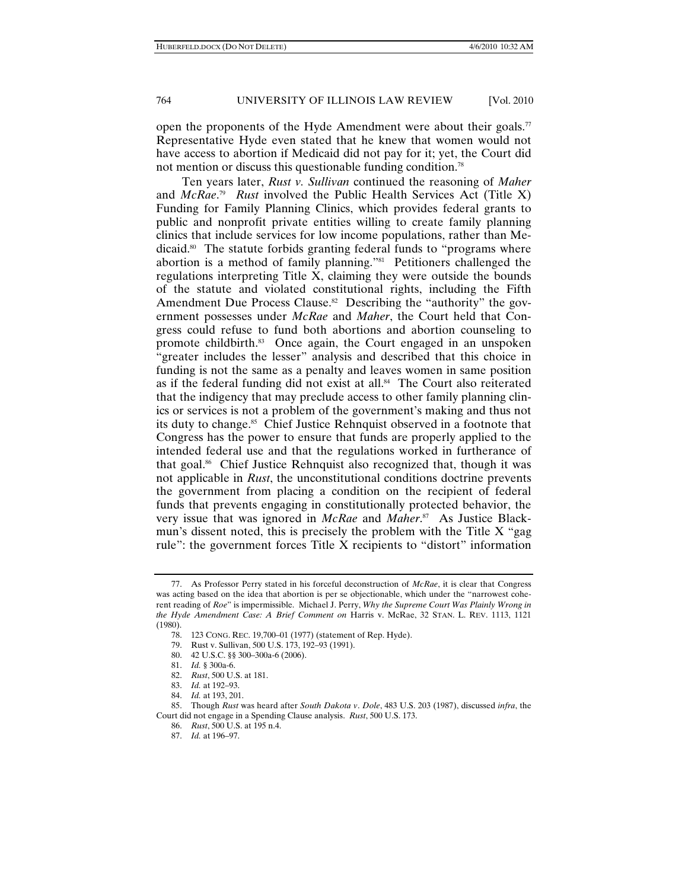open the proponents of the Hyde Amendment were about their goals.<sup>77</sup> Representative Hyde even stated that he knew that women would not have access to abortion if Medicaid did not pay for it; yet, the Court did not mention or discuss this questionable funding condition.<sup>78</sup>

Ten years later, *Rust v. Sullivan* continued the reasoning of *Maher* and *McRae*. 79 *Rust* involved the Public Health Services Act (Title X) Funding for Family Planning Clinics, which provides federal grants to public and nonprofit private entities willing to create family planning clinics that include services for low income populations, rather than Medicaid.80 The statute forbids granting federal funds to "programs where abortion is a method of family planning."81 Petitioners challenged the regulations interpreting Title X, claiming they were outside the bounds of the statute and violated constitutional rights, including the Fifth Amendment Due Process Clause.<sup>82</sup> Describing the "authority" the government possesses under *McRae* and *Maher*, the Court held that Congress could refuse to fund both abortions and abortion counseling to promote childbirth.83 Once again, the Court engaged in an unspoken "greater includes the lesser" analysis and described that this choice in funding is not the same as a penalty and leaves women in same position as if the federal funding did not exist at all.<sup>84</sup> The Court also reiterated that the indigency that may preclude access to other family planning clinics or services is not a problem of the government's making and thus not its duty to change.<sup>85</sup> Chief Justice Rehnquist observed in a footnote that Congress has the power to ensure that funds are properly applied to the intended federal use and that the regulations worked in furtherance of that goal.86 Chief Justice Rehnquist also recognized that, though it was not applicable in *Rust*, the unconstitutional conditions doctrine prevents the government from placing a condition on the recipient of federal funds that prevents engaging in constitutionally protected behavior, the very issue that was ignored in *McRae* and *Maher*. 87 As Justice Blackmun's dissent noted, this is precisely the problem with the Title X "gag rule": the government forces Title X recipients to "distort" information

 <sup>77.</sup> As Professor Perry stated in his forceful deconstruction of *McRae*, it is clear that Congress was acting based on the idea that abortion is per se objectionable, which under the "narrowest coherent reading of *Roe*" is impermissible. Michael J. Perry, *Why the Supreme Court Was Plainly Wrong in the Hyde Amendment Case: A Brief Comment on* Harris v. McRae, 32 STAN. L. REV. 1113, 1121 (1980).

 <sup>78. 123</sup> CONG. REC. 19,700–01 (1977) (statement of Rep. Hyde).

 <sup>79.</sup> Rust v. Sullivan, 500 U.S. 173, 192–93 (1991).

 <sup>80. 42</sup> U.S.C. §§ 300–300a-6 (2006).

 <sup>81.</sup> *Id.* § 300a-6.

 <sup>82.</sup> *Rust*, 500 U.S. at 181.

 <sup>83.</sup> *Id.* at 192–93.

 <sup>84.</sup> *Id.* at 193, 201.

 <sup>85.</sup> Though *Rust* was heard after *South Dakota v*. *Dole*, 483 U.S. 203 (1987), discussed *infra*, the Court did not engage in a Spending Clause analysis. *Rust*, 500 U.S. 173.

 <sup>86.</sup> *Rust*, 500 U.S. at 195 n.4.

 <sup>87.</sup> *Id.* at 196–97.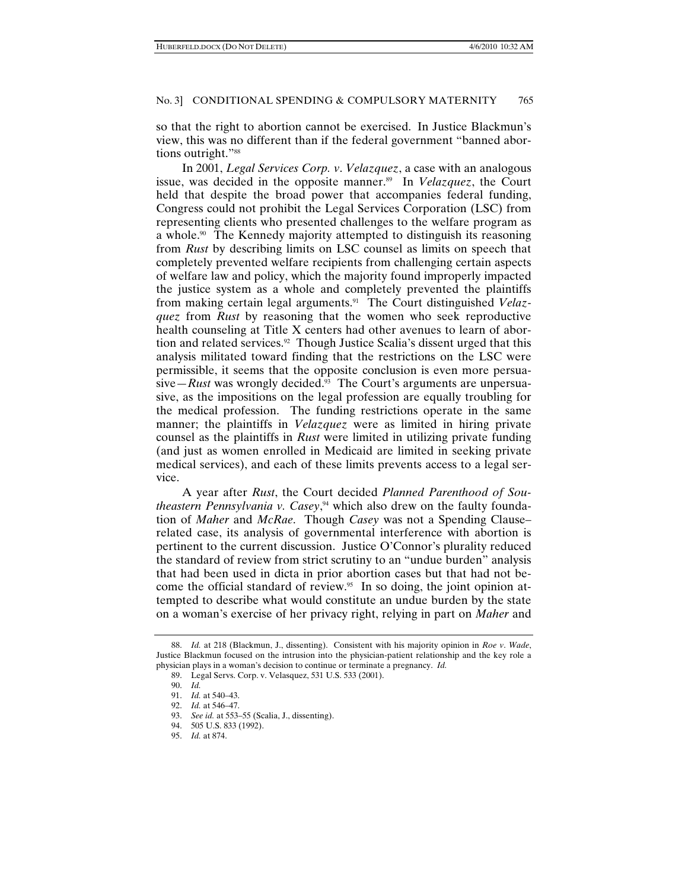so that the right to abortion cannot be exercised. In Justice Blackmun's view, this was no different than if the federal government "banned abortions outright."<sup>88</sup>

In 2001, *Legal Services Corp. v*. *Velazquez*, a case with an analogous issue, was decided in the opposite manner.<sup>89</sup> In *Velazquez*, the Court held that despite the broad power that accompanies federal funding, Congress could not prohibit the Legal Services Corporation (LSC) from representing clients who presented challenges to the welfare program as a whole.<sup>90</sup> The Kennedy majority attempted to distinguish its reasoning from *Rust* by describing limits on LSC counsel as limits on speech that completely prevented welfare recipients from challenging certain aspects of welfare law and policy, which the majority found improperly impacted the justice system as a whole and completely prevented the plaintiffs from making certain legal arguments.91 The Court distinguished *Velazquez* from *Rust* by reasoning that the women who seek reproductive health counseling at Title X centers had other avenues to learn of abortion and related services.<sup>92</sup> Though Justice Scalia's dissent urged that this analysis militated toward finding that the restrictions on the LSC were permissible, it seems that the opposite conclusion is even more persua- $\sin \theta - Rust$  was wrongly decided.<sup>93</sup> The Court's arguments are unpersuasive, as the impositions on the legal profession are equally troubling for the medical profession. The funding restrictions operate in the same manner; the plaintiffs in *Velazquez* were as limited in hiring private counsel as the plaintiffs in *Rust* were limited in utilizing private funding (and just as women enrolled in Medicaid are limited in seeking private medical services), and each of these limits prevents access to a legal service.

A year after *Rust*, the Court decided *Planned Parenthood of Southeastern Pennsylvania v. Casey*, 94 which also drew on the faulty foundation of *Maher* and *McRae*. Though *Casey* was not a Spending Clause– related case, its analysis of governmental interference with abortion is pertinent to the current discussion. Justice O'Connor's plurality reduced the standard of review from strict scrutiny to an "undue burden" analysis that had been used in dicta in prior abortion cases but that had not become the official standard of review.<sup>95</sup> In so doing, the joint opinion attempted to describe what would constitute an undue burden by the state on a woman's exercise of her privacy right, relying in part on *Maher* and

 <sup>88.</sup> *Id.* at 218 (Blackmun, J., dissenting). Consistent with his majority opinion in *Roe v*. *Wade*, Justice Blackmun focused on the intrusion into the physician-patient relationship and the key role a physician plays in a woman's decision to continue or terminate a pregnancy. *Id.*

 <sup>89.</sup> Legal Servs. Corp. v. Velasquez, 531 U.S. 533 (2001).

 <sup>90.</sup> *Id.*

 <sup>91.</sup> *Id.* at 540–43.

 <sup>92.</sup> *Id.* at 546–47.

 <sup>93.</sup> *See id.* at 553–55 (Scalia, J., dissenting).

 <sup>94. 505</sup> U.S. 833 (1992).

 <sup>95.</sup> *Id.* at 874.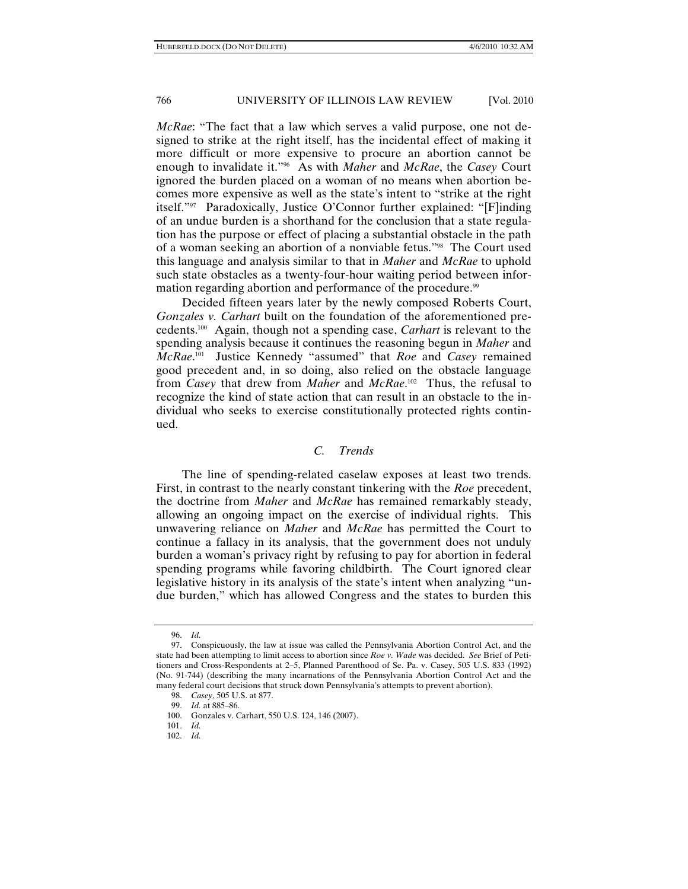*McRae*: "The fact that a law which serves a valid purpose, one not designed to strike at the right itself, has the incidental effect of making it more difficult or more expensive to procure an abortion cannot be enough to invalidate it."96 As with *Maher* and *McRae*, the *Casey* Court ignored the burden placed on a woman of no means when abortion becomes more expensive as well as the state's intent to "strike at the right itself."97 Paradoxically, Justice O'Connor further explained: "[F]inding of an undue burden is a shorthand for the conclusion that a state regulation has the purpose or effect of placing a substantial obstacle in the path of a woman seeking an abortion of a nonviable fetus."98 The Court used this language and analysis similar to that in *Maher* and *McRae* to uphold such state obstacles as a twenty-four-hour waiting period between information regarding abortion and performance of the procedure.<sup>99</sup>

Decided fifteen years later by the newly composed Roberts Court, *Gonzales v. Carhart* built on the foundation of the aforementioned precedents.100 Again, though not a spending case, *Carhart* is relevant to the spending analysis because it continues the reasoning begun in *Maher* and *McRae*. 101 Justice Kennedy "assumed" that *Roe* and *Casey* remained good precedent and, in so doing, also relied on the obstacle language from *Casey* that drew from *Maher* and *McRae*. 102 Thus, the refusal to recognize the kind of state action that can result in an obstacle to the individual who seeks to exercise constitutionally protected rights continued.

# *C. Trends*

The line of spending-related caselaw exposes at least two trends. First, in contrast to the nearly constant tinkering with the *Roe* precedent, the doctrine from *Maher* and *McRae* has remained remarkably steady, allowing an ongoing impact on the exercise of individual rights. This unwavering reliance on *Maher* and *McRae* has permitted the Court to continue a fallacy in its analysis, that the government does not unduly burden a woman's privacy right by refusing to pay for abortion in federal spending programs while favoring childbirth. The Court ignored clear legislative history in its analysis of the state's intent when analyzing "undue burden," which has allowed Congress and the states to burden this

 <sup>96.</sup> *Id.*

 <sup>97.</sup> Conspicuously, the law at issue was called the Pennsylvania Abortion Control Act, and the state had been attempting to limit access to abortion since *Roe v. Wade* was decided. *See* Brief of Petitioners and Cross-Respondents at 2–5, Planned Parenthood of Se. Pa. v. Casey, 505 U.S. 833 (1992) (No. 91-744) (describing the many incarnations of the Pennsylvania Abortion Control Act and the many federal court decisions that struck down Pennsylvania's attempts to prevent abortion).

 <sup>98.</sup> *Casey*, 505 U.S. at 877.

 <sup>99.</sup> *Id.* at 885–86.

 <sup>100.</sup> Gonzales v. Carhart, 550 U.S. 124, 146 (2007).

 <sup>101.</sup> *Id.*

 <sup>102.</sup> *Id.*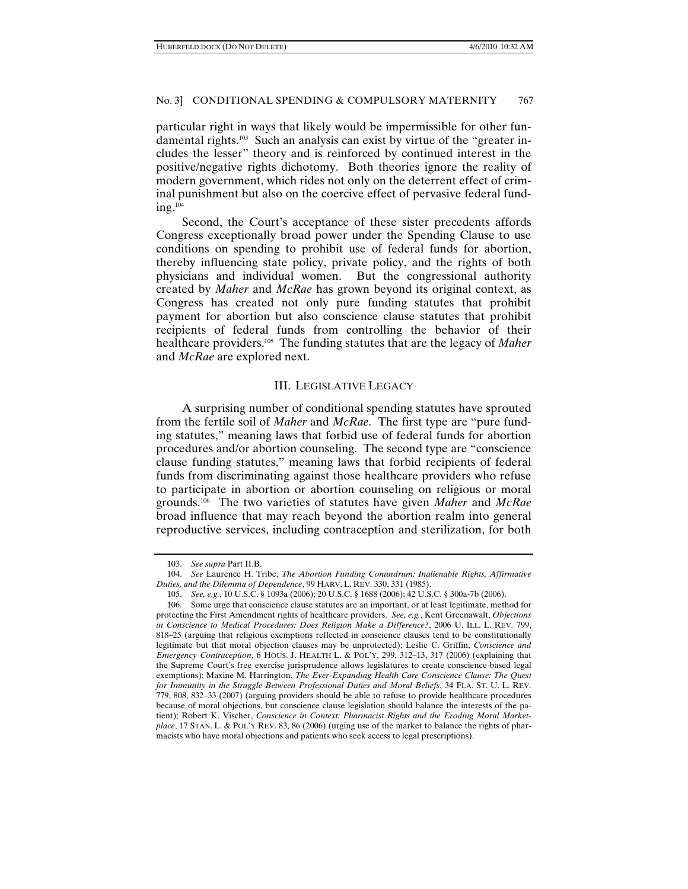particular right in ways that likely would be impermissible for other fundamental rights.103 Such an analysis can exist by virtue of the "greater includes the lesser" theory and is reinforced by continued interest in the positive/negative rights dichotomy. Both theories ignore the reality of modern government, which rides not only on the deterrent effect of criminal punishment but also on the coercive effect of pervasive federal funding.104

Second, the Court's acceptance of these sister precedents affords Congress exceptionally broad power under the Spending Clause to use conditions on spending to prohibit use of federal funds for abortion, thereby influencing state policy, private policy, and the rights of both physicians and individual women. But the congressional authority created by *Maher* and *McRae* has grown beyond its original context, as Congress has created not only pure funding statutes that prohibit payment for abortion but also conscience clause statutes that prohibit recipients of federal funds from controlling the behavior of their healthcare providers.105 The funding statutes that are the legacy of *Maher* and *McRae* are explored next.

### III. LEGISLATIVE LEGACY

A surprising number of conditional spending statutes have sprouted from the fertile soil of *Maher* and *McRae*. The first type are "pure funding statutes," meaning laws that forbid use of federal funds for abortion procedures and/or abortion counseling. The second type are "conscience clause funding statutes," meaning laws that forbid recipients of federal funds from discriminating against those healthcare providers who refuse to participate in abortion or abortion counseling on religious or moral grounds.106 The two varieties of statutes have given *Maher* and *McRae* broad influence that may reach beyond the abortion realm into general reproductive services, including contraception and sterilization, for both

 <sup>103.</sup> *See supra* Part II.B.

 <sup>104.</sup> *See* Laurence H. Tribe, *The Abortion Funding Conundrum: Inalienable Rights, Affirmative Duties, and the Dilemma of Dependence*, 99 HARV. L. REV. 330, 331 (1985).

 <sup>105.</sup> *See, e.g.*, 10 U.S.C. § 1093a (2006); 20 U.S.C. § 1688 (2006); 42 U.S.C. § 300a-7b (2006).

 <sup>106.</sup> Some urge that conscience clause statutes are an important, or at least legitimate, method for protecting the First Amendment rights of healthcare providers. *See, e.g.*, Kent Greenawalt, *Objections in Conscience to Medical Procedures: Does Religion Make a Difference?*, 2006 U. ILL. L. REV. 799, 818–25 (arguing that religious exemptions reflected in conscience clauses tend to be constitutionally legitimate but that moral objection clauses may be unprotected); Leslie C. Griffin, *Conscience and Emergency Contraception*, 6 HOUS. J. HEALTH L. & POL'Y, 299, 312–13, 317 (2006) (explaining that the Supreme Court's free exercise jurisprudence allows legislatures to create conscience-based legal exemptions); Maxine M. Harrington, *The Ever-Expanding Health Care Conscience Clause: The Quest for Immunity in the Struggle Between Professional Duties and Moral Beliefs*, 34 FLA. ST. U. L. REV. 779, 808, 832–33 (2007) (arguing providers should be able to refuse to provide healthcare procedures because of moral objections, but conscience clause legislation should balance the interests of the patient); Robert K. Vischer, *Conscience in Context: Pharmacist Rights and the Eroding Moral Marketplace*, 17 STAN. L. & POL'Y REV. 83, 86 (2006) (urging use of the market to balance the rights of pharmacists who have moral objections and patients who seek access to legal prescriptions).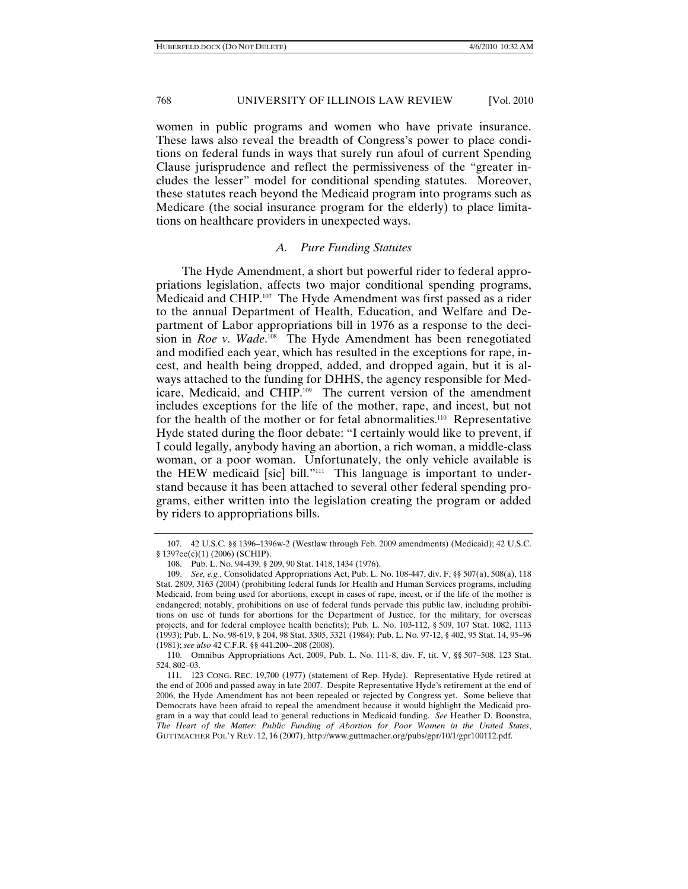women in public programs and women who have private insurance. These laws also reveal the breadth of Congress's power to place conditions on federal funds in ways that surely run afoul of current Spending Clause jurisprudence and reflect the permissiveness of the "greater includes the lesser" model for conditional spending statutes. Moreover, these statutes reach beyond the Medicaid program into programs such as Medicare (the social insurance program for the elderly) to place limitations on healthcare providers in unexpected ways.

# *A. Pure Funding Statutes*

The Hyde Amendment, a short but powerful rider to federal appropriations legislation, affects two major conditional spending programs, Medicaid and CHIP.<sup>107</sup> The Hyde Amendment was first passed as a rider to the annual Department of Health, Education, and Welfare and Department of Labor appropriations bill in 1976 as a response to the decision in *Roe v. Wade*.<sup>108</sup> The Hyde Amendment has been renegotiated and modified each year, which has resulted in the exceptions for rape, incest, and health being dropped, added, and dropped again, but it is always attached to the funding for DHHS, the agency responsible for Medicare, Medicaid, and CHIP.109 The current version of the amendment includes exceptions for the life of the mother, rape, and incest, but not for the health of the mother or for fetal abnormalities.<sup>110</sup> Representative Hyde stated during the floor debate: "I certainly would like to prevent, if I could legally, anybody having an abortion, a rich woman, a middle-class woman, or a poor woman. Unfortunately, the only vehicle available is the HEW medicaid [sic] bill."<sup>111</sup> This language is important to understand because it has been attached to several other federal spending programs, either written into the legislation creating the program or added by riders to appropriations bills.

 <sup>107. 42</sup> U.S.C. §§ 1396–1396w-2 (Westlaw through Feb. 2009 amendments) (Medicaid); 42 U.S.C. § 1397ee(c)(1) (2006) (SCHIP).

 <sup>108.</sup> Pub. L. No. 94-439, § 209, 90 Stat. 1418, 1434 (1976).

 <sup>109.</sup> *See, e.g.*, Consolidated Appropriations Act, Pub. L. No. 108-447, div. F, §§ 507(a), 508(a), 118 Stat. 2809, 3163 (2004) (prohibiting federal funds for Health and Human Services programs, including Medicaid, from being used for abortions, except in cases of rape, incest, or if the life of the mother is endangered; notably, prohibitions on use of federal funds pervade this public law, including prohibitions on use of funds for abortions for the Department of Justice, for the military, for overseas projects, and for federal employee health benefits); Pub. L. No. 103-112, § 509, 107 Stat. 1082, 1113 (1993); Pub. L. No. 98-619, § 204, 98 Stat. 3305, 3321 (1984); Pub. L. No. 97-12, § 402, 95 Stat. 14, 95–96 (1981); *see also* 42 C.F.R. §§ 441.200–.208 (2008).

 <sup>110.</sup> Omnibus Appropriations Act, 2009, Pub. L. No. 111-8, div. F, tit. V, §§ 507–508, 123 Stat. 524, 802–03.

 <sup>111. 123</sup> CONG. REC. 19,700 (1977) (statement of Rep. Hyde). Representative Hyde retired at the end of 2006 and passed away in late 2007. Despite Representative Hyde's retirement at the end of 2006, the Hyde Amendment has not been repealed or rejected by Congress yet. Some believe that Democrats have been afraid to repeal the amendment because it would highlight the Medicaid program in a way that could lead to general reductions in Medicaid funding. *See* Heather D. Boonstra, *The Heart of the Matter: Public Funding of Abortion for Poor Women in the United States*, GUTTMACHER POL'Y REV. 12, 16 (2007), http://www.guttmacher.org/pubs/gpr/10/1/gpr100112.pdf.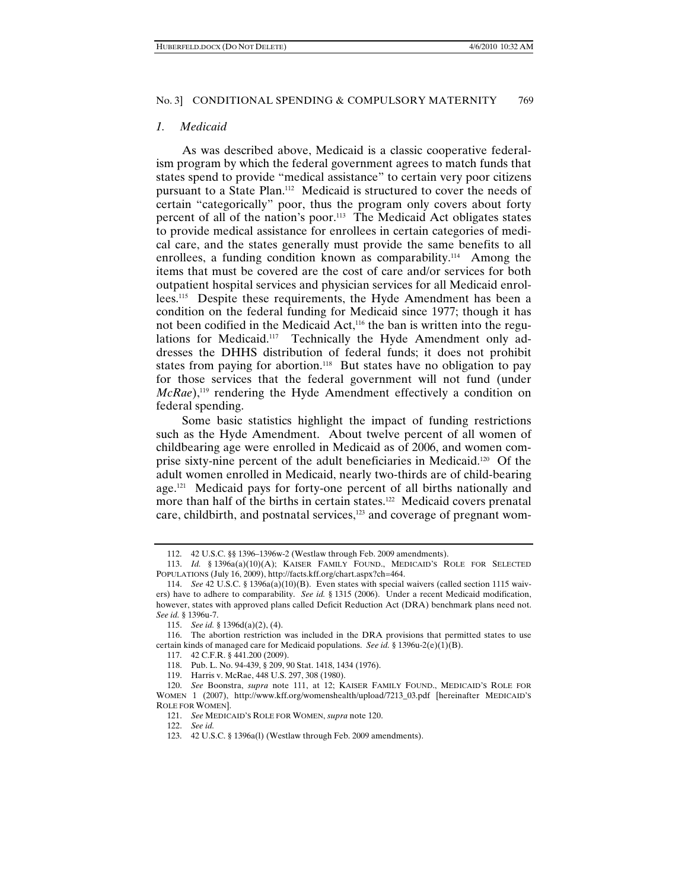#### *1. Medicaid*

As was described above, Medicaid is a classic cooperative federalism program by which the federal government agrees to match funds that states spend to provide "medical assistance" to certain very poor citizens pursuant to a State Plan.112 Medicaid is structured to cover the needs of certain "categorically" poor, thus the program only covers about forty percent of all of the nation's poor.113 The Medicaid Act obligates states to provide medical assistance for enrollees in certain categories of medical care, and the states generally must provide the same benefits to all enrollees, a funding condition known as comparability.<sup>114</sup> Among the items that must be covered are the cost of care and/or services for both outpatient hospital services and physician services for all Medicaid enrollees.115 Despite these requirements, the Hyde Amendment has been a condition on the federal funding for Medicaid since 1977; though it has not been codified in the Medicaid Act,<sup>116</sup> the ban is written into the regulations for Medicaid.<sup>117</sup> Technically the Hyde Amendment only addresses the DHHS distribution of federal funds; it does not prohibit states from paying for abortion.<sup>118</sup> But states have no obligation to pay for those services that the federal government will not fund (under *McRae*),<sup>119</sup> rendering the Hyde Amendment effectively a condition on federal spending.

Some basic statistics highlight the impact of funding restrictions such as the Hyde Amendment. About twelve percent of all women of childbearing age were enrolled in Medicaid as of 2006, and women comprise sixty-nine percent of the adult beneficiaries in Medicaid.120 Of the adult women enrolled in Medicaid, nearly two-thirds are of child-bearing age.<sup>121</sup> Medicaid pays for forty-one percent of all births nationally and more than half of the births in certain states.<sup>122</sup> Medicaid covers prenatal care, childbirth, and postnatal services,<sup>123</sup> and coverage of pregnant wom-

 <sup>112. 42</sup> U.S.C. §§ 1396–1396w-2 (Westlaw through Feb. 2009 amendments).

 <sup>113.</sup> *Id.* § 1396a(a)(10)(A); KAISER FAMILY FOUND., MEDICAID'S ROLE FOR SELECTED POPULATIONS (July 16, 2009), http://facts.kff.org/chart.aspx?ch=464.

 <sup>114.</sup> *See* 42 U.S.C. § 1396a(a)(10)(B). Even states with special waivers (called section 1115 waivers) have to adhere to comparability. *See id.* § 1315 (2006).Under a recent Medicaid modification, however, states with approved plans called Deficit Reduction Act (DRA) benchmark plans need not. *See id.* § 1396u-7.

 <sup>115.</sup> *See id.* § 1396d(a)(2), (4).

 <sup>116.</sup> The abortion restriction was included in the DRA provisions that permitted states to use certain kinds of managed care for Medicaid populations. *See id.* § 1396u-2(e)(1)(B).

 <sup>117. 42</sup> C.F.R. § 441.200 (2009).

 <sup>118.</sup> Pub. L. No. 94-439, § 209, 90 Stat. 1418, 1434 (1976).

 <sup>119.</sup> Harris v. McRae, 448 U.S. 297, 308 (1980).

 <sup>120.</sup> *See* Boonstra, *supra* note 111, at 12; KAISER FAMILY FOUND., MEDICAID'S ROLE FOR WOMEN 1 (2007), http://www.kff.org/womenshealth/upload/7213\_03.pdf [hereinafter MEDICAID'S ROLE FOR WOMEN].

 <sup>121.</sup> *See* MEDICAID'S ROLE FOR WOMEN, *supra* note 120.

 <sup>122.</sup> *See id.*

 <sup>123. 42</sup> U.S.C. § 1396a(l) (Westlaw through Feb. 2009 amendments).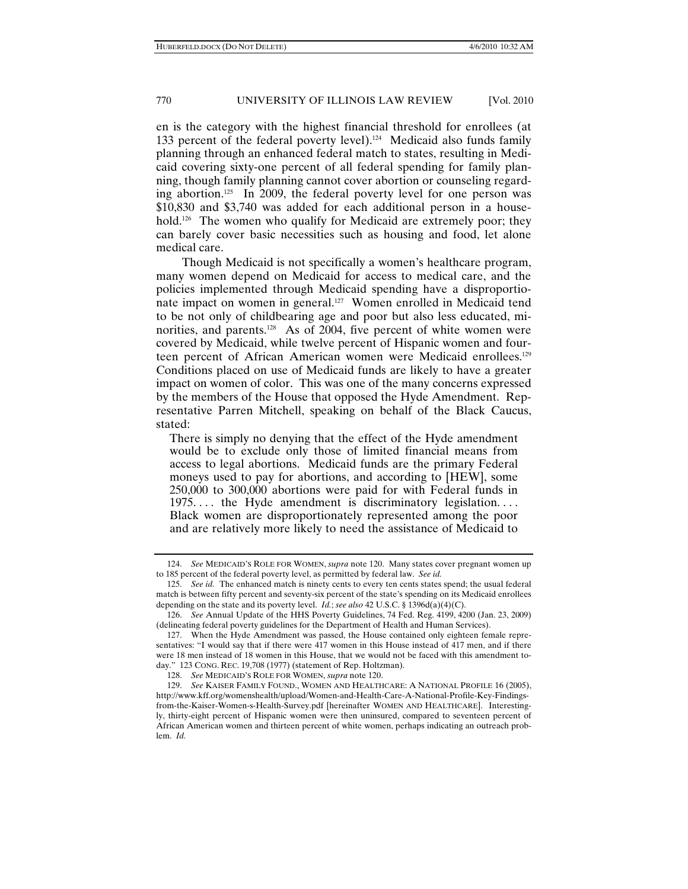en is the category with the highest financial threshold for enrollees (at 133 percent of the federal poverty level).<sup>124</sup> Medicaid also funds family planning through an enhanced federal match to states, resulting in Medicaid covering sixty-one percent of all federal spending for family planning, though family planning cannot cover abortion or counseling regarding abortion.125 In 2009, the federal poverty level for one person was \$10,830 and \$3,740 was added for each additional person in a household.<sup>126</sup> The women who qualify for Medicaid are extremely poor; they can barely cover basic necessities such as housing and food, let alone medical care.

Though Medicaid is not specifically a women's healthcare program, many women depend on Medicaid for access to medical care, and the policies implemented through Medicaid spending have a disproportionate impact on women in general.127 Women enrolled in Medicaid tend to be not only of childbearing age and poor but also less educated, minorities, and parents.<sup>128</sup> As of 2004, five percent of white women were covered by Medicaid, while twelve percent of Hispanic women and fourteen percent of African American women were Medicaid enrollees.129 Conditions placed on use of Medicaid funds are likely to have a greater impact on women of color. This was one of the many concerns expressed by the members of the House that opposed the Hyde Amendment. Representative Parren Mitchell, speaking on behalf of the Black Caucus, stated:

There is simply no denying that the effect of the Hyde amendment would be to exclude only those of limited financial means from access to legal abortions. Medicaid funds are the primary Federal moneys used to pay for abortions, and according to [HEW], some 250,000 to 300,000 abortions were paid for with Federal funds in 1975... the Hyde amendment is discriminatory legislation.... Black women are disproportionately represented among the poor and are relatively more likely to need the assistance of Medicaid to

 <sup>124.</sup> *See* MEDICAID'S ROLE FOR WOMEN, *supra* note 120. Many states cover pregnant women up to 185 percent of the federal poverty level, as permitted by federal law. *See id.*

 <sup>125.</sup> *See id.* The enhanced match is ninety cents to every ten cents states spend; the usual federal match is between fifty percent and seventy-six percent of the state's spending on its Medicaid enrollees depending on the state and its poverty level. *Id.*; *see also* 42 U.S.C. § 1396d(a)(4)(C).

 <sup>126.</sup> *See* Annual Update of the HHS Poverty Guidelines, 74 Fed. Reg. 4199, 4200 (Jan. 23, 2009) (delineating federal poverty guidelines for the Department of Health and Human Services).

 <sup>127.</sup> When the Hyde Amendment was passed, the House contained only eighteen female representatives: "I would say that if there were 417 women in this House instead of 417 men, and if there were 18 men instead of 18 women in this House, that we would not be faced with this amendment today." 123 CONG. REC. 19,708 (1977) (statement of Rep. Holtzman).

 <sup>128.</sup> *See* MEDICAID'S ROLE FOR WOMEN, *supra* note 120.

 <sup>129.</sup> *See* KAISER FAMILY FOUND., WOMEN AND HEALTHCARE: A NATIONAL PROFILE 16 (2005), http://www.kff.org/womenshealth/upload/Women-and-Health-Care-A-National-Profile-Key-Findingsfrom-the-Kaiser-Women-s-Health-Survey.pdf [hereinafter WOMEN AND HEALTHCARE]. Interestingly, thirty-eight percent of Hispanic women were then uninsured, compared to seventeen percent of African American women and thirteen percent of white women, perhaps indicating an outreach problem. *Id.*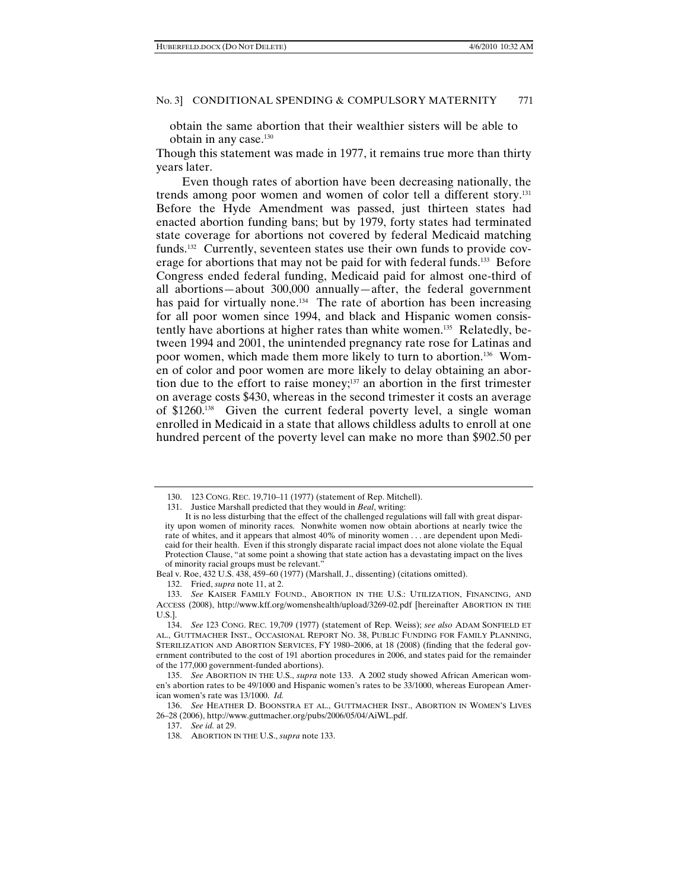obtain the same abortion that their wealthier sisters will be able to obtain in any case.130

Though this statement was made in 1977, it remains true more than thirty years later.

Even though rates of abortion have been decreasing nationally, the trends among poor women and women of color tell a different story.131 Before the Hyde Amendment was passed, just thirteen states had enacted abortion funding bans; but by 1979, forty states had terminated state coverage for abortions not covered by federal Medicaid matching funds.132 Currently, seventeen states use their own funds to provide coverage for abortions that may not be paid for with federal funds.<sup>133</sup> Before Congress ended federal funding, Medicaid paid for almost one-third of all abortions—about 300,000 annually—after, the federal government has paid for virtually none.<sup>134</sup> The rate of abortion has been increasing for all poor women since 1994, and black and Hispanic women consistently have abortions at higher rates than white women.135 Relatedly, between 1994 and 2001, the unintended pregnancy rate rose for Latinas and poor women, which made them more likely to turn to abortion.136 Women of color and poor women are more likely to delay obtaining an abortion due to the effort to raise money;137 an abortion in the first trimester on average costs \$430, whereas in the second trimester it costs an average of \$1260.138 Given the current federal poverty level, a single woman enrolled in Medicaid in a state that allows childless adults to enroll at one hundred percent of the poverty level can make no more than \$902.50 per

 <sup>130. 123</sup> CONG. REC. 19,710–11 (1977) (statement of Rep. Mitchell).

 <sup>131.</sup> Justice Marshall predicted that they would in *Beal*, writing:

It is no less disturbing that the effect of the challenged regulations will fall with great disparity upon women of minority races. Nonwhite women now obtain abortions at nearly twice the rate of whites, and it appears that almost 40% of minority women . . . are dependent upon Medicaid for their health. Even if this strongly disparate racial impact does not alone violate the Equal Protection Clause, "at some point a showing that state action has a devastating impact on the lives of minority racial groups must be relevant."

Beal v. Roe, 432 U.S. 438, 459–60 (1977) (Marshall, J., dissenting) (citations omitted).

 <sup>132.</sup> Fried, *supra* note 11, at 2.

 <sup>133.</sup> *See* KAISER FAMILY FOUND., ABORTION IN THE U.S.: UTILIZATION, FINANCING, AND ACCESS (2008), http://www.kff.org/womenshealth/upload/3269-02.pdf [hereinafter ABORTION IN THE U.S.].

 <sup>134.</sup> *See* 123 CONG. REC. 19,709 (1977) (statement of Rep. Weiss); *see also* ADAM SONFIELD ET AL., GUTTMACHER INST., OCCASIONAL REPORT NO. 38, PUBLIC FUNDING FOR FAMILY PLANNING, STERILIZATION AND ABORTION SERVICES, FY 1980–2006, at 18 (2008) (finding that the federal government contributed to the cost of 191 abortion procedures in 2006, and states paid for the remainder of the 177,000 government-funded abortions).

 <sup>135.</sup> *See* ABORTION IN THE U.S., *supra* note 133. A 2002 study showed African American women's abortion rates to be 49/1000 and Hispanic women's rates to be 33/1000, whereas European American women's rate was 13/1000. *Id.*

 <sup>136.</sup> *See* HEATHER D. BOONSTRA ET AL., GUTTMACHER INST., ABORTION IN WOMEN'S LIVES 26–28 (2006), http://www.guttmacher.org/pubs/2006/05/04/AiWL.pdf.

 <sup>137.</sup> *See id.* at 29.

 <sup>138.</sup> ABORTION IN THE U.S., *supra* note 133.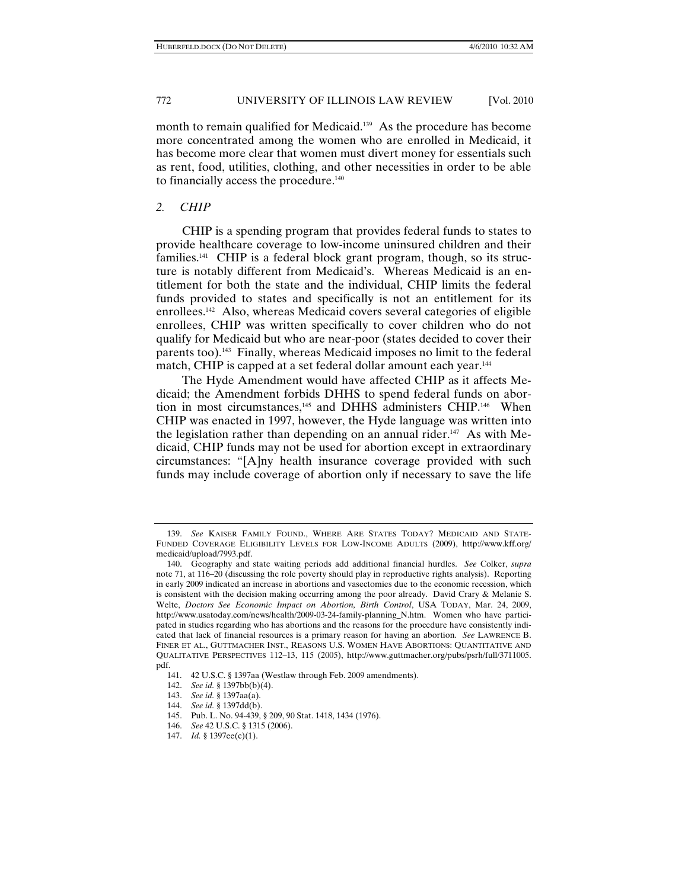month to remain qualified for Medicaid.<sup>139</sup> As the procedure has become more concentrated among the women who are enrolled in Medicaid, it has become more clear that women must divert money for essentials such as rent, food, utilities, clothing, and other necessities in order to be able to financially access the procedure.<sup>140</sup>

#### *2. CHIP*

CHIP is a spending program that provides federal funds to states to provide healthcare coverage to low-income uninsured children and their families.141 CHIP is a federal block grant program, though, so its structure is notably different from Medicaid's. Whereas Medicaid is an entitlement for both the state and the individual, CHIP limits the federal funds provided to states and specifically is not an entitlement for its enrollees.142 Also, whereas Medicaid covers several categories of eligible enrollees, CHIP was written specifically to cover children who do not qualify for Medicaid but who are near-poor (states decided to cover their parents too).143 Finally, whereas Medicaid imposes no limit to the federal match, CHIP is capped at a set federal dollar amount each year.<sup>144</sup>

The Hyde Amendment would have affected CHIP as it affects Medicaid; the Amendment forbids DHHS to spend federal funds on abortion in most circumstances,<sup>145</sup> and DHHS administers CHIP.<sup>146</sup> When CHIP was enacted in 1997, however, the Hyde language was written into the legislation rather than depending on an annual rider.<sup>147</sup> As with Medicaid, CHIP funds may not be used for abortion except in extraordinary circumstances: "[A]ny health insurance coverage provided with such funds may include coverage of abortion only if necessary to save the life

 <sup>139.</sup> *See* KAISER FAMILY FOUND., WHERE ARE STATES TODAY? MEDICAID AND STATE-FUNDED COVERAGE ELIGIBILITY LEVELS FOR LOW-INCOME ADULTS (2009), http://www.kff.org/ medicaid/upload/7993.pdf.

 <sup>140.</sup> Geography and state waiting periods add additional financial hurdles. *See* Colker, *supra*  note 71, at 116–20 (discussing the role poverty should play in reproductive rights analysis). Reporting in early 2009 indicated an increase in abortions and vasectomies due to the economic recession, which is consistent with the decision making occurring among the poor already. David Crary & Melanie S. Welte, *Doctors See Economic Impact on Abortion, Birth Control*, USA TODAY, Mar. 24, 2009, http://www.usatoday.com/news/health/2009-03-24-family-planning\_N.htm.Women who have participated in studies regarding who has abortions and the reasons for the procedure have consistently indicated that lack of financial resources is a primary reason for having an abortion. *See* LAWRENCE B. FINER ET AL., GUTTMACHER INST., REASONS U.S. WOMEN HAVE ABORTIONS: QUANTITATIVE AND QUALITATIVE PERSPECTIVES 112–13, 115 (2005), http://www.guttmacher.org/pubs/psrh/full/3711005. pdf.

 <sup>141. 42</sup> U.S.C. § 1397aa (Westlaw through Feb. 2009 amendments).

 <sup>142.</sup> *See id.* § 1397bb(b)(4).

 <sup>143.</sup> *See id.* § 1397aa(a).

 <sup>144.</sup> *See id.* § 1397dd(b).

 <sup>145.</sup> Pub. L. No. 94-439, § 209, 90 Stat. 1418, 1434 (1976).

 <sup>146.</sup> *See* 42 U.S.C. § 1315 (2006).

 <sup>147.</sup> *Id.* § 1397ee(c)(1).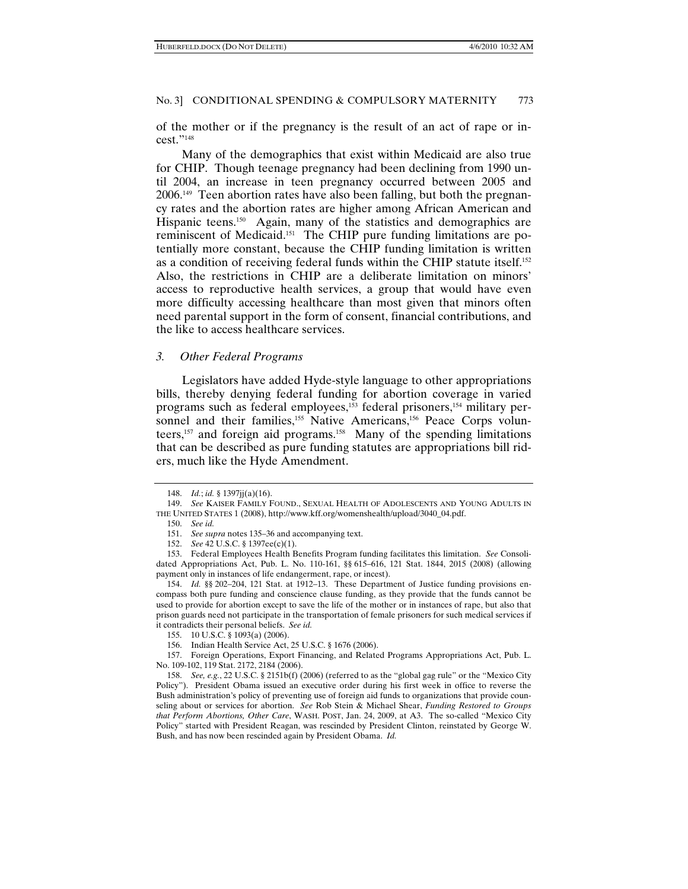of the mother or if the pregnancy is the result of an act of rape or incest."148

Many of the demographics that exist within Medicaid are also true for CHIP. Though teenage pregnancy had been declining from 1990 until 2004, an increase in teen pregnancy occurred between 2005 and 2006.149 Teen abortion rates have also been falling, but both the pregnancy rates and the abortion rates are higher among African American and Hispanic teens.<sup>150</sup> Again, many of the statistics and demographics are reminiscent of Medicaid.151 The CHIP pure funding limitations are potentially more constant, because the CHIP funding limitation is written as a condition of receiving federal funds within the CHIP statute itself.152 Also, the restrictions in CHIP are a deliberate limitation on minors' access to reproductive health services, a group that would have even more difficulty accessing healthcare than most given that minors often need parental support in the form of consent, financial contributions, and the like to access healthcare services.

#### *3. Other Federal Programs*

Legislators have added Hyde-style language to other appropriations bills, thereby denying federal funding for abortion coverage in varied programs such as federal employees,<sup>153</sup> federal prisoners,<sup>154</sup> military personnel and their families,<sup>155</sup> Native Americans,<sup>156</sup> Peace Corps volunteers,157 and foreign aid programs.158 Many of the spending limitations that can be described as pure funding statutes are appropriations bill riders, much like the Hyde Amendment.

 <sup>148.</sup> *Id.*; *id.* § 1397jj(a)(16).

 <sup>149.</sup> *See* KAISER FAMILY FOUND., SEXUAL HEALTH OF ADOLESCENTS AND YOUNG ADULTS IN THE UNITED STATES 1 (2008), http://www.kff.org/womenshealth/upload/3040\_04.pdf.

 <sup>150.</sup> *See id.*

 <sup>151.</sup> *See supra* notes 135–36 and accompanying text.

 <sup>152.</sup> *See* 42 U.S.C. § 1397ee(c)(1).

 <sup>153.</sup> Federal Employees Health Benefits Program funding facilitates this limitation. *See* Consolidated Appropriations Act, Pub. L. No. 110-161, §§ 615–616, 121 Stat. 1844, 2015 (2008) (allowing payment only in instances of life endangerment, rape, or incest).

 <sup>154.</sup> *Id.* §§ 202–204, 121 Stat. at 1912–13. These Department of Justice funding provisions encompass both pure funding and conscience clause funding, as they provide that the funds cannot be used to provide for abortion except to save the life of the mother or in instances of rape, but also that prison guards need not participate in the transportation of female prisoners for such medical services if it contradicts their personal beliefs. *See id.*

 <sup>155. 10</sup> U.S.C. § 1093(a) (2006).

 <sup>156.</sup> Indian Health Service Act, 25 U.S.C. § 1676 (2006).

 <sup>157.</sup> Foreign Operations, Export Financing, and Related Programs Appropriations Act, Pub. L. No. 109-102, 119 Stat. 2172, 2184 (2006).

 <sup>158.</sup> *See, e.g.*, 22 U.S.C. § 2151b(f) (2006) (referred to as the "global gag rule" or the "Mexico City Policy"). President Obama issued an executive order during his first week in office to reverse the Bush administration's policy of preventing use of foreign aid funds to organizations that provide counseling about or services for abortion. *See* Rob Stein & Michael Shear, *Funding Restored to Groups that Perform Abortions, Other Care*, WASH. POST, Jan. 24, 2009, at A3. The so-called "Mexico City Policy" started with President Reagan, was rescinded by President Clinton, reinstated by George W. Bush, and has now been rescinded again by President Obama. *Id.*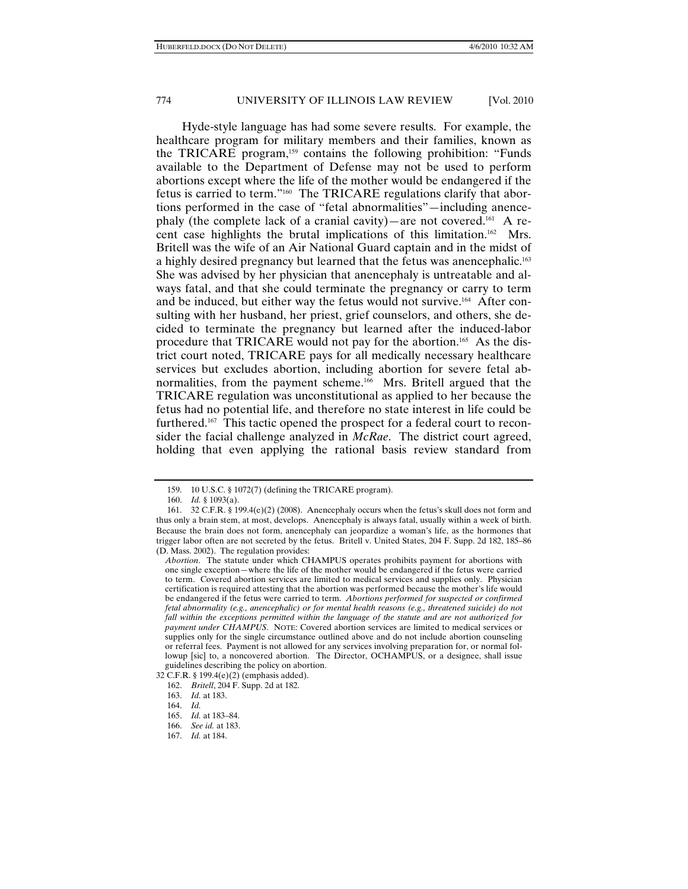Hyde-style language has had some severe results. For example, the healthcare program for military members and their families, known as the TRICARE program,<sup>159</sup> contains the following prohibition: "Funds available to the Department of Defense may not be used to perform abortions except where the life of the mother would be endangered if the fetus is carried to term."160 The TRICARE regulations clarify that abortions performed in the case of "fetal abnormalities"—including anencephaly (the complete lack of a cranial cavity)—are not covered.<sup>161</sup> A recent case highlights the brutal implications of this limitation.162 Mrs. Britell was the wife of an Air National Guard captain and in the midst of a highly desired pregnancy but learned that the fetus was anencephalic.163 She was advised by her physician that anencephaly is untreatable and always fatal, and that she could terminate the pregnancy or carry to term and be induced, but either way the fetus would not survive.164 After consulting with her husband, her priest, grief counselors, and others, she decided to terminate the pregnancy but learned after the induced-labor procedure that TRICARE would not pay for the abortion.165 As the district court noted, TRICARE pays for all medically necessary healthcare services but excludes abortion, including abortion for severe fetal abnormalities, from the payment scheme.<sup>166</sup> Mrs. Britell argued that the TRICARE regulation was unconstitutional as applied to her because the fetus had no potential life, and therefore no state interest in life could be furthered.167 This tactic opened the prospect for a federal court to reconsider the facial challenge analyzed in *McRae*. The district court agreed, holding that even applying the rational basis review standard from

 <sup>159. 10</sup> U.S.C. § 1072(7) (defining the TRICARE program).

 <sup>160.</sup> *Id.* § 1093(a).

 <sup>161. 32</sup> C.F.R. § 199.4(e)(2) (2008). Anencephaly occurs when the fetus's skull does not form and thus only a brain stem, at most, develops. Anencephaly is always fatal, usually within a week of birth. Because the brain does not form, anencephaly can jeopardize a woman's life, as the hormones that trigger labor often are not secreted by the fetus. Britell v. United States, 204 F. Supp. 2d 182, 185–86 (D. Mass. 2002). The regulation provides:

*Abortion*. The statute under which CHAMPUS operates prohibits payment for abortions with one single exception—where the life of the mother would be endangered if the fetus were carried to term. Covered abortion services are limited to medical services and supplies only. Physician certification is required attesting that the abortion was performed because the mother's life would be endangered if the fetus were carried to term. *Abortions performed for suspected or confirmed fetal abnormality (e.g., anencephalic) or for mental health reasons (e.g., threatened suicide) do not fall within the exceptions permitted within the language of the statute and are not authorized for payment under CHAMPUS*. NOTE: Covered abortion services are limited to medical services or supplies only for the single circumstance outlined above and do not include abortion counseling or referral fees. Payment is not allowed for any services involving preparation for, or normal followup [sic] to, a noncovered abortion. The Director, OCHAMPUS, or a designee, shall issue guidelines describing the policy on abortion.

<sup>32</sup> C.F.R. § 199.4(e)(2) (emphasis added).

 <sup>162.</sup> *Britell*, 204 F. Supp. 2d at 182.

 <sup>163.</sup> *Id.* at 183.

 <sup>164.</sup> *Id.*

 <sup>165.</sup> *Id.* at 183–84.

 <sup>166.</sup> *See id.* at 183.

 <sup>167.</sup> *Id.* at 184.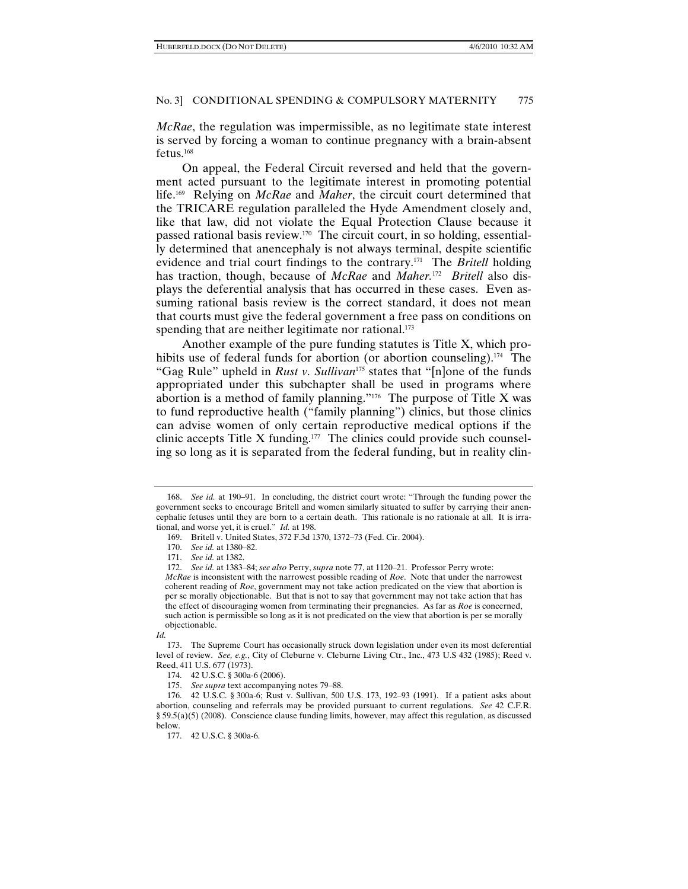*McRae*, the regulation was impermissible, as no legitimate state interest is served by forcing a woman to continue pregnancy with a brain-absent fetus.168

On appeal, the Federal Circuit reversed and held that the government acted pursuant to the legitimate interest in promoting potential life.169 Relying on *McRae* and *Maher*, the circuit court determined that the TRICARE regulation paralleled the Hyde Amendment closely and, like that law, did not violate the Equal Protection Clause because it passed rational basis review.170 The circuit court, in so holding, essentially determined that anencephaly is not always terminal, despite scientific evidence and trial court findings to the contrary.171 The *Britell* holding has traction, though, because of *McRae* and *Maher.*172 *Britell* also displays the deferential analysis that has occurred in these cases. Even assuming rational basis review is the correct standard, it does not mean that courts must give the federal government a free pass on conditions on spending that are neither legitimate nor rational.<sup>173</sup>

Another example of the pure funding statutes is Title X, which prohibits use of federal funds for abortion (or abortion counseling).<sup>174</sup> The "Gag Rule" upheld in *Rust v. Sullivan*175 states that "[n]one of the funds appropriated under this subchapter shall be used in programs where abortion is a method of family planning."176 The purpose of Title X was to fund reproductive health ("family planning") clinics, but those clinics can advise women of only certain reproductive medical options if the clinic accepts Title X funding. $177$  The clinics could provide such counseling so long as it is separated from the federal funding, but in reality clin-

 <sup>168.</sup> *See id.* at 190–91. In concluding, the district court wrote: "Through the funding power the government seeks to encourage Britell and women similarly situated to suffer by carrying their anencephalic fetuses until they are born to a certain death. This rationale is no rationale at all. It is irrational, and worse yet, it is cruel." *Id.* at 198.

 <sup>169.</sup> Britell v. United States, 372 F.3d 1370, 1372–73 (Fed. Cir. 2004).

 <sup>170.</sup> *See id.* at 1380–82.

 <sup>171.</sup> *See id.* at 1382.

 <sup>172.</sup> *See id.* at 1383–84; *see also* Perry, *supra* note 77, at 1120–21. Professor Perry wrote:

*McRae* is inconsistent with the narrowest possible reading of *Roe*. Note that under the narrowest coherent reading of *Roe*, government may not take action predicated on the view that abortion is per se morally objectionable. But that is not to say that government may not take action that has the effect of discouraging women from terminating their pregnancies. As far as *Roe* is concerned, such action is permissible so long as it is not predicated on the view that abortion is per se morally objectionable.

*Id.*

 <sup>173.</sup> The Supreme Court has occasionally struck down legislation under even its most deferential level of review. *See, e.g.*, City of Cleburne v. Cleburne Living Ctr., Inc., 473 U.S 432 (1985); Reed v. Reed, 411 U.S. 677 (1973).

 <sup>174. 42</sup> U.S.C. § 300a-6 (2006).

 <sup>175.</sup> *See supra* text accompanying notes 79–88.

 <sup>176. 42</sup> U.S.C. § 300a-6; Rust v. Sullivan, 500 U.S. 173, 192–93 (1991). If a patient asks about abortion, counseling and referrals may be provided pursuant to current regulations. *See* 42 C.F.R. § 59.5(a)(5) (2008). Conscience clause funding limits, however, may affect this regulation, as discussed below.

 <sup>177. 42</sup> U.S.C. § 300a-6.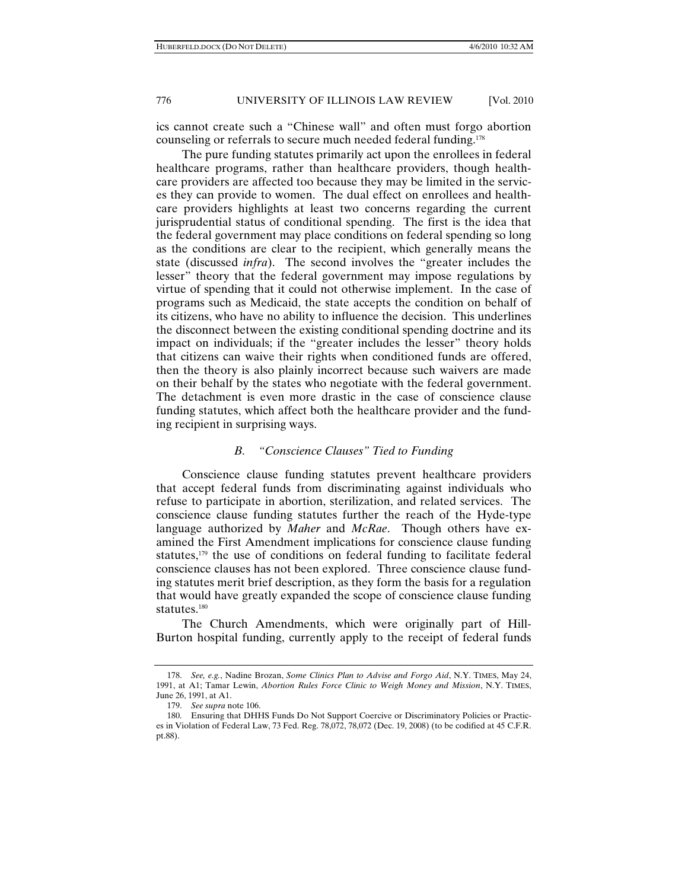ics cannot create such a "Chinese wall" and often must forgo abortion counseling or referrals to secure much needed federal funding.178

The pure funding statutes primarily act upon the enrollees in federal healthcare programs, rather than healthcare providers, though healthcare providers are affected too because they may be limited in the services they can provide to women. The dual effect on enrollees and healthcare providers highlights at least two concerns regarding the current jurisprudential status of conditional spending. The first is the idea that the federal government may place conditions on federal spending so long as the conditions are clear to the recipient, which generally means the state (discussed *infra*). The second involves the "greater includes the lesser" theory that the federal government may impose regulations by virtue of spending that it could not otherwise implement. In the case of programs such as Medicaid, the state accepts the condition on behalf of its citizens, who have no ability to influence the decision. This underlines the disconnect between the existing conditional spending doctrine and its impact on individuals; if the "greater includes the lesser" theory holds that citizens can waive their rights when conditioned funds are offered, then the theory is also plainly incorrect because such waivers are made on their behalf by the states who negotiate with the federal government. The detachment is even more drastic in the case of conscience clause funding statutes, which affect both the healthcare provider and the funding recipient in surprising ways.

# *B. "Conscience Clauses" Tied to Funding*

Conscience clause funding statutes prevent healthcare providers that accept federal funds from discriminating against individuals who refuse to participate in abortion, sterilization, and related services. The conscience clause funding statutes further the reach of the Hyde-type language authorized by *Maher* and *McRae*. Though others have examined the First Amendment implications for conscience clause funding statutes,<sup>179</sup> the use of conditions on federal funding to facilitate federal conscience clauses has not been explored. Three conscience clause funding statutes merit brief description, as they form the basis for a regulation that would have greatly expanded the scope of conscience clause funding statutes.<sup>180</sup>

The Church Amendments, which were originally part of Hill-Burton hospital funding, currently apply to the receipt of federal funds

 <sup>178.</sup> *See, e.g.*, Nadine Brozan, *Some Clinics Plan to Advise and Forgo Aid*, N.Y. TIMES, May 24, 1991, at A1; Tamar Lewin, *Abortion Rules Force Clinic to Weigh Money and Mission*, N.Y. TIMES, June 26, 1991, at A1.

 <sup>179.</sup> *See supra* note 106.

 <sup>180.</sup> Ensuring that DHHS Funds Do Not Support Coercive or Discriminatory Policies or Practices in Violation of Federal Law, 73 Fed. Reg. 78,072, 78,072 (Dec. 19, 2008) (to be codified at 45 C.F.R. pt.88).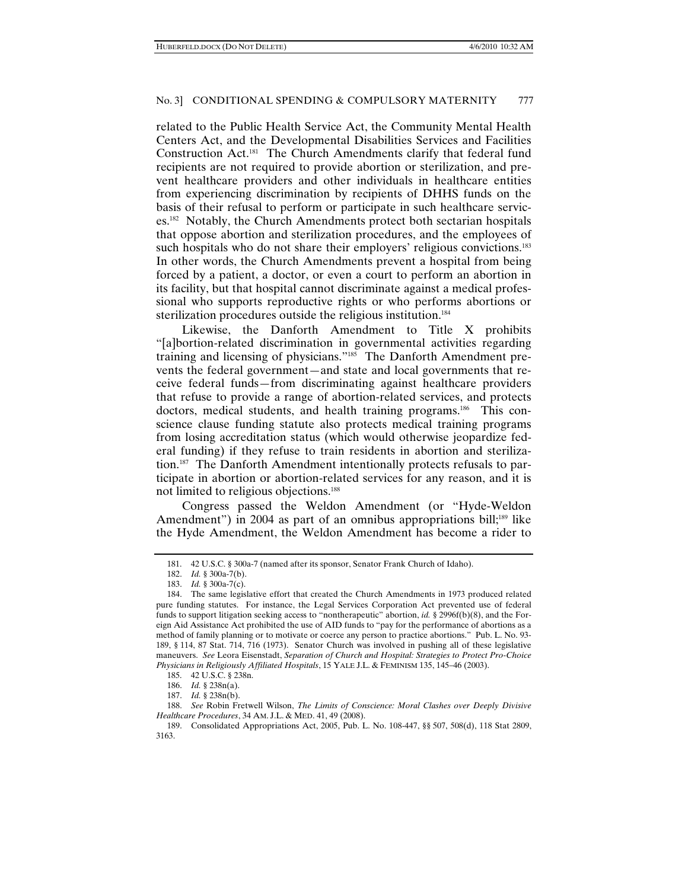related to the Public Health Service Act, the Community Mental Health Centers Act, and the Developmental Disabilities Services and Facilities Construction Act.181 The Church Amendments clarify that federal fund recipients are not required to provide abortion or sterilization, and prevent healthcare providers and other individuals in healthcare entities from experiencing discrimination by recipients of DHHS funds on the basis of their refusal to perform or participate in such healthcare services.<sup>182</sup> Notably, the Church Amendments protect both sectarian hospitals that oppose abortion and sterilization procedures, and the employees of such hospitals who do not share their employers' religious convictions.<sup>183</sup> In other words, the Church Amendments prevent a hospital from being forced by a patient, a doctor, or even a court to perform an abortion in its facility, but that hospital cannot discriminate against a medical professional who supports reproductive rights or who performs abortions or sterilization procedures outside the religious institution.<sup>184</sup>

Likewise, the Danforth Amendment to Title X prohibits "[a]bortion-related discrimination in governmental activities regarding training and licensing of physicians."185 The Danforth Amendment prevents the federal government—and state and local governments that receive federal funds—from discriminating against healthcare providers that refuse to provide a range of abortion-related services, and protects doctors, medical students, and health training programs.<sup>186</sup> This conscience clause funding statute also protects medical training programs from losing accreditation status (which would otherwise jeopardize federal funding) if they refuse to train residents in abortion and sterilization.187 The Danforth Amendment intentionally protects refusals to participate in abortion or abortion-related services for any reason, and it is not limited to religious objections.<sup>188</sup>

Congress passed the Weldon Amendment (or "Hyde-Weldon Amendment") in 2004 as part of an omnibus appropriations bill;<sup>189</sup> like the Hyde Amendment, the Weldon Amendment has become a rider to

 <sup>181. 42</sup> U.S.C. § 300a-7 (named after its sponsor, Senator Frank Church of Idaho).

 <sup>182.</sup> *Id.* § 300a-7(b).

 <sup>183.</sup> *Id.* § 300a-7(c).

 <sup>184.</sup> The same legislative effort that created the Church Amendments in 1973 produced related pure funding statutes. For instance, the Legal Services Corporation Act prevented use of federal funds to support litigation seeking access to "nontherapeutic" abortion, *id.* § 2996f(b)(8), and the Foreign Aid Assistance Act prohibited the use of AID funds to "pay for the performance of abortions as a method of family planning or to motivate or coerce any person to practice abortions." Pub. L. No. 93- 189, § 114, 87 Stat. 714, 716 (1973). Senator Church was involved in pushing all of these legislative maneuvers. *See* Leora Eisenstadt, *Separation of Church and Hospital: Strategies to Protect Pro-Choice Physicians in Religiously Affiliated Hospitals*, 15 YALE J.L. & FEMINISM 135, 145–46 (2003).

 <sup>185. 42</sup> U.S.C. § 238n.

 <sup>186.</sup> *Id.* § 238n(a).

 <sup>187.</sup> *Id.* § 238n(b).

 <sup>188.</sup> *See* Robin Fretwell Wilson, *The Limits of Conscience: Moral Clashes over Deeply Divisive Healthcare Procedures*, 34 AM. J.L. & MED. 41, 49 (2008).

 <sup>189.</sup> Consolidated Appropriations Act, 2005, Pub. L. No. 108-447, §§ 507, 508(d), 118 Stat 2809, 3163.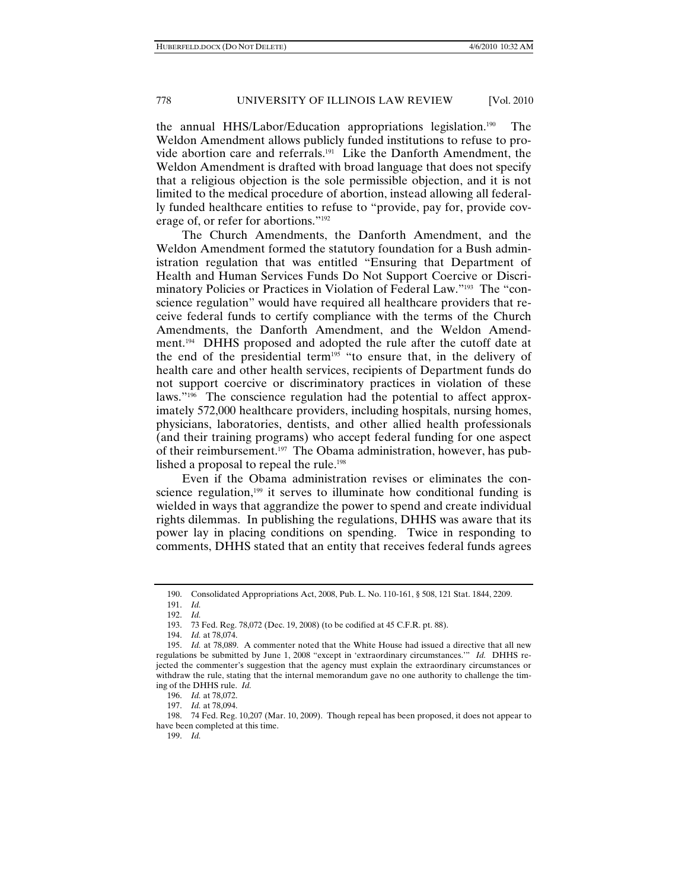the annual HHS/Labor/Education appropriations legislation.190 The Weldon Amendment allows publicly funded institutions to refuse to provide abortion care and referrals.191 Like the Danforth Amendment, the Weldon Amendment is drafted with broad language that does not specify that a religious objection is the sole permissible objection, and it is not limited to the medical procedure of abortion, instead allowing all federally funded healthcare entities to refuse to "provide, pay for, provide coverage of, or refer for abortions."192

The Church Amendments, the Danforth Amendment, and the Weldon Amendment formed the statutory foundation for a Bush administration regulation that was entitled "Ensuring that Department of Health and Human Services Funds Do Not Support Coercive or Discriminatory Policies or Practices in Violation of Federal Law."193 The "conscience regulation" would have required all healthcare providers that receive federal funds to certify compliance with the terms of the Church Amendments, the Danforth Amendment, and the Weldon Amendment.194 DHHS proposed and adopted the rule after the cutoff date at the end of the presidential term<sup>195</sup> "to ensure that, in the delivery of health care and other health services, recipients of Department funds do not support coercive or discriminatory practices in violation of these laws."196 The conscience regulation had the potential to affect approximately 572,000 healthcare providers, including hospitals, nursing homes, physicians, laboratories, dentists, and other allied health professionals (and their training programs) who accept federal funding for one aspect of their reimbursement.<sup>197</sup> The Obama administration, however, has published a proposal to repeal the rule.<sup>198</sup>

Even if the Obama administration revises or eliminates the conscience regulation, $199$  it serves to illuminate how conditional funding is wielded in ways that aggrandize the power to spend and create individual rights dilemmas. In publishing the regulations, DHHS was aware that its power lay in placing conditions on spending. Twice in responding to comments, DHHS stated that an entity that receives federal funds agrees

 191. *Id.* 192. *Id.*

 <sup>190.</sup> Consolidated Appropriations Act, 2008, Pub. L. No. 110-161, § 508, 121 Stat. 1844, 2209.

 <sup>193. 73</sup> Fed. Reg. 78,072 (Dec. 19, 2008) (to be codified at 45 C.F.R. pt. 88).

 <sup>194.</sup> *Id.* at 78,074.

 <sup>195.</sup> *Id.* at 78,089. A commenter noted that the White House had issued a directive that all new regulations be submitted by June 1, 2008 "except in 'extraordinary circumstances.'" *Id.* DHHS rejected the commenter's suggestion that the agency must explain the extraordinary circumstances or withdraw the rule, stating that the internal memorandum gave no one authority to challenge the timing of the DHHS rule. *Id.*

 <sup>196.</sup> *Id.* at 78,072.

 <sup>197.</sup> *Id.* at 78,094.

 <sup>198. 74</sup> Fed. Reg. 10,207 (Mar. 10, 2009). Though repeal has been proposed, it does not appear to have been completed at this time.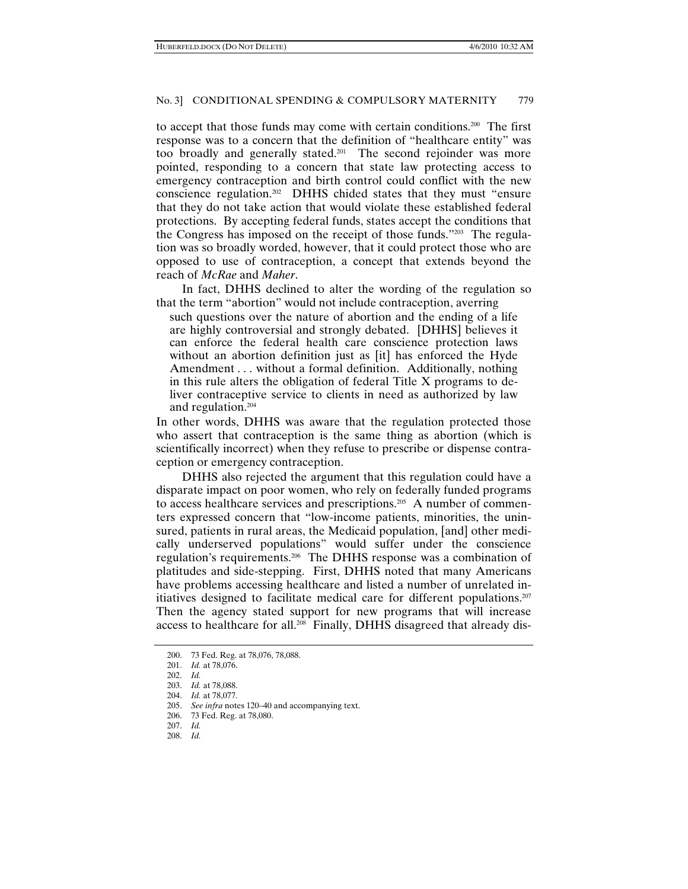to accept that those funds may come with certain conditions.200 The first response was to a concern that the definition of "healthcare entity" was too broadly and generally stated.201 The second rejoinder was more pointed, responding to a concern that state law protecting access to emergency contraception and birth control could conflict with the new conscience regulation.202 DHHS chided states that they must "ensure that they do not take action that would violate these established federal protections. By accepting federal funds, states accept the conditions that the Congress has imposed on the receipt of those funds."203 The regulation was so broadly worded, however, that it could protect those who are opposed to use of contraception, a concept that extends beyond the reach of *McRae* and *Maher*.

In fact, DHHS declined to alter the wording of the regulation so that the term "abortion" would not include contraception, averring

such questions over the nature of abortion and the ending of a life are highly controversial and strongly debated. [DHHS] believes it can enforce the federal health care conscience protection laws without an abortion definition just as [it] has enforced the Hyde Amendment . . . without a formal definition. Additionally, nothing in this rule alters the obligation of federal Title X programs to deliver contraceptive service to clients in need as authorized by law and regulation.204

In other words, DHHS was aware that the regulation protected those who assert that contraception is the same thing as abortion (which is scientifically incorrect) when they refuse to prescribe or dispense contraception or emergency contraception.

DHHS also rejected the argument that this regulation could have a disparate impact on poor women, who rely on federally funded programs to access healthcare services and prescriptions.<sup>205</sup> A number of commenters expressed concern that "low-income patients, minorities, the uninsured, patients in rural areas, the Medicaid population, [and] other medically underserved populations" would suffer under the conscience regulation's requirements.206 The DHHS response was a combination of platitudes and side-stepping. First, DHHS noted that many Americans have problems accessing healthcare and listed a number of unrelated initiatives designed to facilitate medical care for different populations.207 Then the agency stated support for new programs that will increase access to healthcare for all.208 Finally, DHHS disagreed that already dis-

 <sup>200. 73</sup> Fed. Reg. at 78,076, 78,088.

 <sup>201.</sup> *Id.* at 78,076.

 <sup>202.</sup> *Id.*

 <sup>203.</sup> *Id.* at 78,088.

 <sup>204.</sup> *Id.* at 78,077.

 <sup>205.</sup> *See infra* notes 120–40 and accompanying text.

 <sup>206. 73</sup> Fed. Reg. at 78,080.

 <sup>207.</sup> *Id.*

 <sup>208.</sup> *Id.*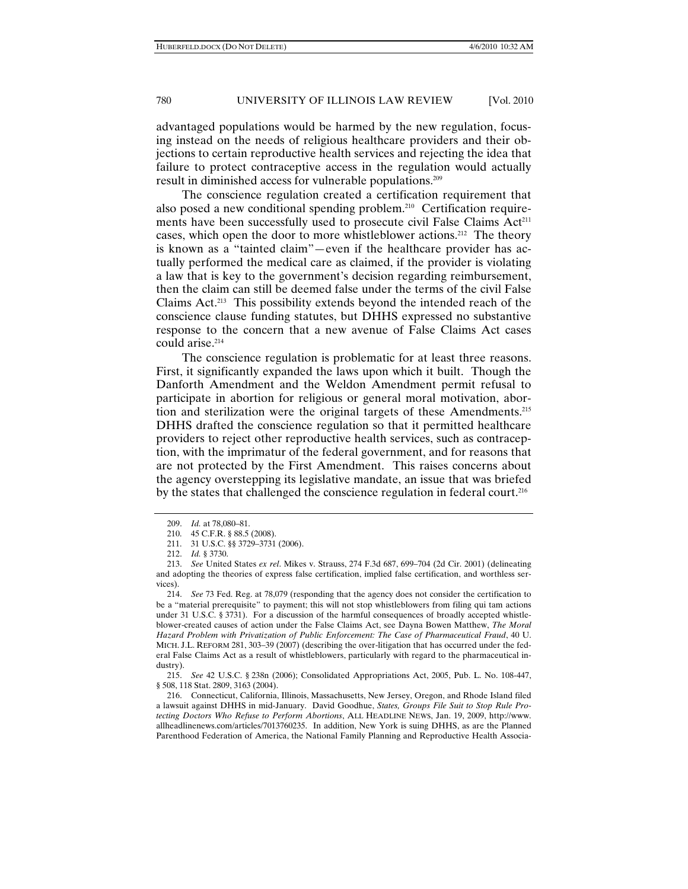advantaged populations would be harmed by the new regulation, focusing instead on the needs of religious healthcare providers and their objections to certain reproductive health services and rejecting the idea that failure to protect contraceptive access in the regulation would actually result in diminished access for vulnerable populations.209

The conscience regulation created a certification requirement that also posed a new conditional spending problem.210 Certification requirements have been successfully used to prosecute civil False Claims Act<sup>211</sup> cases, which open the door to more whistleblower actions.212 The theory is known as a "tainted claim"—even if the healthcare provider has actually performed the medical care as claimed, if the provider is violating a law that is key to the government's decision regarding reimbursement, then the claim can still be deemed false under the terms of the civil False Claims Act.213 This possibility extends beyond the intended reach of the conscience clause funding statutes, but DHHS expressed no substantive response to the concern that a new avenue of False Claims Act cases could arise.<sup>214</sup>

The conscience regulation is problematic for at least three reasons. First, it significantly expanded the laws upon which it built. Though the Danforth Amendment and the Weldon Amendment permit refusal to participate in abortion for religious or general moral motivation, abortion and sterilization were the original targets of these Amendments.215 DHHS drafted the conscience regulation so that it permitted healthcare providers to reject other reproductive health services, such as contraception, with the imprimatur of the federal government, and for reasons that are not protected by the First Amendment. This raises concerns about the agency overstepping its legislative mandate, an issue that was briefed by the states that challenged the conscience regulation in federal court.<sup>216</sup>

 <sup>209.</sup> *Id.* at 78,080–81.

 <sup>210. 45</sup> C.F.R. § 88.5 (2008).

 <sup>211. 31</sup> U.S.C. §§ 3729–3731 (2006).

 <sup>212.</sup> *Id.* § 3730.

 <sup>213.</sup> *See* United States *ex rel*. Mikes v. Strauss, 274 F.3d 687, 699–704 (2d Cir. 2001) (delineating and adopting the theories of express false certification, implied false certification, and worthless services).

 <sup>214.</sup> *See* 73 Fed. Reg. at 78,079 (responding that the agency does not consider the certification to be a "material prerequisite" to payment; this will not stop whistleblowers from filing qui tam actions under 31 U.S.C. § 3731). For a discussion of the harmful consequences of broadly accepted whistleblower-created causes of action under the False Claims Act, see Dayna Bowen Matthew, *The Moral Hazard Problem with Privatization of Public Enforcement: The Case of Pharmaceutical Fraud*, 40 U. MICH. J.L. REFORM 281, 303–39 (2007) (describing the over-litigation that has occurred under the federal False Claims Act as a result of whistleblowers, particularly with regard to the pharmaceutical industry).

 <sup>215.</sup> *See* 42 U.S.C. § 238n (2006); Consolidated Appropriations Act, 2005, Pub. L. No. 108-447, § 508, 118 Stat. 2809, 3163 (2004).

 <sup>216.</sup> Connecticut, California, Illinois, Massachusetts, New Jersey, Oregon, and Rhode Island filed a lawsuit against DHHS in mid-January. David Goodhue, *States, Groups File Suit to Stop Rule Protecting Doctors Who Refuse to Perform Abortions*, ALL HEADLINE NEWS, Jan. 19, 2009, http://www. allheadlinenews.com/articles/7013760235. In addition, New York is suing DHHS, as are the Planned Parenthood Federation of America, the National Family Planning and Reproductive Health Associa-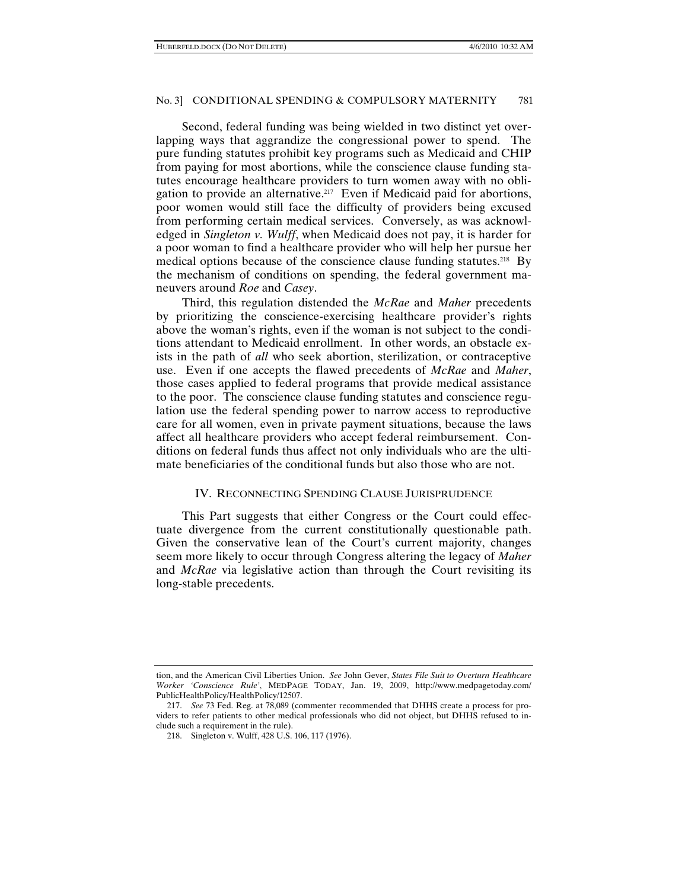Second, federal funding was being wielded in two distinct yet overlapping ways that aggrandize the congressional power to spend. The pure funding statutes prohibit key programs such as Medicaid and CHIP from paying for most abortions, while the conscience clause funding statutes encourage healthcare providers to turn women away with no obligation to provide an alternative.<sup>217</sup> Even if Medicaid paid for abortions, poor women would still face the difficulty of providers being excused from performing certain medical services. Conversely, as was acknowledged in *Singleton v. Wulff*, when Medicaid does not pay, it is harder for a poor woman to find a healthcare provider who will help her pursue her medical options because of the conscience clause funding statutes.<sup>218</sup> By the mechanism of conditions on spending, the federal government maneuvers around *Roe* and *Casey*.

Third, this regulation distended the *McRae* and *Maher* precedents by prioritizing the conscience-exercising healthcare provider's rights above the woman's rights, even if the woman is not subject to the conditions attendant to Medicaid enrollment. In other words, an obstacle exists in the path of *all* who seek abortion, sterilization, or contraceptive use. Even if one accepts the flawed precedents of *McRae* and *Maher*, those cases applied to federal programs that provide medical assistance to the poor. The conscience clause funding statutes and conscience regulation use the federal spending power to narrow access to reproductive care for all women, even in private payment situations, because the laws affect all healthcare providers who accept federal reimbursement. Conditions on federal funds thus affect not only individuals who are the ultimate beneficiaries of the conditional funds but also those who are not.

# IV. RECONNECTING SPENDING CLAUSE JURISPRUDENCE

This Part suggests that either Congress or the Court could effectuate divergence from the current constitutionally questionable path. Given the conservative lean of the Court's current majority, changes seem more likely to occur through Congress altering the legacy of *Maher* and *McRae* via legislative action than through the Court revisiting its long-stable precedents.

tion, and the American Civil Liberties Union. *See* John Gever, *States File Suit to Overturn Healthcare Worker 'Conscience Rule'*, MEDPAGE TODAY, Jan. 19, 2009, http://www.medpagetoday.com/ PublicHealthPolicy/HealthPolicy/12507.

 <sup>217.</sup> *See* 73 Fed. Reg. at 78,089 (commenter recommended that DHHS create a process for providers to refer patients to other medical professionals who did not object, but DHHS refused to include such a requirement in the rule).

 <sup>218.</sup> Singleton v. Wulff, 428 U.S. 106, 117 (1976).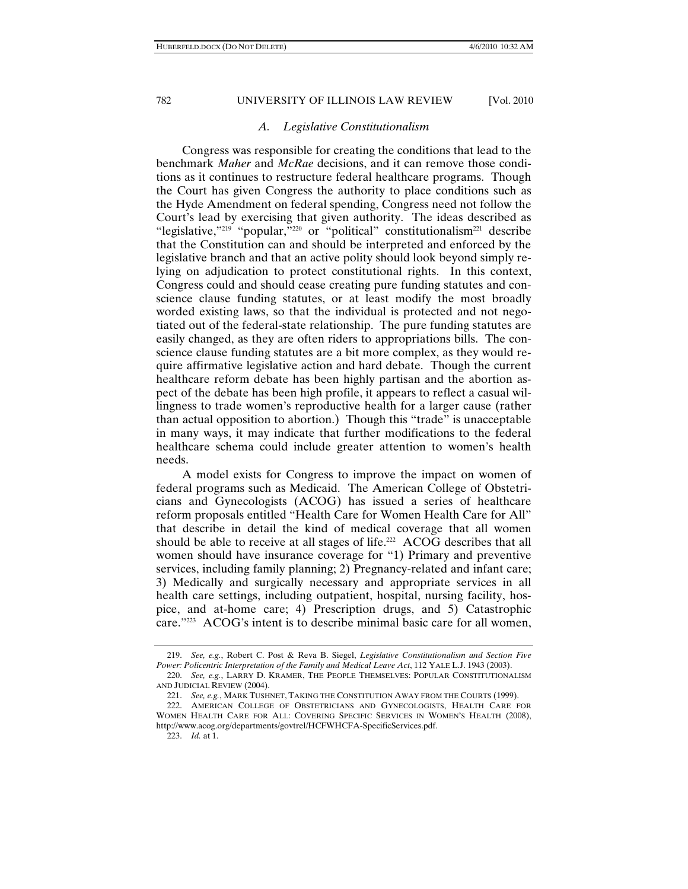# *A. Legislative Constitutionalism*

Congress was responsible for creating the conditions that lead to the benchmark *Maher* and *McRae* decisions, and it can remove those conditions as it continues to restructure federal healthcare programs. Though the Court has given Congress the authority to place conditions such as the Hyde Amendment on federal spending, Congress need not follow the Court's lead by exercising that given authority. The ideas described as "legislative,"<sup>219</sup> "popular,"<sup>220</sup> or "political" constitutionalism<sup>221</sup> describe that the Constitution can and should be interpreted and enforced by the legislative branch and that an active polity should look beyond simply relying on adjudication to protect constitutional rights. In this context, Congress could and should cease creating pure funding statutes and conscience clause funding statutes, or at least modify the most broadly worded existing laws, so that the individual is protected and not negotiated out of the federal-state relationship. The pure funding statutes are easily changed, as they are often riders to appropriations bills. The conscience clause funding statutes are a bit more complex, as they would require affirmative legislative action and hard debate. Though the current healthcare reform debate has been highly partisan and the abortion aspect of the debate has been high profile, it appears to reflect a casual willingness to trade women's reproductive health for a larger cause (rather than actual opposition to abortion.) Though this "trade" is unacceptable in many ways, it may indicate that further modifications to the federal healthcare schema could include greater attention to women's health needs.

A model exists for Congress to improve the impact on women of federal programs such as Medicaid. The American College of Obstetricians and Gynecologists (ACOG) has issued a series of healthcare reform proposals entitled "Health Care for Women Health Care for All" that describe in detail the kind of medical coverage that all women should be able to receive at all stages of life.<sup>222</sup> ACOG describes that all women should have insurance coverage for "1) Primary and preventive services, including family planning; 2) Pregnancy-related and infant care; 3) Medically and surgically necessary and appropriate services in all health care settings, including outpatient, hospital, nursing facility, hospice, and at-home care; 4) Prescription drugs, and 5) Catastrophic care."223 ACOG's intent is to describe minimal basic care for all women,

 <sup>219.</sup> *See, e.g.*, Robert C. Post & Reva B. Siegel, *Legislative Constitutionalism and Section Five Power: Policentric Interpretation of the Family and Medical Leave Act*, 112 YALE L.J. 1943 (2003).

 <sup>220.</sup> *See, e.g.*, LARRY D. KRAMER, THE PEOPLE THEMSELVES: POPULAR CONSTITUTIONALISM AND JUDICIAL REVIEW (2004).

 <sup>221.</sup> *See, e.g.*, MARK TUSHNET, TAKING THE CONSTITUTION AWAY FROM THE COURTS (1999).

 <sup>222.</sup> AMERICAN COLLEGE OF OBSTETRICIANS AND GYNECOLOGISTS, HEALTH CARE FOR WOMEN HEALTH CARE FOR ALL: COVERING SPECIFIC SERVICES IN WOMEN'S HEALTH (2008), http://www.acog.org/departments/govtrel/HCFWHCFA-SpecificServices.pdf.

 <sup>223.</sup> *Id.* at 1.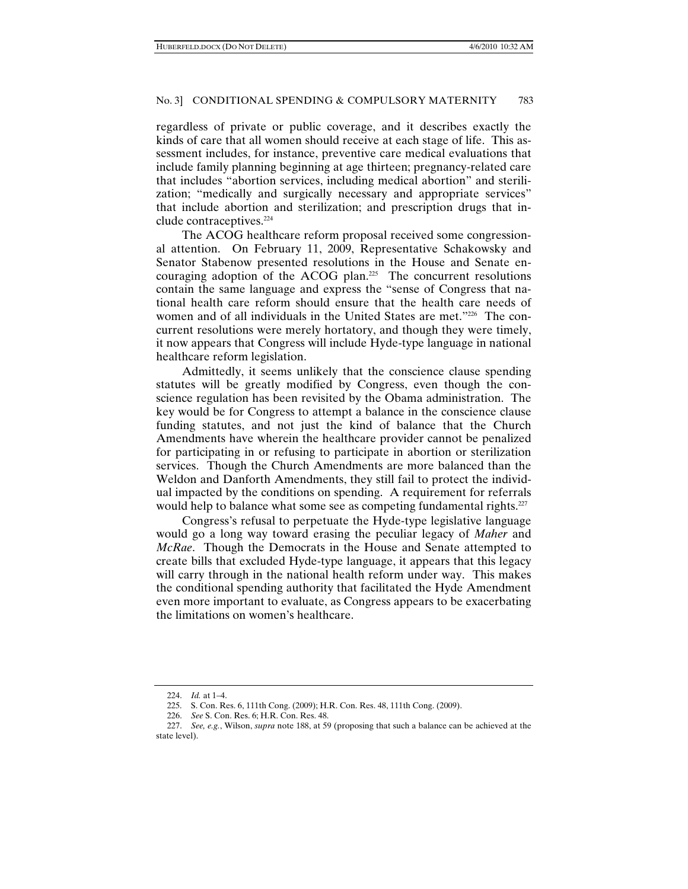regardless of private or public coverage, and it describes exactly the kinds of care that all women should receive at each stage of life. This assessment includes, for instance, preventive care medical evaluations that include family planning beginning at age thirteen; pregnancy-related care that includes "abortion services, including medical abortion" and sterilization; "medically and surgically necessary and appropriate services" that include abortion and sterilization; and prescription drugs that include contraceptives.<sup>224</sup>

The ACOG healthcare reform proposal received some congressional attention. On February 11, 2009, Representative Schakowsky and Senator Stabenow presented resolutions in the House and Senate encouraging adoption of the ACOG plan.225 The concurrent resolutions contain the same language and express the "sense of Congress that national health care reform should ensure that the health care needs of women and of all individuals in the United States are met."226 The concurrent resolutions were merely hortatory, and though they were timely, it now appears that Congress will include Hyde-type language in national healthcare reform legislation.

Admittedly, it seems unlikely that the conscience clause spending statutes will be greatly modified by Congress, even though the conscience regulation has been revisited by the Obama administration. The key would be for Congress to attempt a balance in the conscience clause funding statutes, and not just the kind of balance that the Church Amendments have wherein the healthcare provider cannot be penalized for participating in or refusing to participate in abortion or sterilization services. Though the Church Amendments are more balanced than the Weldon and Danforth Amendments, they still fail to protect the individual impacted by the conditions on spending. A requirement for referrals would help to balance what some see as competing fundamental rights.<sup>227</sup>

Congress's refusal to perpetuate the Hyde-type legislative language would go a long way toward erasing the peculiar legacy of *Maher* and *McRae*. Though the Democrats in the House and Senate attempted to create bills that excluded Hyde-type language, it appears that this legacy will carry through in the national health reform under way. This makes the conditional spending authority that facilitated the Hyde Amendment even more important to evaluate, as Congress appears to be exacerbating the limitations on women's healthcare.

 <sup>224.</sup> *Id.* at 1–4.

 <sup>225.</sup> S. Con. Res. 6, 111th Cong. (2009); H.R. Con. Res. 48, 111th Cong. (2009).

 <sup>226.</sup> *See* S. Con. Res. 6; H.R. Con. Res. 48.

 <sup>227.</sup> *See, e.g.*, Wilson, *supra* note 188, at 59 (proposing that such a balance can be achieved at the state level).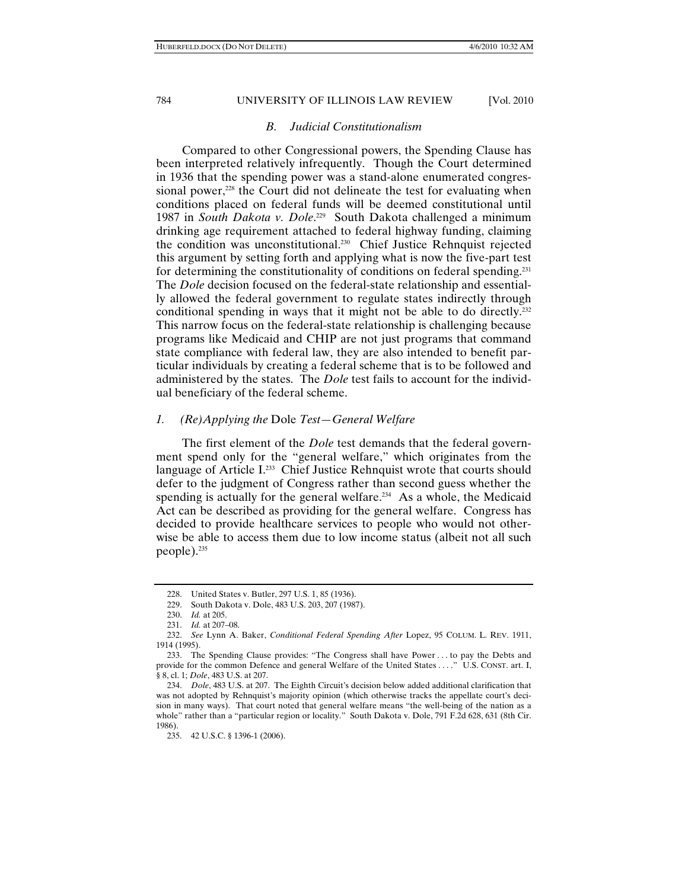### *B. Judicial Constitutionalism*

Compared to other Congressional powers, the Spending Clause has been interpreted relatively infrequently. Though the Court determined in 1936 that the spending power was a stand-alone enumerated congressional power, $228$  the Court did not delineate the test for evaluating when conditions placed on federal funds will be deemed constitutional until 1987 in *South Dakota v. Dole*. 229 South Dakota challenged a minimum drinking age requirement attached to federal highway funding, claiming the condition was unconstitutional.230 Chief Justice Rehnquist rejected this argument by setting forth and applying what is now the five-part test for determining the constitutionality of conditions on federal spending.<sup>231</sup> The *Dole* decision focused on the federal-state relationship and essentially allowed the federal government to regulate states indirectly through conditional spending in ways that it might not be able to do directly.<sup>232</sup> This narrow focus on the federal-state relationship is challenging because programs like Medicaid and CHIP are not just programs that command state compliance with federal law, they are also intended to benefit particular individuals by creating a federal scheme that is to be followed and administered by the states. The *Dole* test fails to account for the individual beneficiary of the federal scheme.

# *1. (Re)Applying the* Dole *Test—General Welfare*

The first element of the *Dole* test demands that the federal government spend only for the "general welfare," which originates from the language of Article I.<sup>233</sup> Chief Justice Rehnquist wrote that courts should defer to the judgment of Congress rather than second guess whether the spending is actually for the general welfare.<sup>234</sup> As a whole, the Medicaid Act can be described as providing for the general welfare. Congress has decided to provide healthcare services to people who would not otherwise be able to access them due to low income status (albeit not all such people).<sup>235</sup>

 <sup>228.</sup> United States v. Butler, 297 U.S. 1, 85 (1936).

 <sup>229.</sup> South Dakota v. Dole, 483 U.S. 203, 207 (1987).

 <sup>230.</sup> *Id.* at 205.

 <sup>231.</sup> *Id.* at 207–08.

 <sup>232.</sup> *See* Lynn A. Baker, *Conditional Federal Spending After* Lopez, 95 COLUM. L. REV. 1911, 1914 (1995).

 <sup>233.</sup> The Spending Clause provides: "The Congress shall have Power . . . to pay the Debts and provide for the common Defence and general Welfare of the United States . . . ." U.S. CONST. art. I, § 8, cl. 1; *Dole*, 483 U.S. at 207.

 <sup>234.</sup> *Dole*, 483 U.S. at 207. The Eighth Circuit's decision below added additional clarification that was not adopted by Rehnquist's majority opinion (which otherwise tracks the appellate court's decision in many ways). That court noted that general welfare means "the well-being of the nation as a whole" rather than a "particular region or locality." South Dakota v. Dole, 791 F.2d 628, 631 (8th Cir. 1986).

 <sup>235. 42</sup> U.S.C. § 1396-1 (2006).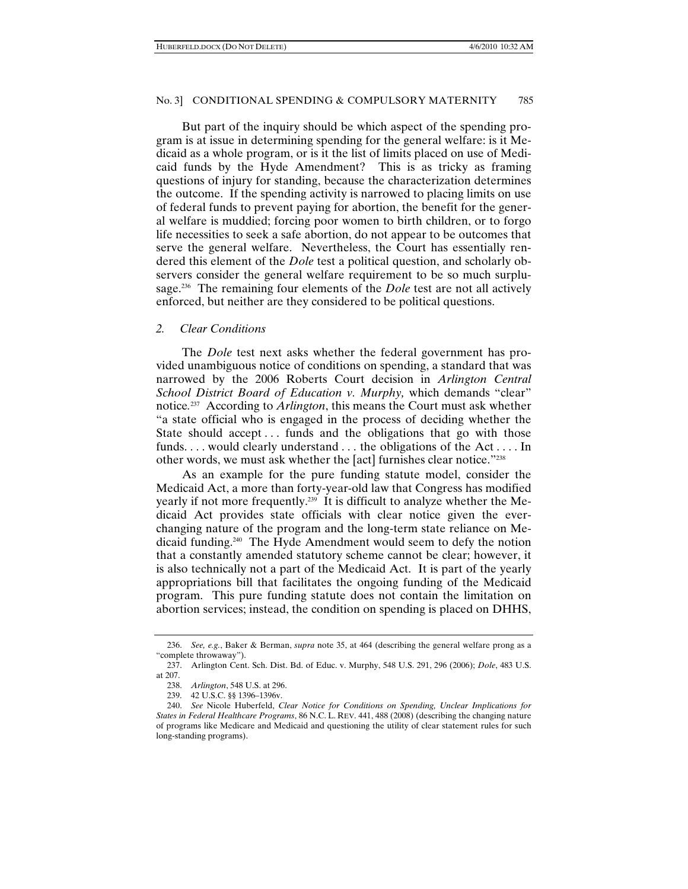But part of the inquiry should be which aspect of the spending program is at issue in determining spending for the general welfare: is it Medicaid as a whole program, or is it the list of limits placed on use of Medicaid funds by the Hyde Amendment? This is as tricky as framing questions of injury for standing, because the characterization determines the outcome. If the spending activity is narrowed to placing limits on use of federal funds to prevent paying for abortion, the benefit for the general welfare is muddied; forcing poor women to birth children, or to forgo life necessities to seek a safe abortion, do not appear to be outcomes that serve the general welfare. Nevertheless, the Court has essentially rendered this element of the *Dole* test a political question, and scholarly observers consider the general welfare requirement to be so much surplusage.236 The remaining four elements of the *Dole* test are not all actively enforced, but neither are they considered to be political questions.

#### *2. Clear Conditions*

The *Dole* test next asks whether the federal government has provided unambiguous notice of conditions on spending, a standard that was narrowed by the 2006 Roberts Court decision in *Arlington Central School District Board of Education v. Murphy,* which demands "clear" notice*.* 237 According to *Arlington*, this means the Court must ask whether "a state official who is engaged in the process of deciding whether the State should accept... funds and the obligations that go with those funds. . . . would clearly understand . . . the obligations of the Act . . . . In other words, we must ask whether the [act] furnishes clear notice."238

As an example for the pure funding statute model, consider the Medicaid Act, a more than forty-year-old law that Congress has modified yearly if not more frequently.239 It is difficult to analyze whether the Medicaid Act provides state officials with clear notice given the everchanging nature of the program and the long-term state reliance on Medicaid funding.240 The Hyde Amendment would seem to defy the notion that a constantly amended statutory scheme cannot be clear; however, it is also technically not a part of the Medicaid Act. It is part of the yearly appropriations bill that facilitates the ongoing funding of the Medicaid program. This pure funding statute does not contain the limitation on abortion services; instead, the condition on spending is placed on DHHS,

 <sup>236.</sup> *See, e.g.*, Baker & Berman, *supra* note 35, at 464 (describing the general welfare prong as a "complete throwaway").

 <sup>237.</sup> Arlington Cent. Sch. Dist. Bd. of Educ. v. Murphy, 548 U.S. 291, 296 (2006); *Dole*, 483 U.S. at 207.

 <sup>238.</sup> *Arlington*, 548 U.S. at 296.

 <sup>239. 42</sup> U.S.C. §§ 1396–1396v.

 <sup>240.</sup> *See* Nicole Huberfeld, *Clear Notice for Conditions on Spending, Unclear Implications for States in Federal Healthcare Programs*, 86 N.C. L. REV. 441, 488 (2008) (describing the changing nature of programs like Medicare and Medicaid and questioning the utility of clear statement rules for such long-standing programs).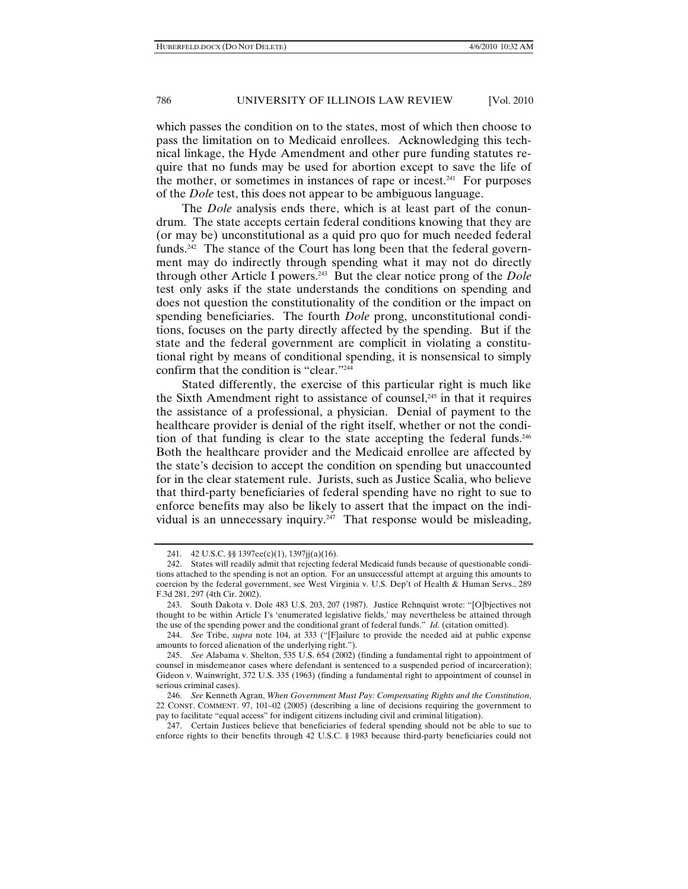which passes the condition on to the states, most of which then choose to pass the limitation on to Medicaid enrollees. Acknowledging this technical linkage, the Hyde Amendment and other pure funding statutes require that no funds may be used for abortion except to save the life of the mother, or sometimes in instances of rape or incest.<sup>241</sup> For purposes of the *Dole* test, this does not appear to be ambiguous language.

The *Dole* analysis ends there, which is at least part of the conundrum. The state accepts certain federal conditions knowing that they are (or may be) unconstitutional as a quid pro quo for much needed federal funds.242 The stance of the Court has long been that the federal government may do indirectly through spending what it may not do directly through other Article I powers.243 But the clear notice prong of the *Dole* test only asks if the state understands the conditions on spending and does not question the constitutionality of the condition or the impact on spending beneficiaries. The fourth *Dole* prong, unconstitutional conditions, focuses on the party directly affected by the spending. But if the state and the federal government are complicit in violating a constitutional right by means of conditional spending, it is nonsensical to simply confirm that the condition is "clear."244

Stated differently, the exercise of this particular right is much like the Sixth Amendment right to assistance of counsel, $245$  in that it requires the assistance of a professional, a physician. Denial of payment to the healthcare provider is denial of the right itself, whether or not the condition of that funding is clear to the state accepting the federal funds. $246$ Both the healthcare provider and the Medicaid enrollee are affected by the state's decision to accept the condition on spending but unaccounted for in the clear statement rule. Jurists, such as Justice Scalia, who believe that third-party beneficiaries of federal spending have no right to sue to enforce benefits may also be likely to assert that the impact on the individual is an unnecessary inquiry.<sup>247</sup> That response would be misleading,

 <sup>241. 42</sup> U.S.C. §§ 1397ee(c)(1), 1397jj(a)(16).

 <sup>242.</sup> States will readily admit that rejecting federal Medicaid funds because of questionable conditions attached to the spending is not an option. For an unsuccessful attempt at arguing this amounts to coercion by the federal government, see West Virginia v. U.S. Dep't of Health & Human Servs., 289 F.3d 281, 297 (4th Cir. 2002).

 <sup>243.</sup> South Dakota v. Dole 483 U.S. 203, 207 (1987). Justice Rehnquist wrote: "[O]bjectives not thought to be within Article I's 'enumerated legislative fields,' may nevertheless be attained through the use of the spending power and the conditional grant of federal funds." *Id.* (citation omitted).

 <sup>244.</sup> *See* Tribe, *supra* note 104, at 333 ("[F]ailure to provide the needed aid at public expense amounts to forced alienation of the underlying right.").

 <sup>245.</sup> *See* Alabama v. Shelton, 535 U.S. 654 (2002) (finding a fundamental right to appointment of counsel in misdemeanor cases where defendant is sentenced to a suspended period of incarceration); Gideon v. Wainwright, 372 U.S. 335 (1963) (finding a fundamental right to appointment of counsel in serious criminal cases).

 <sup>246.</sup> *See* Kenneth Agran, *When Government Must Pay: Compensating Rights and the Constitution*, 22 CONST. COMMENT. 97, 101–02 (2005) (describing a line of decisions requiring the government to pay to facilitate "equal access" for indigent citizens including civil and criminal litigation).

 <sup>247.</sup> Certain Justices believe that beneficiaries of federal spending should not be able to sue to enforce rights to their benefits through 42 U.S.C. § 1983 because third-party beneficiaries could not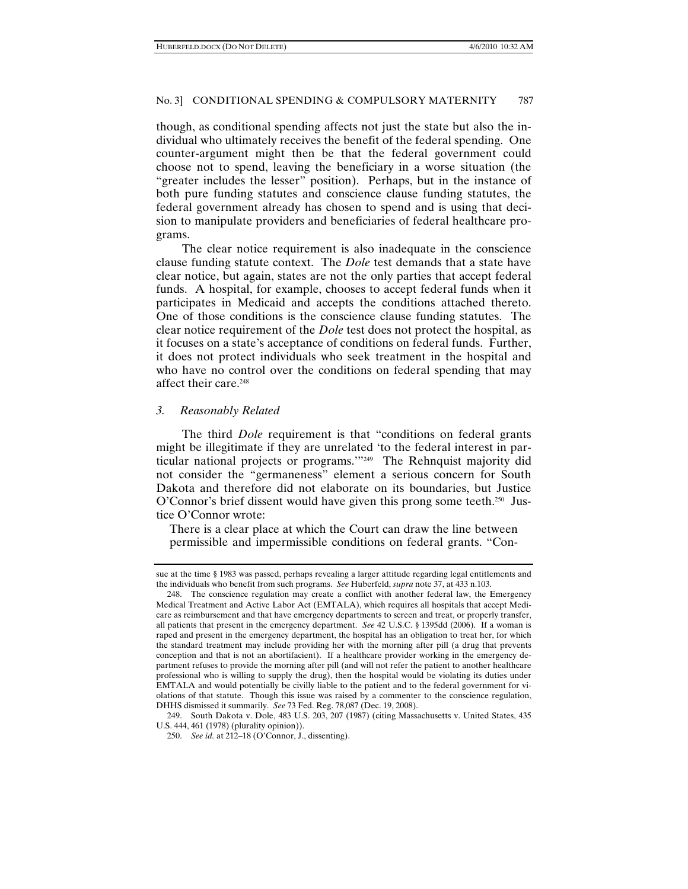though, as conditional spending affects not just the state but also the individual who ultimately receives the benefit of the federal spending. One counter-argument might then be that the federal government could choose not to spend, leaving the beneficiary in a worse situation (the "greater includes the lesser" position). Perhaps, but in the instance of both pure funding statutes and conscience clause funding statutes, the federal government already has chosen to spend and is using that decision to manipulate providers and beneficiaries of federal healthcare programs.

The clear notice requirement is also inadequate in the conscience clause funding statute context. The *Dole* test demands that a state have clear notice, but again, states are not the only parties that accept federal funds. A hospital, for example, chooses to accept federal funds when it participates in Medicaid and accepts the conditions attached thereto. One of those conditions is the conscience clause funding statutes. The clear notice requirement of the *Dole* test does not protect the hospital, as it focuses on a state's acceptance of conditions on federal funds. Further, it does not protect individuals who seek treatment in the hospital and who have no control over the conditions on federal spending that may affect their care.<sup>248</sup>

#### *3. Reasonably Related*

The third *Dole* requirement is that "conditions on federal grants might be illegitimate if they are unrelated 'to the federal interest in particular national projects or programs.'"249 The Rehnquist majority did not consider the "germaneness" element a serious concern for South Dakota and therefore did not elaborate on its boundaries, but Justice O'Connor's brief dissent would have given this prong some teeth.<sup>250</sup> Justice O'Connor wrote:

There is a clear place at which the Court can draw the line between permissible and impermissible conditions on federal grants. "Con-

sue at the time § 1983 was passed, perhaps revealing a larger attitude regarding legal entitlements and the individuals who benefit from such programs. *See* Huberfeld, *supra* note 37, at 433 n.103.

 <sup>248.</sup> The conscience regulation may create a conflict with another federal law, the Emergency Medical Treatment and Active Labor Act (EMTALA), which requires all hospitals that accept Medicare as reimbursement and that have emergency departments to screen and treat, or properly transfer, all patients that present in the emergency department. *See* 42 U.S.C. § 1395dd (2006). If a woman is raped and present in the emergency department, the hospital has an obligation to treat her, for which the standard treatment may include providing her with the morning after pill (a drug that prevents conception and that is not an abortifacient). If a healthcare provider working in the emergency department refuses to provide the morning after pill (and will not refer the patient to another healthcare professional who is willing to supply the drug), then the hospital would be violating its duties under EMTALA and would potentially be civilly liable to the patient and to the federal government for violations of that statute. Though this issue was raised by a commenter to the conscience regulation, DHHS dismissed it summarily. *See* 73 Fed. Reg. 78,087 (Dec. 19, 2008).

 <sup>249.</sup> South Dakota v. Dole, 483 U.S. 203, 207 (1987) (citing Massachusetts v. United States, 435 U.S. 444, 461 (1978) (plurality opinion)).

 <sup>250.</sup> *See id.* at 212–18 (O'Connor, J., dissenting).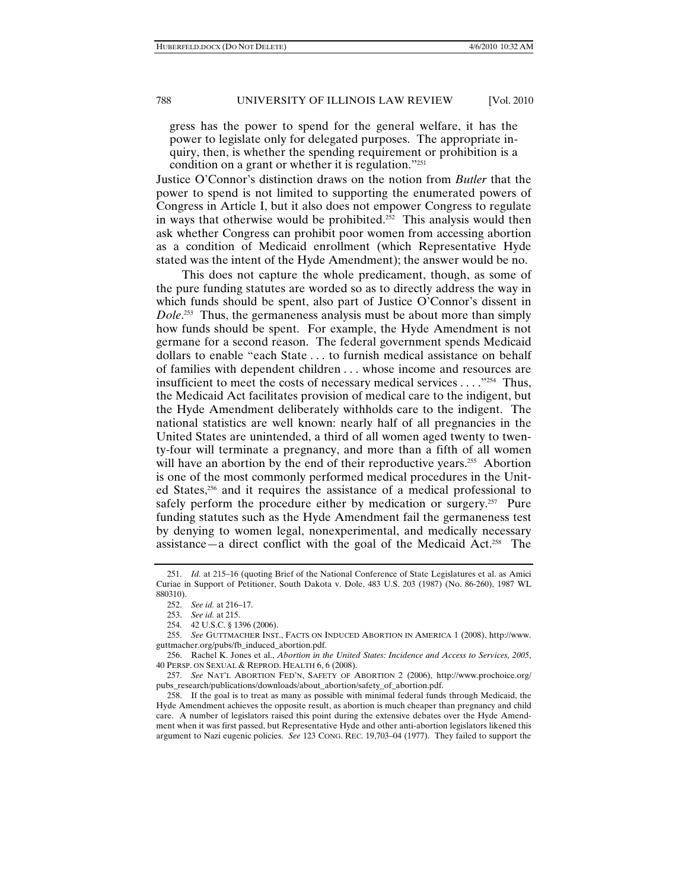gress has the power to spend for the general welfare, it has the power to legislate only for delegated purposes. The appropriate inquiry, then, is whether the spending requirement or prohibition is a condition on a grant or whether it is regulation."251

Justice O'Connor's distinction draws on the notion from *Butler* that the power to spend is not limited to supporting the enumerated powers of Congress in Article I, but it also does not empower Congress to regulate in ways that otherwise would be prohibited.<sup> $2\overline{2}$ </sup> This analysis would then ask whether Congress can prohibit poor women from accessing abortion as a condition of Medicaid enrollment (which Representative Hyde stated was the intent of the Hyde Amendment); the answer would be no.

This does not capture the whole predicament, though, as some of the pure funding statutes are worded so as to directly address the way in which funds should be spent, also part of Justice O'Connor's dissent in *Dole*. 253 Thus, the germaneness analysis must be about more than simply how funds should be spent. For example, the Hyde Amendment is not germane for a second reason. The federal government spends Medicaid dollars to enable "each State . . . to furnish medical assistance on behalf of families with dependent children . . . whose income and resources are insufficient to meet the costs of necessary medical services . . . ."254 Thus, the Medicaid Act facilitates provision of medical care to the indigent, but the Hyde Amendment deliberately withholds care to the indigent. The national statistics are well known: nearly half of all pregnancies in the United States are unintended, a third of all women aged twenty to twenty-four will terminate a pregnancy, and more than a fifth of all women will have an abortion by the end of their reproductive years.<sup>255</sup> Abortion is one of the most commonly performed medical procedures in the United States,256 and it requires the assistance of a medical professional to safely perform the procedure either by medication or surgery.<sup>257</sup> Pure funding statutes such as the Hyde Amendment fail the germaneness test by denying to women legal, nonexperimental, and medically necessary assistance—a direct conflict with the goal of the Medicaid Act.<sup>258</sup> The

 <sup>251.</sup> *Id.* at 215–16 (quoting Brief of the National Conference of State Legislatures et al. as Amici Curiae in Support of Petitioner, South Dakota v. Dole, 483 U.S. 203 (1987) (No. 86-260), 1987 WL 880310).

 <sup>252.</sup> *See id.* at 216–17.

 <sup>253.</sup> *See id.* at 215.

 <sup>254. 42</sup> U.S.C. § 1396 (2006).

 <sup>255.</sup> *See* GUTTMACHER INST., FACTS ON INDUCED ABORTION IN AMERICA 1 (2008), http://www. guttmacher.org/pubs/fb\_induced\_abortion.pdf.

 <sup>256.</sup> Rachel K. Jones et al., *Abortion in the United States: Incidence and Access to Services, 2005*, 40 PERSP. ON SEXUAL & REPROD. HEALTH 6, 6 (2008).

 <sup>257.</sup> *See* NAT'L ABORTION FED'N, SAFETY OF ABORTION 2 (2006), http://www.prochoice.org/ pubs\_research/publications/downloads/about\_abortion/safety\_of\_abortion.pdf.

 <sup>258.</sup> If the goal is to treat as many as possible with minimal federal funds through Medicaid, the Hyde Amendment achieves the opposite result, as abortion is much cheaper than pregnancy and child care. A number of legislators raised this point during the extensive debates over the Hyde Amendment when it was first passed, but Representative Hyde and other anti-abortion legislators likened this argument to Nazi eugenic policies. *See* 123 CONG. REC. 19,703–04 (1977). They failed to support the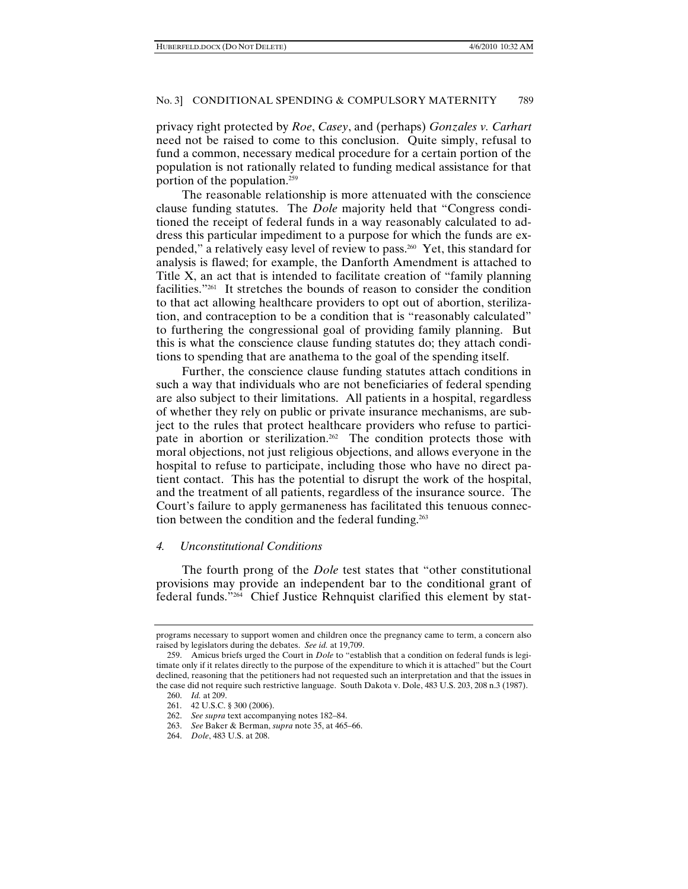privacy right protected by *Roe*, *Casey*, and (perhaps) *Gonzales v. Carhart*  need not be raised to come to this conclusion. Quite simply, refusal to fund a common, necessary medical procedure for a certain portion of the population is not rationally related to funding medical assistance for that portion of the population.259

The reasonable relationship is more attenuated with the conscience clause funding statutes. The *Dole* majority held that "Congress conditioned the receipt of federal funds in a way reasonably calculated to address this particular impediment to a purpose for which the funds are expended," a relatively easy level of review to pass.260 Yet, this standard for analysis is flawed; for example, the Danforth Amendment is attached to Title X, an act that is intended to facilitate creation of "family planning facilities."261 It stretches the bounds of reason to consider the condition to that act allowing healthcare providers to opt out of abortion, sterilization, and contraception to be a condition that is "reasonably calculated" to furthering the congressional goal of providing family planning. But this is what the conscience clause funding statutes do; they attach conditions to spending that are anathema to the goal of the spending itself.

Further, the conscience clause funding statutes attach conditions in such a way that individuals who are not beneficiaries of federal spending are also subject to their limitations. All patients in a hospital, regardless of whether they rely on public or private insurance mechanisms, are subject to the rules that protect healthcare providers who refuse to participate in abortion or sterilization.<sup>262</sup> The condition protects those with moral objections, not just religious objections, and allows everyone in the hospital to refuse to participate, including those who have no direct patient contact. This has the potential to disrupt the work of the hospital, and the treatment of all patients, regardless of the insurance source. The Court's failure to apply germaneness has facilitated this tenuous connection between the condition and the federal funding.<sup>263</sup>

#### *4. Unconstitutional Conditions*

The fourth prong of the *Dole* test states that "other constitutional provisions may provide an independent bar to the conditional grant of federal funds."264 Chief Justice Rehnquist clarified this element by stat-

programs necessary to support women and children once the pregnancy came to term, a concern also raised by legislators during the debates. *See id.* at 19,709.

 <sup>259.</sup> Amicus briefs urged the Court in *Dole* to "establish that a condition on federal funds is legitimate only if it relates directly to the purpose of the expenditure to which it is attached" but the Court declined, reasoning that the petitioners had not requested such an interpretation and that the issues in the case did not require such restrictive language. South Dakota v. Dole, 483 U.S. 203, 208 n.3 (1987).

 <sup>260.</sup> *Id.* at 209.

 <sup>261. 42</sup> U.S.C. § 300 (2006).

 <sup>262.</sup> *See supra* text accompanying notes 182–84.

 <sup>263.</sup> *See* Baker & Berman, *supra* note 35, at 465–66.

 <sup>264.</sup> *Dole*, 483 U.S. at 208.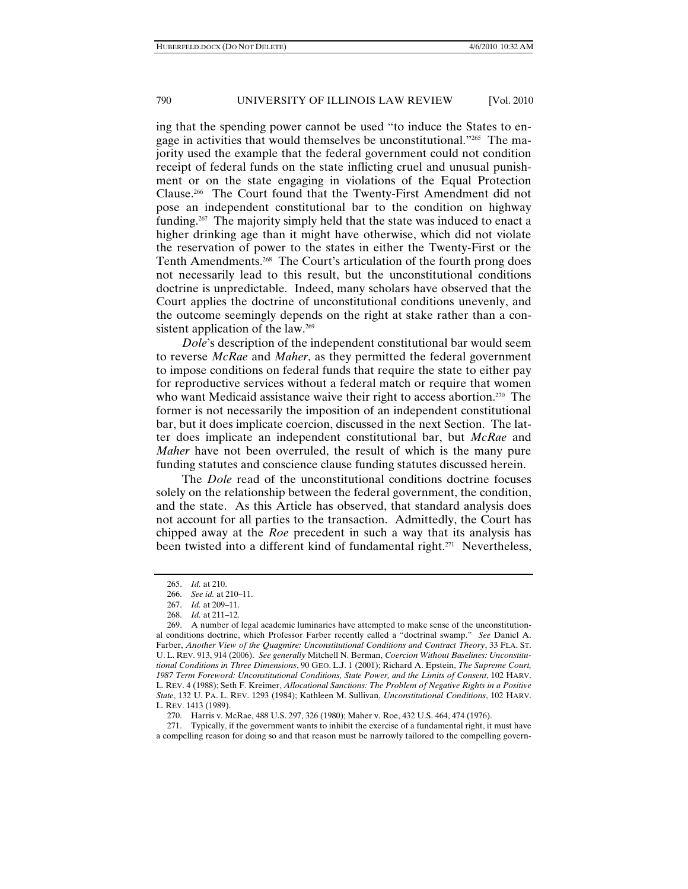ing that the spending power cannot be used "to induce the States to engage in activities that would themselves be unconstitutional."265 The majority used the example that the federal government could not condition receipt of federal funds on the state inflicting cruel and unusual punishment or on the state engaging in violations of the Equal Protection Clause.266 The Court found that the Twenty-First Amendment did not pose an independent constitutional bar to the condition on highway funding.267 The majority simply held that the state was induced to enact a higher drinking age than it might have otherwise, which did not violate the reservation of power to the states in either the Twenty-First or the Tenth Amendments.<sup>268</sup> The Court's articulation of the fourth prong does not necessarily lead to this result, but the unconstitutional conditions doctrine is unpredictable. Indeed, many scholars have observed that the Court applies the doctrine of unconstitutional conditions unevenly, and the outcome seemingly depends on the right at stake rather than a consistent application of the law.<sup>269</sup>

*Dole*'s description of the independent constitutional bar would seem to reverse *McRae* and *Maher*, as they permitted the federal government to impose conditions on federal funds that require the state to either pay for reproductive services without a federal match or require that women who want Medicaid assistance waive their right to access abortion.<sup>270</sup> The former is not necessarily the imposition of an independent constitutional bar, but it does implicate coercion, discussed in the next Section. The latter does implicate an independent constitutional bar, but *McRae* and *Maher* have not been overruled, the result of which is the many pure funding statutes and conscience clause funding statutes discussed herein.

The *Dole* read of the unconstitutional conditions doctrine focuses solely on the relationship between the federal government, the condition, and the state. As this Article has observed, that standard analysis does not account for all parties to the transaction. Admittedly, the Court has chipped away at the *Roe* precedent in such a way that its analysis has been twisted into a different kind of fundamental right.<sup>271</sup> Nevertheless,

 271. Typically, if the government wants to inhibit the exercise of a fundamental right, it must have a compelling reason for doing so and that reason must be narrowly tailored to the compelling govern-

 <sup>265.</sup> *Id.* at 210.

 <sup>266.</sup> *See id.* at 210–11.

 <sup>267.</sup> *Id.* at 209–11.

 <sup>268.</sup> *Id.* at 211–12.

 <sup>269.</sup> A number of legal academic luminaries have attempted to make sense of the unconstitutional conditions doctrine, which Professor Farber recently called a "doctrinal swamp." *See* Daniel A. Farber, *Another View of the Quagmire: Unconstitutional Conditions and Contract Theory*, 33 FLA. ST. U. L. REV. 913, 914 (2006). *See generally* Mitchell N. Berman, *Coercion Without Baselines: Unconstitutional Conditions in Three Dimensions*, 90 GEO. L.J. 1 (2001); Richard A. Epstein, *The Supreme Court, 1987 Term Foreword: Unconstitutional Conditions, State Power, and the Limits of Consent*, 102 HARV. L. REV. 4 (1988); Seth F. Kreimer, *Allocational Sanctions: The Problem of Negative Rights in a Positive State*, 132 U. PA. L. REV. 1293 (1984); Kathleen M. Sullivan, *Unconstitutional Conditions*, 102 HARV. L. REV. 1413 (1989).

 <sup>270.</sup> Harris v. McRae, 488 U.S. 297, 326 (1980); Maher v. Roe, 432 U.S. 464, 474 (1976).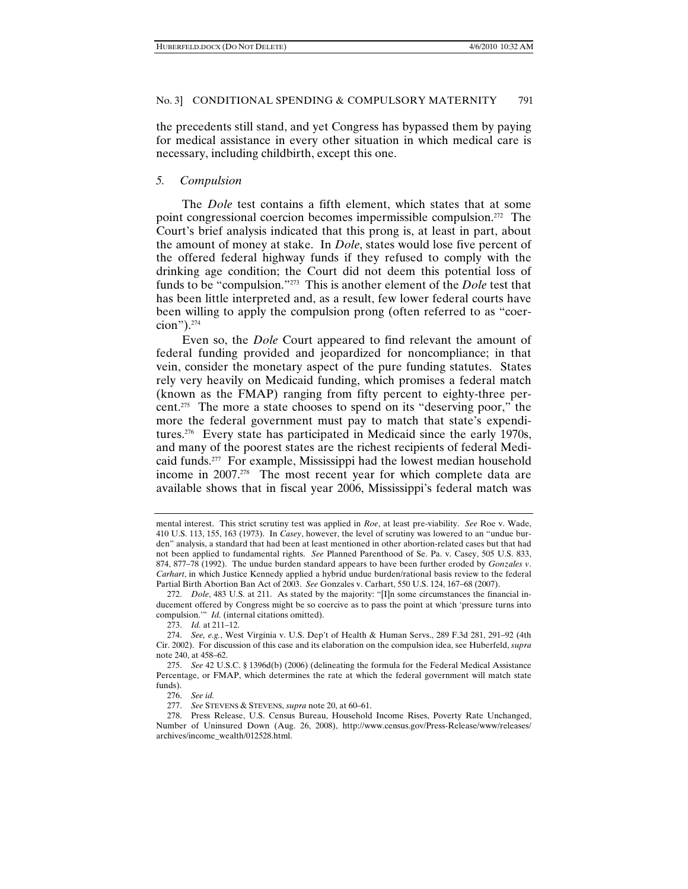the precedents still stand, and yet Congress has bypassed them by paying for medical assistance in every other situation in which medical care is necessary, including childbirth, except this one.

#### *5. Compulsion*

The *Dole* test contains a fifth element, which states that at some point congressional coercion becomes impermissible compulsion.272 The Court's brief analysis indicated that this prong is, at least in part, about the amount of money at stake. In *Dole*, states would lose five percent of the offered federal highway funds if they refused to comply with the drinking age condition; the Court did not deem this potential loss of funds to be "compulsion."273 This is another element of the *Dole* test that has been little interpreted and, as a result, few lower federal courts have been willing to apply the compulsion prong (often referred to as "coercion").274

Even so, the *Dole* Court appeared to find relevant the amount of federal funding provided and jeopardized for noncompliance; in that vein, consider the monetary aspect of the pure funding statutes. States rely very heavily on Medicaid funding, which promises a federal match (known as the FMAP) ranging from fifty percent to eighty-three percent.275 The more a state chooses to spend on its "deserving poor," the more the federal government must pay to match that state's expenditures.276 Every state has participated in Medicaid since the early 1970s, and many of the poorest states are the richest recipients of federal Medicaid funds.277 For example, Mississippi had the lowest median household income in 2007.278 The most recent year for which complete data are available shows that in fiscal year 2006, Mississippi's federal match was

mental interest. This strict scrutiny test was applied in *Roe*, at least pre-viability. *See* Roe v. Wade, 410 U.S. 113, 155, 163 (1973). In *Casey*, however, the level of scrutiny was lowered to an "undue burden" analysis, a standard that had been at least mentioned in other abortion-related cases but that had not been applied to fundamental rights. *See* Planned Parenthood of Se. Pa. v. Casey, 505 U.S. 833, 874, 877–78 (1992). The undue burden standard appears to have been further eroded by *Gonzales v*. *Carhart*, in which Justice Kennedy applied a hybrid undue burden/rational basis review to the federal Partial Birth Abortion Ban Act of 2003. *See* Gonzales v. Carhart, 550 U.S. 124, 167–68 (2007).

 <sup>272.</sup> *Dole*, 483 U.S. at 211. As stated by the majority: "[I]n some circumstances the financial inducement offered by Congress might be so coercive as to pass the point at which 'pressure turns into compulsion.'" *Id.* (internal citations omitted).

 <sup>273.</sup> *Id.* at 211–12.

 <sup>274.</sup> *See, e.g.*, West Virginia v. U.S. Dep't of Health & Human Servs., 289 F.3d 281, 291–92 (4th Cir. 2002). For discussion of this case and its elaboration on the compulsion idea, see Huberfeld, *supra* note 240, at 458–62.

 <sup>275.</sup> *See* 42 U.S.C. § 1396d(b) (2006) (delineating the formula for the Federal Medical Assistance Percentage, or FMAP, which determines the rate at which the federal government will match state funds).

 <sup>276.</sup> *See id.*

 <sup>277.</sup> *See* STEVENS & STEVENS, *supra* note 20, at 60–61.

 <sup>278.</sup> Press Release, U.S. Census Bureau, Household Income Rises, Poverty Rate Unchanged, Number of Uninsured Down (Aug. 26, 2008), http://www.census.gov/Press-Release/www/releases/ archives/income\_wealth/012528.html.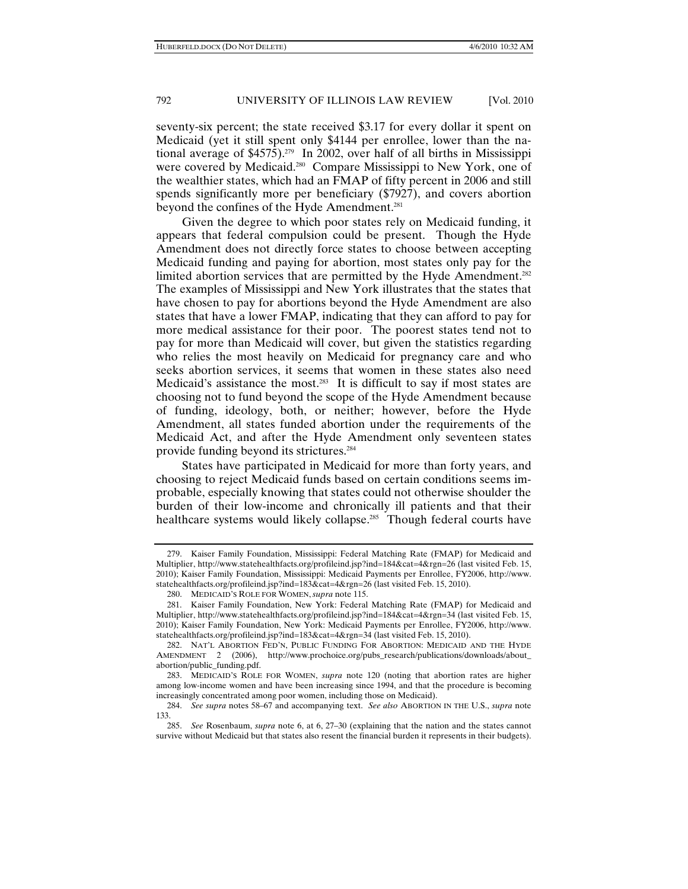seventy-six percent; the state received \$3.17 for every dollar it spent on Medicaid (yet it still spent only \$4144 per enrollee, lower than the national average of  $$4575$ ).<sup>279</sup> In 2002, over half of all births in Mississippi were covered by Medicaid.<sup>280</sup> Compare Mississippi to New York, one of the wealthier states, which had an FMAP of fifty percent in 2006 and still spends significantly more per beneficiary (\$7927), and covers abortion beyond the confines of the Hyde Amendment.<sup>281</sup>

Given the degree to which poor states rely on Medicaid funding, it appears that federal compulsion could be present. Though the Hyde Amendment does not directly force states to choose between accepting Medicaid funding and paying for abortion, most states only pay for the limited abortion services that are permitted by the Hyde Amendment.<sup>282</sup> The examples of Mississippi and New York illustrates that the states that have chosen to pay for abortions beyond the Hyde Amendment are also states that have a lower FMAP, indicating that they can afford to pay for more medical assistance for their poor. The poorest states tend not to pay for more than Medicaid will cover, but given the statistics regarding who relies the most heavily on Medicaid for pregnancy care and who seeks abortion services, it seems that women in these states also need Medicaid's assistance the most.<sup>283</sup> It is difficult to say if most states are choosing not to fund beyond the scope of the Hyde Amendment because of funding, ideology, both, or neither; however, before the Hyde Amendment, all states funded abortion under the requirements of the Medicaid Act, and after the Hyde Amendment only seventeen states provide funding beyond its strictures.284

States have participated in Medicaid for more than forty years, and choosing to reject Medicaid funds based on certain conditions seems improbable, especially knowing that states could not otherwise shoulder the burden of their low-income and chronically ill patients and that their healthcare systems would likely collapse.<sup>285</sup> Though federal courts have

 <sup>279.</sup> Kaiser Family Foundation, Mississippi: Federal Matching Rate (FMAP) for Medicaid and Multiplier, http://www.statehealthfacts.org/profileind.jsp?ind=184&cat=4&rgn=26 (last visited Feb. 15, 2010); Kaiser Family Foundation, Mississippi: Medicaid Payments per Enrollee, FY2006, http://www. statehealthfacts.org/profileind.jsp?ind=183&cat=4&rgn=26 (last visited Feb. 15, 2010).

 <sup>280.</sup> MEDICAID'S ROLE FOR WOMEN, *supra* note 115.

 <sup>281.</sup> Kaiser Family Foundation, New York: Federal Matching Rate (FMAP) for Medicaid and Multiplier, http://www.statehealthfacts.org/profileind.jsp?ind=184&cat=4&rgn=34 (last visited Feb. 15, 2010); Kaiser Family Foundation, New York: Medicaid Payments per Enrollee, FY2006, http://www. statehealthfacts.org/profileind.jsp?ind=183&cat=4&rgn=34 (last visited Feb. 15, 2010).

 <sup>282.</sup> NAT'L ABORTION FED'N, PUBLIC FUNDING FOR ABORTION: MEDICAID AND THE HYDE AMENDMENT 2 (2006), http://www.prochoice.org/pubs\_research/publications/downloads/about\_ abortion/public\_funding.pdf.

 <sup>283.</sup> MEDICAID'S ROLE FOR WOMEN, *supra* note 120 (noting that abortion rates are higher among low-income women and have been increasing since 1994, and that the procedure is becoming increasingly concentrated among poor women, including those on Medicaid).

 <sup>284.</sup> *See supra* notes 58–67 and accompanying text. *See also* ABORTION IN THE U.S., *supra* note 133.

 <sup>285.</sup> *See* Rosenbaum, *supra* note 6, at 6, 27–30 (explaining that the nation and the states cannot survive without Medicaid but that states also resent the financial burden it represents in their budgets).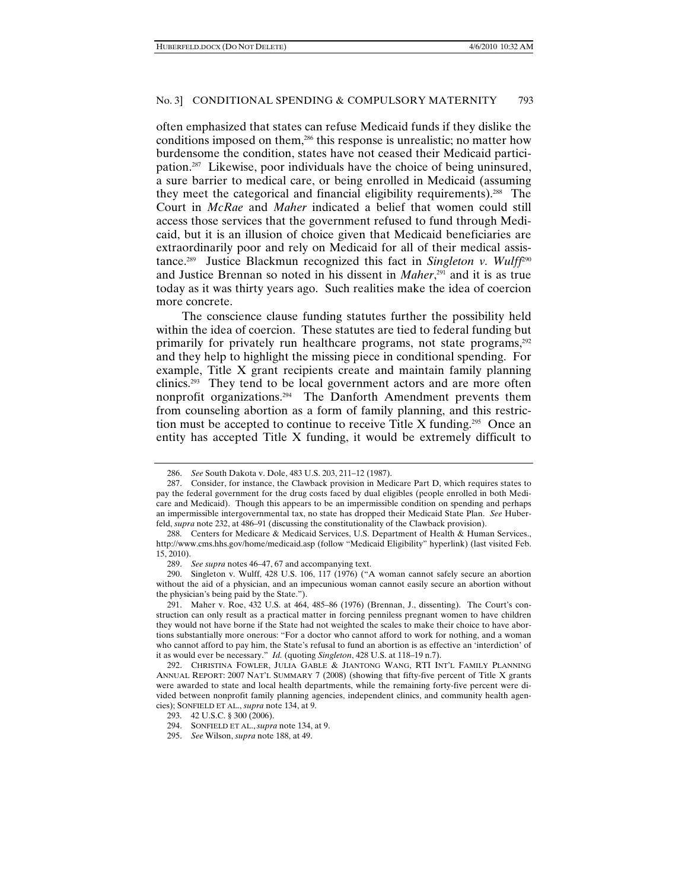often emphasized that states can refuse Medicaid funds if they dislike the conditions imposed on them,286 this response is unrealistic; no matter how burdensome the condition, states have not ceased their Medicaid participation.287 Likewise, poor individuals have the choice of being uninsured, a sure barrier to medical care, or being enrolled in Medicaid (assuming they meet the categorical and financial eligibility requirements).288 The Court in *McRae* and *Maher* indicated a belief that women could still access those services that the government refused to fund through Medicaid, but it is an illusion of choice given that Medicaid beneficiaries are extraordinarily poor and rely on Medicaid for all of their medical assistance.289 Justice Blackmun recognized this fact in *Singleton v. Wulff*<sup>290</sup> and Justice Brennan so noted in his dissent in *Maher*, 291 and it is as true today as it was thirty years ago. Such realities make the idea of coercion more concrete.

The conscience clause funding statutes further the possibility held within the idea of coercion. These statutes are tied to federal funding but primarily for privately run healthcare programs, not state programs, <sup>292</sup> and they help to highlight the missing piece in conditional spending. For example, Title X grant recipients create and maintain family planning clinics.293 They tend to be local government actors and are more often nonprofit organizations.294 The Danforth Amendment prevents them from counseling abortion as a form of family planning, and this restriction must be accepted to continue to receive Title X funding.<sup>295</sup> Once an entity has accepted Title X funding, it would be extremely difficult to

See supra notes 46–47, 67 and accompanying text.

 290. Singleton v. Wulff, 428 U.S. 106, 117 (1976) ("A woman cannot safely secure an abortion without the aid of a physician, and an impecunious woman cannot easily secure an abortion without the physician's being paid by the State.").

 291. Maher v. Roe, 432 U.S. at 464, 485–86 (1976) (Brennan, J., dissenting). The Court's construction can only result as a practical matter in forcing penniless pregnant women to have children they would not have borne if the State had not weighted the scales to make their choice to have abortions substantially more onerous: "For a doctor who cannot afford to work for nothing, and a woman who cannot afford to pay him, the State's refusal to fund an abortion is as effective an 'interdiction' of it as would ever be necessary." *Id.* (quoting *Singleton*, 428 U.S. at 118–19 n.7).

 <sup>286.</sup> *See* South Dakota v. Dole, 483 U.S. 203, 211–12 (1987).

 <sup>287.</sup> Consider, for instance, the Clawback provision in Medicare Part D, which requires states to pay the federal government for the drug costs faced by dual eligibles (people enrolled in both Medicare and Medicaid). Though this appears to be an impermissible condition on spending and perhaps an impermissible intergovernmental tax, no state has dropped their Medicaid State Plan. *See* Huberfeld, *supra* note 232, at 486–91 (discussing the constitutionality of the Clawback provision).

 <sup>288.</sup> Centers for Medicare & Medicaid Services, U.S. Department of Health & Human Services., http://www.cms.hhs.gov/home/medicaid.asp (follow "Medicaid Eligibility" hyperlink) (last visited Feb. 15, 2010).

 <sup>292.</sup> CHRISTINA FOWLER, JULIA GABLE & JIANTONG WANG, RTI INT'L FAMILY PLANNING ANNUAL REPORT: 2007 NAT'L SUMMARY 7 (2008) (showing that fifty-five percent of Title X grants were awarded to state and local health departments, while the remaining forty-five percent were divided between nonprofit family planning agencies, independent clinics, and community health agencies); SONFIELD ET AL., *supra* note 134, at 9.

 <sup>293. 42</sup> U.S.C. § 300 (2006).

 <sup>294.</sup> SONFIELD ET AL., *supra* note 134, at 9.

 <sup>295.</sup> *See* Wilson, *supra* note 188, at 49.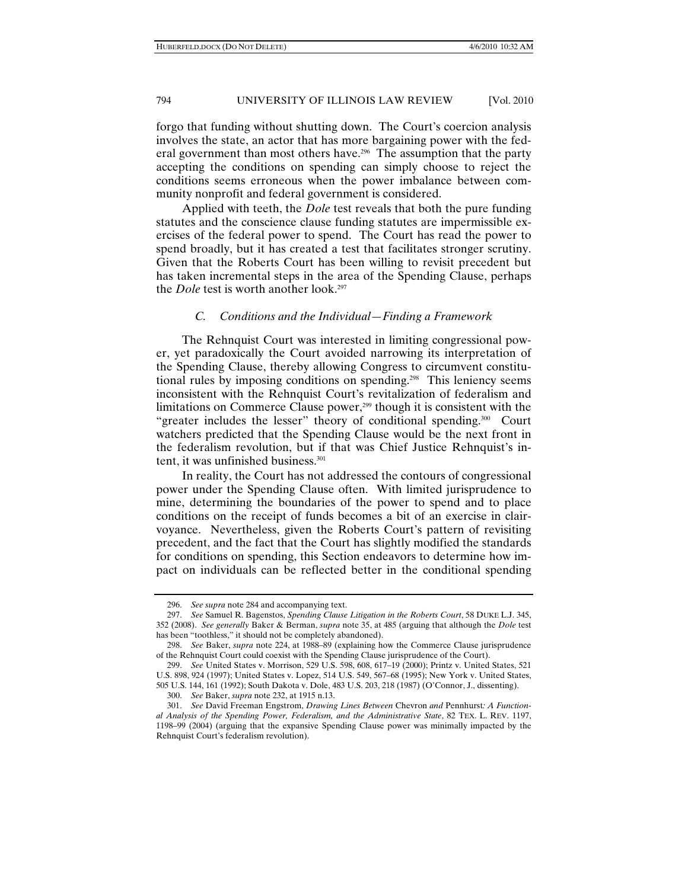forgo that funding without shutting down. The Court's coercion analysis involves the state, an actor that has more bargaining power with the federal government than most others have.<sup>296</sup> The assumption that the party accepting the conditions on spending can simply choose to reject the conditions seems erroneous when the power imbalance between community nonprofit and federal government is considered.

Applied with teeth, the *Dole* test reveals that both the pure funding statutes and the conscience clause funding statutes are impermissible exercises of the federal power to spend. The Court has read the power to spend broadly, but it has created a test that facilitates stronger scrutiny. Given that the Roberts Court has been willing to revisit precedent but has taken incremental steps in the area of the Spending Clause, perhaps the *Dole* test is worth another look.<sup>297</sup>

#### *C. Conditions and the Individual—Finding a Framework*

The Rehnquist Court was interested in limiting congressional power, yet paradoxically the Court avoided narrowing its interpretation of the Spending Clause, thereby allowing Congress to circumvent constitutional rules by imposing conditions on spending.298 This leniency seems inconsistent with the Rehnquist Court's revitalization of federalism and limitations on Commerce Clause power,<sup>299</sup> though it is consistent with the "greater includes the lesser" theory of conditional spending.<sup>300</sup> Court watchers predicted that the Spending Clause would be the next front in the federalism revolution, but if that was Chief Justice Rehnquist's intent, it was unfinished business.<sup>301</sup>

In reality, the Court has not addressed the contours of congressional power under the Spending Clause often. With limited jurisprudence to mine, determining the boundaries of the power to spend and to place conditions on the receipt of funds becomes a bit of an exercise in clairvoyance. Nevertheless, given the Roberts Court's pattern of revisiting precedent, and the fact that the Court has slightly modified the standards for conditions on spending, this Section endeavors to determine how impact on individuals can be reflected better in the conditional spending

 <sup>296.</sup> *See supra* note 284 and accompanying text.

 <sup>297.</sup> *See* Samuel R. Bagenstos, *Spending Clause Litigation in the Roberts Court*, 58 DUKE L.J. 345, 352 (2008). *See generally* Baker & Berman, *supra* note 35, at 485 (arguing that although the *Dole* test has been "toothless," it should not be completely abandoned).

 <sup>298.</sup> *See* Baker, *supra* note 224, at 1988–89 (explaining how the Commerce Clause jurisprudence of the Rehnquist Court could coexist with the Spending Clause jurisprudence of the Court).

 <sup>299.</sup> *See* United States v. Morrison, 529 U.S. 598, 608, 617–19 (2000); Printz v. United States, 521 U.S. 898, 924 (1997); United States v. Lopez, 514 U.S. 549, 567–68 (1995); New York v. United States, 505 U.S. 144, 161 (1992); South Dakota v. Dole, 483 U.S. 203, 218 (1987) (O'Connor, J., dissenting).

 <sup>300.</sup> *See* Baker, *supra* note 232, at 1915 n.13.

 <sup>301.</sup> *See* David Freeman Engstrom, *Drawing Lines Between* Chevron *and* Pennhurst*: A Functional Analysis of the Spending Power, Federalism, and the Administrative State*, 82 TEX. L. REV. 1197, 1198–99 (2004) (arguing that the expansive Spending Clause power was minimally impacted by the Rehnquist Court's federalism revolution).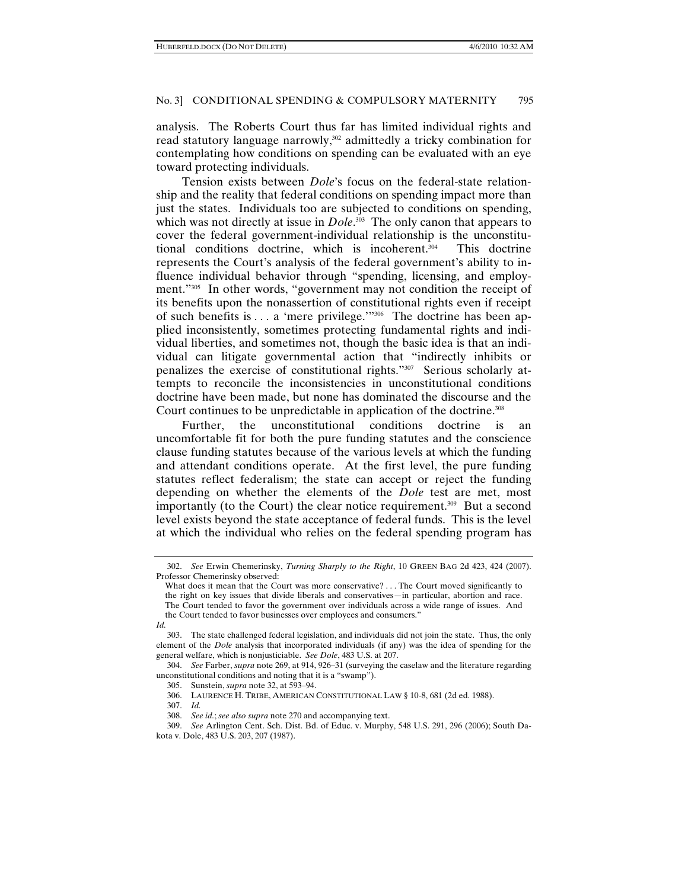analysis. The Roberts Court thus far has limited individual rights and read statutory language narrowly,<sup>302</sup> admittedly a tricky combination for contemplating how conditions on spending can be evaluated with an eye toward protecting individuals.

Tension exists between *Dole*'s focus on the federal-state relationship and the reality that federal conditions on spending impact more than just the states. Individuals too are subjected to conditions on spending, which was not directly at issue in *Dole*.<sup>303</sup> The only canon that appears to cover the federal government-individual relationship is the unconstitutional conditions doctrine, which is incoherent.<sup>304</sup> This doctrine represents the Court's analysis of the federal government's ability to influence individual behavior through "spending, licensing, and employment."305 In other words, "government may not condition the receipt of its benefits upon the nonassertion of constitutional rights even if receipt of such benefits is . . . a 'mere privilege.'"306 The doctrine has been applied inconsistently, sometimes protecting fundamental rights and individual liberties, and sometimes not, though the basic idea is that an individual can litigate governmental action that "indirectly inhibits or penalizes the exercise of constitutional rights."307 Serious scholarly attempts to reconcile the inconsistencies in unconstitutional conditions doctrine have been made, but none has dominated the discourse and the Court continues to be unpredictable in application of the doctrine.<sup>308</sup>

Further, the unconstitutional conditions doctrine is an uncomfortable fit for both the pure funding statutes and the conscience clause funding statutes because of the various levels at which the funding and attendant conditions operate. At the first level, the pure funding statutes reflect federalism; the state can accept or reject the funding depending on whether the elements of the *Dole* test are met, most importantly (to the Court) the clear notice requirement.309 But a second level exists beyond the state acceptance of federal funds. This is the level at which the individual who relies on the federal spending program has

 <sup>302.</sup> *See* Erwin Chemerinsky, *Turning Sharply to the Right*, 10 GREEN BAG 2d 423, 424 (2007). Professor Chemerinsky observed:

What does it mean that the Court was more conservative? . . . The Court moved significantly to the right on key issues that divide liberals and conservatives—in particular, abortion and race. The Court tended to favor the government over individuals across a wide range of issues. And the Court tended to favor businesses over employees and consumers."

*Id.*

 <sup>303.</sup> The state challenged federal legislation, and individuals did not join the state. Thus, the only element of the *Dole* analysis that incorporated individuals (if any) was the idea of spending for the general welfare, which is nonjusticiable. *See Dole*, 483 U.S. at 207.

 <sup>304.</sup> *See* Farber, *supra* note 269, at 914, 926–31 (surveying the caselaw and the literature regarding unconstitutional conditions and noting that it is a "swamp").

 <sup>305.</sup> Sunstein, *supra* note 32, at 593–94.

 <sup>306.</sup> LAURENCE H. TRIBE, AMERICAN CONSTITUTIONAL LAW § 10-8, 681 (2d ed. 1988).

 <sup>307.</sup> *Id.*

 <sup>308.</sup> *See id.*; *see also supra* note 270 and accompanying text.

 <sup>309.</sup> *See* Arlington Cent. Sch. Dist. Bd. of Educ. v. Murphy, 548 U.S. 291, 296 (2006); South Dakota v. Dole, 483 U.S. 203, 207 (1987).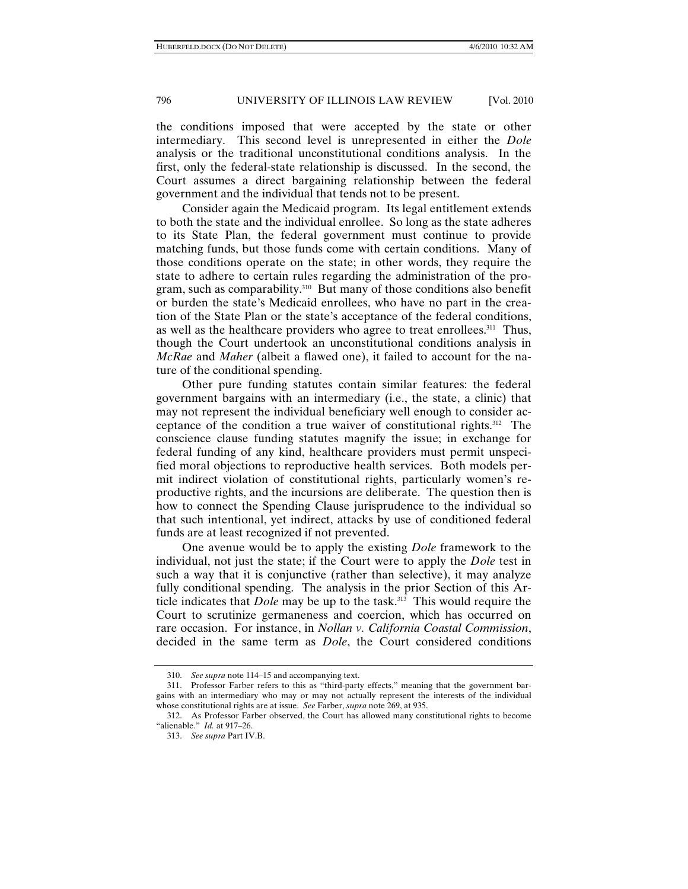the conditions imposed that were accepted by the state or other intermediary. This second level is unrepresented in either the *Dole*  analysis or the traditional unconstitutional conditions analysis. In the first, only the federal-state relationship is discussed. In the second, the Court assumes a direct bargaining relationship between the federal government and the individual that tends not to be present.

Consider again the Medicaid program. Its legal entitlement extends to both the state and the individual enrollee. So long as the state adheres to its State Plan, the federal government must continue to provide matching funds, but those funds come with certain conditions. Many of those conditions operate on the state; in other words, they require the state to adhere to certain rules regarding the administration of the program, such as comparability.<sup>310</sup> But many of those conditions also benefit or burden the state's Medicaid enrollees, who have no part in the creation of the State Plan or the state's acceptance of the federal conditions, as well as the healthcare providers who agree to treat enrollees.311 Thus, though the Court undertook an unconstitutional conditions analysis in *McRae* and *Maher* (albeit a flawed one), it failed to account for the nature of the conditional spending.

Other pure funding statutes contain similar features: the federal government bargains with an intermediary (i.e., the state, a clinic) that may not represent the individual beneficiary well enough to consider acceptance of the condition a true waiver of constitutional rights.312 The conscience clause funding statutes magnify the issue; in exchange for federal funding of any kind, healthcare providers must permit unspecified moral objections to reproductive health services. Both models permit indirect violation of constitutional rights, particularly women's reproductive rights, and the incursions are deliberate. The question then is how to connect the Spending Clause jurisprudence to the individual so that such intentional, yet indirect, attacks by use of conditioned federal funds are at least recognized if not prevented.

One avenue would be to apply the existing *Dole* framework to the individual, not just the state; if the Court were to apply the *Dole* test in such a way that it is conjunctive (rather than selective), it may analyze fully conditional spending. The analysis in the prior Section of this Article indicates that *Dole* may be up to the task.<sup>313</sup> This would require the Court to scrutinize germaneness and coercion, which has occurred on rare occasion. For instance, in *Nollan v. California Coastal Commission*, decided in the same term as *Dole*, the Court considered conditions

 <sup>310.</sup> *See supra* note 114–15 and accompanying text.

 <sup>311.</sup> Professor Farber refers to this as "third-party effects," meaning that the government bargains with an intermediary who may or may not actually represent the interests of the individual whose constitutional rights are at issue. *See* Farber, *supra* note 269, at 935.

 <sup>312.</sup> As Professor Farber observed, the Court has allowed many constitutional rights to become "alienable." *Id.* at 917–26.

 <sup>313.</sup> *See supra* Part IV.B.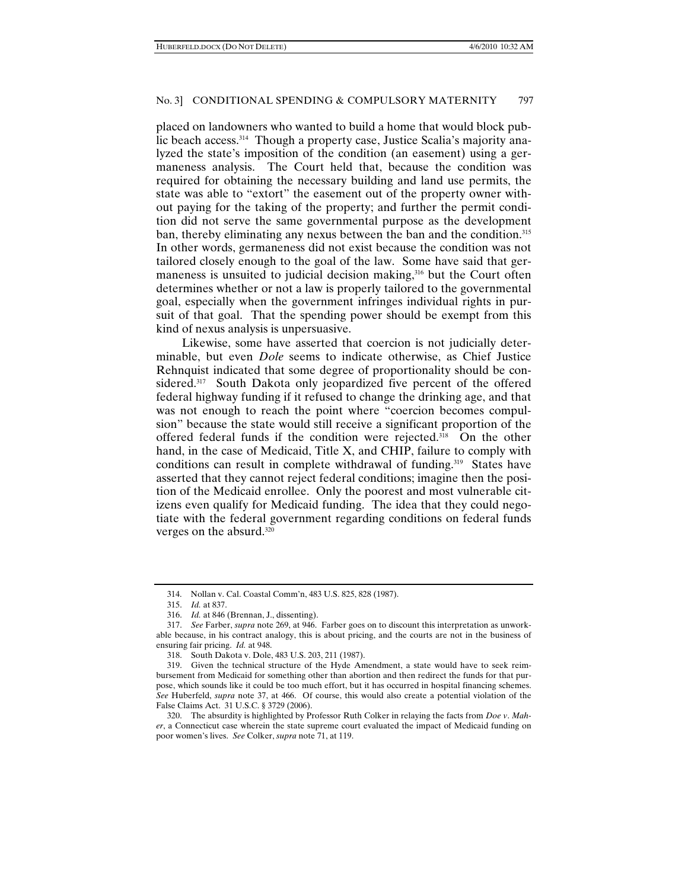placed on landowners who wanted to build a home that would block public beach access.<sup>314</sup> Though a property case, Justice Scalia's majority analyzed the state's imposition of the condition (an easement) using a germaneness analysis. The Court held that, because the condition was required for obtaining the necessary building and land use permits, the state was able to "extort" the easement out of the property owner without paying for the taking of the property; and further the permit condition did not serve the same governmental purpose as the development ban, thereby eliminating any nexus between the ban and the condition.<sup>315</sup> In other words, germaneness did not exist because the condition was not tailored closely enough to the goal of the law. Some have said that germaneness is unsuited to judicial decision making,<sup>316</sup> but the Court often determines whether or not a law is properly tailored to the governmental goal, especially when the government infringes individual rights in pursuit of that goal. That the spending power should be exempt from this kind of nexus analysis is unpersuasive.

Likewise, some have asserted that coercion is not judicially determinable, but even *Dole* seems to indicate otherwise, as Chief Justice Rehnquist indicated that some degree of proportionality should be considered.<sup>317</sup> South Dakota only jeopardized five percent of the offered federal highway funding if it refused to change the drinking age, and that was not enough to reach the point where "coercion becomes compulsion" because the state would still receive a significant proportion of the offered federal funds if the condition were rejected.<sup>318</sup> On the other hand, in the case of Medicaid, Title X, and CHIP, failure to comply with conditions can result in complete withdrawal of funding.<sup>319</sup> States have asserted that they cannot reject federal conditions; imagine then the position of the Medicaid enrollee. Only the poorest and most vulnerable citizens even qualify for Medicaid funding. The idea that they could negotiate with the federal government regarding conditions on federal funds verges on the absurd.<sup>320</sup>

 <sup>314.</sup> Nollan v. Cal. Coastal Comm'n, 483 U.S. 825, 828 (1987).

 <sup>315.</sup> *Id.* at 837.

 <sup>316.</sup> *Id.* at 846 (Brennan, J., dissenting).

 <sup>317.</sup> *See* Farber, *supra* note 269, at 946. Farber goes on to discount this interpretation as unworkable because, in his contract analogy, this is about pricing, and the courts are not in the business of ensuring fair pricing. *Id.* at 948.

 <sup>318.</sup> South Dakota v. Dole, 483 U.S. 203, 211 (1987).

 <sup>319.</sup> Given the technical structure of the Hyde Amendment, a state would have to seek reimbursement from Medicaid for something other than abortion and then redirect the funds for that purpose, which sounds like it could be too much effort, but it has occurred in hospital financing schemes. *See* Huberfeld, *supra* note 37, at 466. Of course, this would also create a potential violation of the False Claims Act. 31 U.S.C. § 3729 (2006).

 <sup>320.</sup> The absurdity is highlighted by Professor Ruth Colker in relaying the facts from *Doe v*. *Maher*, a Connecticut case wherein the state supreme court evaluated the impact of Medicaid funding on poor women's lives. *See* Colker, *supra* note 71, at 119.